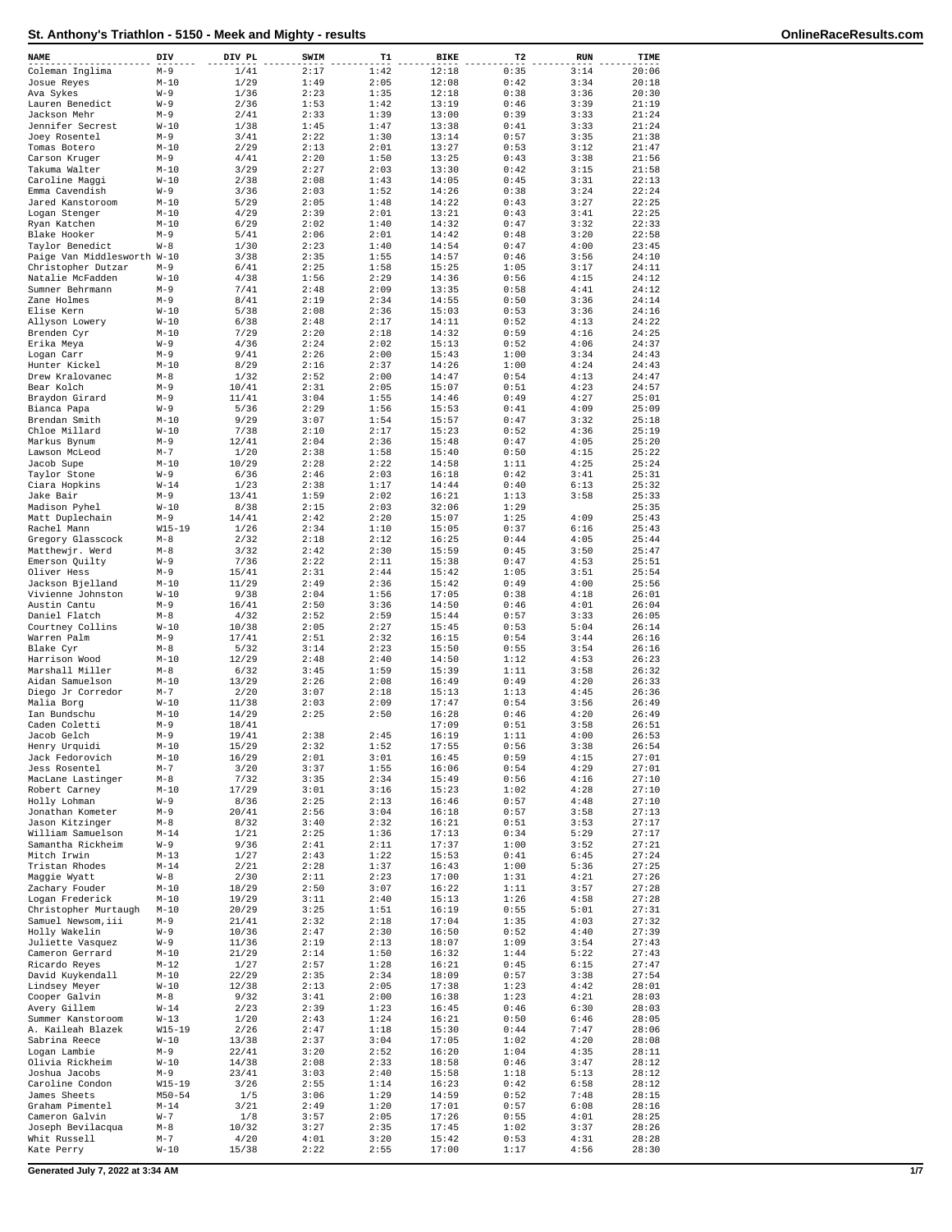|  | <b>OnlineRaceResults.com</b> |  |
|--|------------------------------|--|
|  |                              |  |

| NAME                                    | DIV                 | DIV PL         | SWIM         | T1           | <b>BIKE</b>    | T2           | <b>RUN</b>   | TIME           |
|-----------------------------------------|---------------------|----------------|--------------|--------------|----------------|--------------|--------------|----------------|
| Coleman Inglima                         | $M-9$               | 1/41           | 2:17         | 1:42         | 12:18          | 0:35         | 3:14         | 20:06          |
| Josue Reyes                             | $M-10$              | 1/29           | 1:49         | 2:05         | 12:08          | 0:42         | 3:34         | 20:18          |
| Ava Sykes<br>Lauren Benedict            | $W-9$<br>$W - 9$    | 1/36<br>2/36   | 2:23<br>1:53 | 1:35<br>1:42 | 12:18<br>13:19 | 0:38<br>0:46 | 3:36<br>3:39 | 20:30<br>21:19 |
| Jackson Mehr                            | $M-9$               | 2/41           | 2:33         | 1:39         | 13:00          | 0:39         | 3:33         | 21:24          |
| Jennifer Secrest                        | $W-10$              | 1/38           | 1:45         | 1:47         | 13:38          | 0:41         | 3:33         | 21:24          |
| Joey Rosentel                           | $M-9$               | 3/41           | 2:22         | 1:30         | 13:14          | 0:57         | 3:35         | 21:38          |
| Tomas Botero<br>Carson Kruger           | $M-10$              | 2/29           | 2:13         | 2:01         | 13:27          | 0:53<br>0:43 | 3:12         | 21:47<br>21:56 |
| Takuma Walter                           | $M-9$<br>$M-10$     | 4/41<br>3/29   | 2:20<br>2:27 | 1:50<br>2:03 | 13:25<br>13:30 | 0:42         | 3:38<br>3:15 | 21:58          |
| Caroline Maggi                          | $W-10$              | 2/38           | 2:08         | 1:43         | 14:05          | 0:45         | 3:31         | 22:13          |
| Emma Cavendish                          | $W-9$               | 3/36           | 2:03         | 1:52         | 14:26          | 0:38         | 3:24         | 22:24          |
| Jared Kanstoroom                        | $M-10$              | 5/29           | 2:05         | 1:48         | 14:22          | 0:43         | 3:27         | 22:25          |
| Logan Stenger<br>Ryan Katchen           | $M-10$<br>$M-10$    | 4/29<br>6/29   | 2:39<br>2:02 | 2:01<br>1:40 | 13:21<br>14:32 | 0:43<br>0:47 | 3:41<br>3:32 | 22:25<br>22:33 |
| Blake Hooker                            | $M-9$               | 5/41           | 2:06         | 2:01         | 14:42          | 0:48         | 3:20         | 22:58          |
| Taylor Benedict                         | $W - 8$             | 1/30           | 2:23         | 1:40         | 14:54          | 0:47         | 4:00         | 23:45          |
| Paige Van Middlesworth W-10             |                     | 3/38           | 2:35         | 1:55         | 14:57          | 0:46         | 3:56         | 24:10          |
| Christopher Dutzar<br>Natalie McFadden  | $M-9$<br>$W-10$     | 6/41<br>4/38   | 2:25<br>1:56 | 1:58<br>2:29 | 15:25<br>14:36 | 1:05<br>0:56 | 3:17<br>4:15 | 24:11<br>24:12 |
| Sumner Behrmann                         | $M-9$               | 7/41           | 2:48         | 2:09         | 13:35          | 0:58         | 4:41         | 24:12          |
| Zane Holmes                             | $M-9$               | 8/41           | 2:19         | 2:34         | 14:55          | 0:50         | 3:36         | 24:14          |
| Elise Kern                              | $W-10$              | 5/38           | 2:08         | 2:36         | 15:03          | 0:53         | 3:36         | 24:16          |
| Allyson Lowery                          | $W-10$              | 6/38           | 2:48         | 2:17         | 14:11          | 0:52         | 4:13         | 24:22          |
| Brenden Cyr<br>Erika Meya               | $M-10$<br>$W - 9$   | 7/29<br>4/36   | 2:20<br>2:24 | 2:18<br>2:02 | 14:32<br>15:13 | 0:59<br>0:52 | 4:16<br>4:06 | 24:25<br>24:37 |
| Logan Carr                              | $M-9$               | 9/41           | 2:26         | 2:00         | 15:43          | 1:00         | 3:34         | 24:43          |
| Hunter Kickel                           | $M-10$              | 8/29           | 2:16         | 2:37         | 14:26          | 1:00         | 4:24         | 24:43          |
| Drew Kralovanec                         | $M-8$               | 1/32           | 2:52         | 2:00         | 14:47<br>15:07 | 0:54         | 4:13         | 24:47          |
| Bear Kolch<br>Braydon Girard            | $M-9$<br>$M-9$      | 10/41<br>11/41 | 2:31<br>3:04 | 2:05<br>1:55 | 14:46          | 0:51<br>0:49 | 4:23<br>4:27 | 24:57<br>25:01 |
| Bianca Papa                             | $W - 9$             | 5/36           | 2:29         | 1:56         | 15:53          | 0:41         | 4:09         | 25:09          |
| Brendan Smith                           | $M-10$              | 9/29           | 3:07         | 1:54         | 15:57          | 0:47         | 3:32         | 25:18          |
| Chloe Millard                           | $W-10$              | 7/38           | 2:10         | 2:17         | 15:23          | 0:52         | 4:36         | 25:19          |
| Markus Bynum<br>Lawson McLeod           | $M-9$<br>$M-7$      | 12/41<br>1/20  | 2:04<br>2:38 | 2:36<br>1:58 | 15:48<br>15:40 | 0:47<br>0:50 | 4:05<br>4:15 | 25:20<br>25:22 |
| Jacob Supe                              | $M-10$              | 10/29          | 2:28         | 2:22         | 14:58          | 1:11         | 4:25         | 25:24          |
| Taylor Stone                            | $W - 9$             | 6/36           | 2:46         | 2:03         | 16:18          | 0:42         | 3:41         | 25:31          |
| Ciara Hopkins                           | $W-14$              | 1/23           | 2:38         | 1:17         | 14:44          | 0:40         | 6:13         | 25:32          |
| Jake Bair                               | $M-9$               | 13/41          | 1:59         | 2:02         | 16:21          | 1:13         | 3:58         | 25:33          |
| Madison Pyhel<br>Matt Duplechain        | $W-10$<br>$M-9$     | 8/38<br>14/41  | 2:15<br>2:42 | 2:03<br>2:20 | 32:06<br>15:07 | 1:29<br>1:25 | 4:09         | 25:35<br>25:43 |
| Rachel Mann                             | $W15 - 19$          | 1/26           | 2:34         | 1:10         | 15:05          | 0:37         | 6:16         | 25:43          |
| Gregory Glasscock                       | $M-8$               | 2/32           | 2:18         | 2:12         | 16:25          | 0:44         | 4:05         | 25:44          |
| Matthewjr. Werd                         | $M-8$               | 3/32           | 2:42         | 2:30         | 15:59          | 0:45         | 3:50         | 25:47          |
| Emerson Quilty<br>Oliver Hess           | $W - 9$<br>$M-9$    | 7/36<br>15/41  | 2:22<br>2:31 | 2:11<br>2:44 | 15:38<br>15:42 | 0:47<br>1:05 | 4:53<br>3:51 | 25:51<br>25:54 |
| Jackson Bjelland                        | $M-10$              | 11/29          | 2:49         | 2:36         | 15:42          | 0:49         | 4:00         | 25:56          |
| Vivienne Johnston                       | $W-10$              | 9/38           | 2:04         | 1:56         | 17:05          | 0:38         | 4:18         | 26:01          |
| Austin Cantu                            | $M-9$               | 16/41          | 2:50         | 3:36         | 14:50          | 0:46         | 4:01         | 26:04          |
| Daniel Flatch<br>Courtney Collins       | $M-8$<br>$W-10$     | 4/32<br>10/38  | 2:52<br>2:05 | 2:59<br>2:27 | 15:44<br>15:45 | 0:57<br>0:53 | 3:33<br>5:04 | 26:05<br>26:14 |
| Warren Palm                             | $M-9$               | 17/41          | 2:51         | 2:32         | 16:15          | 0:54         | 3:44         | 26:16          |
| Blake Cyr                               | $M-8$               | 5/32           | 3:14         | 2:23         | 15:50          | 0:55         | 3:54         | 26:16          |
| Harrison Wood                           | $M-10$              | 12/29          | 2:48         | 2:40         | 14:50          | 1:12         | 4:53         | 26:23          |
| Marshall Miller<br>Aidan Samuelson      | $M-8$<br>$M-10$     | 6/32<br>13/29  | 3:45<br>2:26 | 1:59<br>2:08 | 15:39<br>16:49 | 1:11<br>0:49 | 3:58<br>4:20 | 26:32<br>26:33 |
| Diego Jr Corredor                       | $M-7$               | 2/20           | 3:07         | 2:18         | 15:13          | 1:13         | 4:45         | 26:36          |
| Malia Borg                              | $W-10$              | 11/38          | 2:03         | 2:09         | 17:47          | 0:54         | 3:56         | 26:49          |
| Ian Bundschu                            | $M-10$              | 14/29          | 2:25         | 2:50         | 16:28          | 0:46         | 4:20         | 26:49          |
| Caden Coletti<br>Jacob Gelch            | $M-9$<br>$M-9$      | 18/41<br>19/41 | 2:38         | 2:45         | 17:09<br>16:19 | 0:51<br>1:11 | 3:58<br>4:00 | 26:51<br>26:53 |
| Henry Urquidi                           | $M-10$              | 15/29          | 2:32         | 1:52         | 17:55          | 0:56         | 3:38         | 26:54          |
| Jack Fedorovich                         | $M-10$              | 16/29          | 2:01         | 3:01         | 16:45          | 0:59         | 4:15         | 27:01          |
| Jess Rosentel                           | $M-7$               | 3/20           | 3:37         | 1:55         | 16:06          | 0:54         | 4:29         | 27:01          |
| MacLane Lastinger                       | $M-8$<br>$M-10$     | 7/32<br>17/29  | 3:35<br>3:01 | 2:34<br>3:16 | 15:49<br>15:23 | 0:56<br>1:02 | 4:16<br>4:28 | 27:10<br>27:10 |
| Robert Carney<br>Holly Lohman           | $W - 9$             | 8/36           | 2:25         | 2:13         | 16:46          | 0:57         | 4:48         | 27:10          |
| Jonathan Kometer                        | $M-9$               | 20/41          | 2:56         | 3:04         | 16:18          | 0:57         | 3:58         | 27:13          |
| Jason Kitzinger                         | $M-8$               | 8/32           | 3:40         | 2:32         | 16:21          | 0:51         | 3:53         | 27:17          |
| William Samuelson<br>Samantha Rickheim  | $M - 14$<br>$W - 9$ | 1/21<br>9/36   | 2:25<br>2:41 | 1:36<br>2:11 | 17:13<br>17:37 | 0:34<br>1:00 | 5:29<br>3:52 | 27:17<br>27:21 |
| Mitch Irwin                             | $M-13$              | 1/27           | 2:43         | 1:22         | 15:53          | 0:41         | 6:45         | 27:24          |
| Tristan Rhodes                          | $M - 14$            | 2/21           | 2:28         | 1:37         | 16:43          | 1:00         | 5:36         | 27:25          |
| Maggie Wyatt                            | $W - 8$             | 2/30           | 2:11         | 2:23         | 17:00          | 1:31         | 4:21         | 27:26          |
| Zachary Fouder                          | $M-10$              | 18/29          | 2:50         | 3:07         | 16:22          | 1:11         | 3:57         | 27:28          |
| Logan Frederick<br>Christopher Murtaugh | $M-10$<br>$M-10$    | 19/29<br>20/29 | 3:11<br>3:25 | 2:40<br>1:51 | 15:13<br>16:19 | 1:26<br>0:55 | 4:58<br>5:01 | 27:28<br>27:31 |
| Samuel Newsom, iii                      | $M-9$               | 21/41          | 2:32         | 2:18         | 17:04          | 1:35         | 4:03         | 27:32          |
| Holly Wakelin                           | $W - 9$             | 10/36          | 2:47         | 2:30         | 16:50          | 0:52         | 4:40         | 27:39          |
| Juliette Vasquez                        | $W - 9$             | 11/36          | 2:19         | 2:13         | 18:07          | 1:09         | 3:54         | 27:43          |
| Cameron Gerrard<br>Ricardo Reyes        | $M-10$<br>$M-12$    | 21/29<br>1/27  | 2:14<br>2:57 | 1:50<br>1:28 | 16:32<br>16:21 | 1:44<br>0:45 | 5:22<br>6:15 | 27:43<br>27:47 |
| David Kuykendall                        | $M-10$              | 22/29          | 2:35         | 2:34         | 18:09          | 0:57         | 3:38         | 27:54          |
| Lindsey Meyer                           | $W-10$              | 12/38          | 2:13         | 2:05         | 17:38          | 1:23         | 4:42         | 28:01          |
| Cooper Galvin                           | $M-8$               | 9/32           | 3:41         | 2:00         | 16:38          | 1:23         | 4:21         | 28:03          |
| Avery Gillem<br>Summer Kanstoroom       | $W-14$<br>$W-13$    | 2/23<br>1/20   | 2:39<br>2:43 | 1:23<br>1:24 | 16:45<br>16:21 | 0:46<br>0:50 | 6:30<br>6:46 | 28:03<br>28:05 |
| A. Kaileah Blazek                       | $W15 - 19$          | 2/26           | 2:47         | 1:18         | 15:30          | 0:44         | 7:47         | 28:06          |
| Sabrina Reece                           | $W-10$              | 13/38          | 2:37         | 3:04         | 17:05          | 1:02         | 4:20         | 28:08          |
| Logan Lambie                            | $M-9$               | 22/41          | 3:20         | 2:52         | 16:20          | 1:04         | 4:35         | 28:11          |
| Olivia Rickheim<br>Joshua Jacobs        | $W-10$<br>$M-9$     | 14/38<br>23/41 | 2:08<br>3:03 | 2:33<br>2:40 | 18:58<br>15:58 | 0:46<br>1:18 | 3:47<br>5:13 | 28:12<br>28:12 |
| Caroline Condon                         | $W15 - 19$          | 3/26           | 2:55         | 1:14         | 16:23          | 0:42         | 6:58         | 28:12          |
| James Sheets                            | $M50 - 54$          | 1/5            | 3:06         | 1:29         | 14:59          | 0:52         | 7:48         | 28:15          |
| Graham Pimentel                         | $M - 14$            | 3/21           | 2:49         | 1:20         | 17:01          | 0:57         | 6:08         | 28:16          |
| Cameron Galvin<br>Joseph Bevilacqua     | $W - 7$<br>$M-8$    | 1/8<br>10/32   | 3:57<br>3:27 | 2:05<br>2:35 | 17:26<br>17:45 | 0:55<br>1:02 | 4:01<br>3:37 | 28:25<br>28:26 |
| Whit Russell                            | $M-7$               | 4/20           | 4:01         | 3:20         | 15:42          | 0:53         | 4:31         | 28:28          |
| Kate Perry                              | $W-10$              | 15/38          | 2:22         | 2:55         | 17:00          | 1:17         | 4:56         | 28:30          |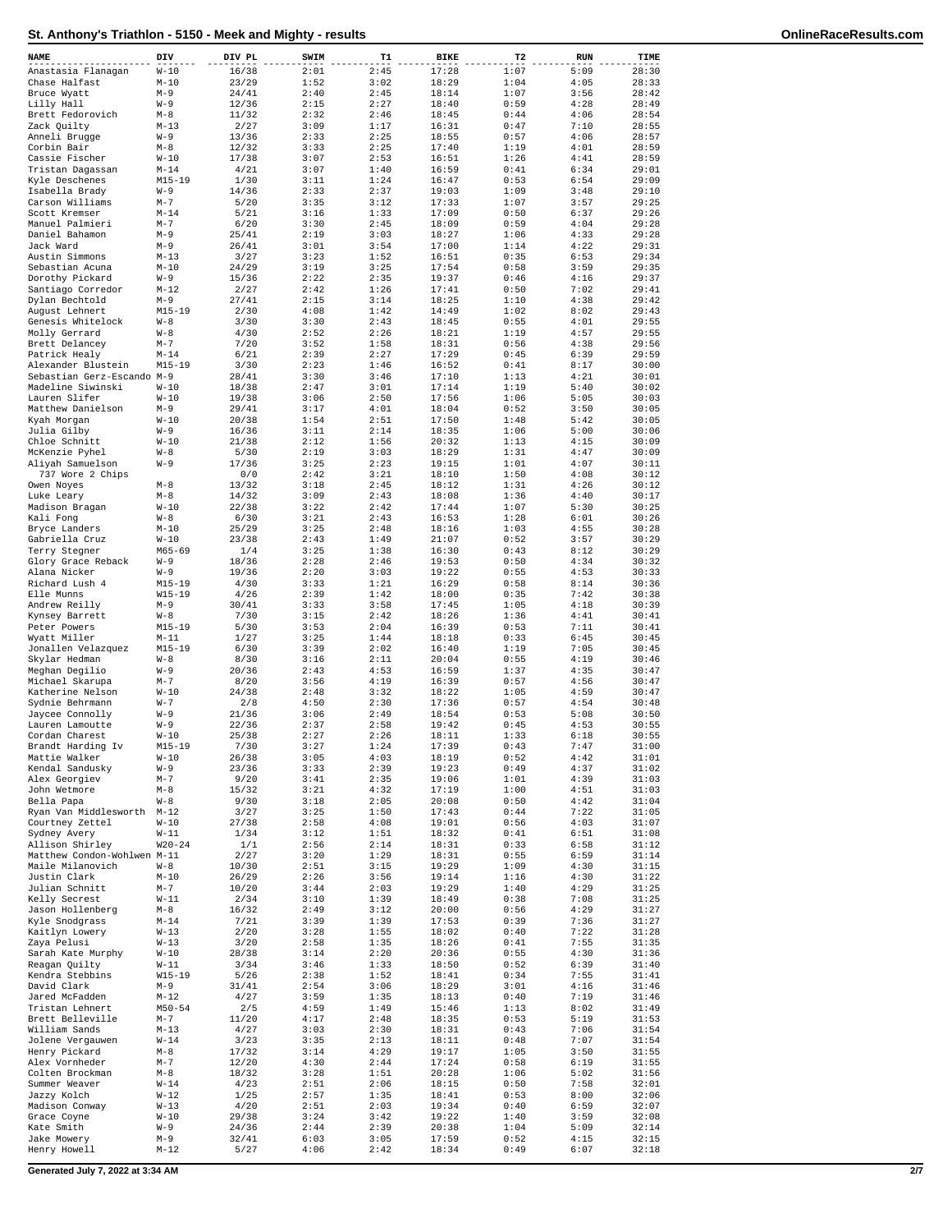| NAME                                          | DIV                   | DIV PL         | SWIM         | т1           | BIKE           | T2           | RUN          | TIME           |
|-----------------------------------------------|-----------------------|----------------|--------------|--------------|----------------|--------------|--------------|----------------|
| Anastasia Flanagan                            | $W-10$                | 16/38          | 2:01         | 2:45         | 17:28          | 1:07         | 5:09         | 28:30          |
| Chase Halfast                                 | $M-10$                | 23/29          | 1:52         | 3:02         | 18:29          | 1:04         | 4:05         | 28:33          |
| Bruce Wyatt                                   | $M-9$                 | 24/41          | 2:40         | 2:45         | 18:14          | 1:07         | 3:56         | 28:42          |
| Lilly Hall                                    | W-9                   | 12/36          | 2:15         | 2:27         | 18:40          | 0:59         | 4:28         | 28:49          |
| Brett Fedorovich                              | $M-8$                 | 11/32          | 2:32         | 2:46         | 18:45          | 0:44         | 4:06         | 28:54          |
| Zack Quilty<br>Anneli Brugge                  | $M-13$<br>$W - 9$     | 2/27<br>13/36  | 3:09<br>2:33 | 1:17<br>2:25 | 16:31<br>18:55 | 0:47<br>0:57 | 7:10<br>4:06 | 28:55<br>28:57 |
| Corbin Bair                                   | $M-8$                 | 12/32          | 3:33         | 2:25         | 17:40          | 1:19         | 4:01         | 28:59          |
| Cassie Fischer                                | $W-10$                | 17/38          | 3:07         | 2:53         | 16:51          | 1:26         | 4:41         | 28:59          |
| Tristan Dagassan                              | $M - 14$              | 4/21           | 3:07         | 1:40         | 16:59          | 0:41         | 6:34         | 29:01          |
| Kyle Deschenes                                | $M15 - 19$            | 1/30           | 3:11         | 1:24         | 16:47          | 0:53         | 6:54         | 29:09          |
| Isabella Brady                                | $W - 9$               | 14/36          | 2:33         | 2:37         | 19:03          | 1:09         | 3:48         | 29:10          |
| Carson Williams<br>Scott Kremser              | $M - 7$<br>$M - 14$   | 5/20<br>5/21   | 3:35<br>3:16 | 3:12<br>1:33 | 17:33<br>17:09 | 1:07<br>0:50 | 3:57<br>6:37 | 29:25<br>29:26 |
| Manuel Palmieri                               | $M - 7$               | 6/20           | 3:30         | 2:45         | 18:09          | 0:59         | 4:04         | 29:28          |
| Daniel Bahamon                                | $M-9$                 | 25/41          | 2:19         | 3:03         | 18:27          | 1:06         | 4:33         | 29:28          |
| Jack Ward                                     | $M-9$                 | 26/41          | 3:01         | 3:54         | 17:00          | 1:14         | 4:22         | 29:31          |
| Austin Simmons                                | $M-13$                | 3/27           | 3:23         | 1:52         | 16:51          | 0:35         | 6:53         | 29:34          |
| Sebastian Acuna<br>Dorothy Pickard            | $M-10$<br>$W - 9$     | 24/29<br>15/36 | 3:19<br>2:22 | 3:25<br>2:35 | 17:54<br>19:37 | 0:58<br>0:46 | 3:59<br>4:16 | 29:35<br>29:37 |
| Santiago Corredor                             | $M-12$                | 2/27           | 2:42         | 1:26         | 17:41          | 0:50         | 7:02         | 29:41          |
| Dylan Bechtold                                | $M-9$                 | 27/41          | 2:15         | 3:14         | 18:25          | 1:10         | 4:38         | 29:42          |
| August Lehnert                                | $M15 - 19$            | 2/30           | 4:08         | 1:42         | 14:49          | 1:02         | 8:02         | 29:43          |
| Genesis Whitelock                             | $W - 8$               | 3/30           | 3:30         | 2:43         | 18:45          | 0:55         | 4:01         | 29:55          |
| Molly Gerrard                                 | $W - 8$               | 4/30           | 2:52         | 2:26         | 18:21          | 1:19         | 4:57         | 29:55          |
| Brett Delancey<br>Patrick Healy               | $M - 7$<br>$M - 14$   | 7/20<br>6/21   | 3:52<br>2:39 | 1:58<br>2:27 | 18:31<br>17:29 | 0:56<br>0:45 | 4:38<br>6:39 | 29:56<br>29:59 |
| Alexander Blustein                            | $M15 - 19$            | 3/30           | 2:23         | 1:46         | 16:52          | 0:41         | 8:17         | 30:00          |
| Sebastian Gerz-Escando M-9                    |                       | 28/41          | 3:30         | 3:46         | 17:10          | 1:13         | 4:21         | 30:01          |
| Madeline Siwinski                             | $W-10$                | 18/38          | 2:47         | 3:01         | 17:14          | 1:19         | 5:40         | 30:02          |
| Lauren Slifer                                 | $W-10$                | 19/38          | 3:06         | 2:50         | 17:56          | 1:06         | 5:05         | 30:03          |
| Matthew Danielson<br>Kyah Morgan              | $M-9$<br>$W-10$       | 29/41<br>20/38 | 3:17<br>1:54 | 4:01<br>2:51 | 18:04<br>17:50 | 0:52<br>1:48 | 3:50<br>5:42 | 30:05<br>30:05 |
| Julia Gilby                                   | $W - 9$               | 16/36          | 3:11         | 2:14         | 18:35          | 1:06         | 5:00         | 30:06          |
| Chloe Schnitt                                 | $W-10$                | 21/38          | 2:12         | 1:56         | 20:32          | 1:13         | 4:15         | 30:09          |
| McKenzie Pyhel                                | $W - 8$               | 5/30           | 2:19         | 3:03         | 18:29          | 1:31         | 4:47         | 30:09          |
| Aliyah Samuelson                              | $W - 9$               | 17/36          | 3:25         | 2:23         | 19:15          | 1:01         | 4:07         | 30:11          |
| 737 Wore 2 Chips                              | $M-8$                 | 0/0<br>13/32   | 2:42<br>3:18 | 3:21<br>2:45 | 18:10<br>18:12 | 1:50<br>1:31 | 4:08<br>4:26 | 30:12<br>30:12 |
| Owen Noyes<br>Luke Leary                      | $M-8$                 | 14/32          | 3:09         | 2:43         | 18:08          | 1:36         | 4:40         | 30:17          |
| Madison Bragan                                | $W-10$                | 22/38          | 3:22         | 2:42         | 17:44          | 1:07         | 5:30         | 30:25          |
| Kali Fong                                     | $W - 8$               | 6/30           | 3:21         | 2:43         | 16:53          | 1:28         | 6:01         | 30:26          |
| Bryce Landers                                 | $M-10$                | 25/29          | 3:25         | 2:48         | 18:16          | 1:03         | 4:55         | 30:28          |
| Gabriella Cruz                                | $W-10$                | 23/38          | 2:43         | 1:49         | 21:07          | 0:52         | 3:57         | 30:29          |
| Terry Stegner<br>Glory Grace Reback           | $M65 - 69$<br>$W - 9$ | 1/4<br>18/36   | 3:25<br>2:28 | 1:38<br>2:46 | 16:30<br>19:53 | 0:43<br>0:50 | 8:12<br>4:34 | 30:29<br>30:32 |
| Alana Nicker                                  | $W - 9$               | 19/36          | 2:20         | 3:03         | 19:22          | 0:55         | 4:53         | 30:33          |
| Richard Lush 4                                | $M15 - 19$            | 4/30           | 3:33         | 1:21         | 16:29          | 0:58         | 8:14         | 30:36          |
| Elle Munns                                    | $W15 - 19$            | 4/26           | 2:39         | 1:42         | 18:00          | 0:35         | 7:42         | 30:38          |
| Andrew Reilly                                 | $M-9$                 | 30/41          | 3:33         | 3:58         | 17:45          | 1:05         | 4:18         | 30:39          |
| Kynsey Barrett<br>Peter Powers                | $W - 8$<br>$M15 - 19$ | 7/30<br>5/30   | 3:15<br>3:53 | 2:42<br>2:04 | 18:26<br>16:39 | 1:36<br>0:53 | 4:41<br>7:11 | 30:41<br>30:41 |
| Wyatt Miller                                  | $M-11$                | 1/27           | 3:25         | 1:44         | 18:18          | 0:33         | 6:45         | 30:45          |
| Jonallen Velazquez                            | $M15 - 19$            | 6/30           | 3:39         | 2:02         | 16:40          | 1:19         | 7:05         | 30:45          |
| Skylar Hedman                                 | $W - 8$               | 8/30           | 3:16         | 2:11         | 20:04          | 0:55         | 4:19         | 30:46          |
| Meghan Degilio                                | $W - 9$               | 20/36          | 2:43         | 4:53         | 16:59          | 1:37         | 4:35         | 30:47          |
| Michael Skarupa                               | $M - 7$<br>$W-10$     | 8/20<br>24/38  | 3:56<br>2:48 | 4:19<br>3:32 | 16:39          | 0:57<br>1:05 | 4:56<br>4:59 | 30:47<br>30:47 |
| Katherine Nelson<br>Sydnie Behrmann           | $W - 7$               | 2/8            | 4:50         | 2:30         | 18:22<br>17:36 | 0:57         | 4:54         | 30:48          |
| Jaycee Connolly                               | $W - 9$               | 21/36          | 3:06         | 2:49         | 18:54          | 0:53         | 5:08         | 30:50          |
| Lauren Lamoutte                               | W-9                   | 22/36          | 2:37         | 2:58         | 19:42          | 0:45         | 4:53         | 30:55          |
| Cordan Charest                                | $W-10$                | 25/38          | 2:27         | 2:26         | 18:11          | 1:33         | 6:18         | 30:55          |
| Brandt Harding Iv<br>Mattie Walker            | M15-19                | 7/30<br>26/38  | 3:27         | 1:24         | 17:39          | 0:43         | 7:47         | 31:00          |
| Kendal Sandusky                               | $W-10$<br>$W - 9$     | 23/36          | 3:05<br>3:33 | 4:03<br>2:39 | 18:19<br>19:23 | 0:52<br>0:49 | 4:42<br>4:37 | 31:01<br>31:02 |
| Alex Georgiev                                 | $M - 7$               | 9/20           | 3:41         | 2:35         | 19:06          | 1:01         | 4:39         | 31:03          |
| John Wetmore                                  | $M-8$                 | 15/32          | 3:21         | 4:32         | 17:19          | 1:00         | 4:51         | 31:03          |
| Bella Papa                                    | $W - 8$               | 9/30           | 3:18         | 2:05         | 20:08          | 0:50         | 4:42         | 31:04          |
| Ryan Van Middlesworth M-12<br>Courtney Zettel | $W-10$                | 3/27<br>27/38  | 3:25<br>2:58 | 1:50<br>4:08 | 17:43<br>19:01 | 0:44<br>0:56 | 7:22<br>4:03 | 31:05<br>31:07 |
| Sydney Avery                                  | $W-11$                | 1/34           | 3:12         | 1:51         | 18:32          | 0:41         | 6:51         | 31:08          |
| Allison Shirley                               | $W20 - 24$            | 1/1            | 2:56         | 2:14         | 18:31          | 0:33         | 6:58         | 31:12          |
| Matthew Condon-Wohlwen M-11                   |                       | 2/27           | 3:20         | 1:29         | 18:31          | 0:55         | 6:59         | 31:14          |
| Maile Milanovich                              | $W - 8$               | 10/30          | 2:51         | 3:15         | 19:29          | 1:09         | 4:30         | 31:15          |
| Justin Clark<br>Julian Schnitt                | $M-10$                | 26/29          | 2:26         | 3:56         | 19:14          | 1:16         | 4:30         | 31:22          |
| Kelly Secrest                                 | $M - 7$<br>$W-11$     | 10/20<br>2/34  | 3:44<br>3:10 | 2:03<br>1:39 | 19:29<br>18:49 | 1:40<br>0:38 | 4:29<br>7:08 | 31:25<br>31:25 |
| Jason Hollenberg                              | $M-8$                 | 16/32          | 2:49         | 3:12         | 20:00          | 0:56         | 4:29         | 31:27          |
| Kyle Snodgrass                                | $M-14$                | 7/21           | 3:39         | 1:39         | 17:53          | 0:39         | 7:36         | 31:27          |
| Kaitlyn Lowery                                | $W-13$                | 2/20           | 3:28         | 1:55         | 18:02          | 0:40         | 7:22         | 31:28          |
| Zaya Pelusi                                   | $W-13$                | 3/20           | 2:58         | 1:35         | 18:26          | 0:41         | 7:55         | 31:35          |
| Sarah Kate Murphy<br>Reagan Quilty            | $W-10$<br>W-11        | 28/38<br>3/34  | 3:14<br>3:46 | 2:20<br>1:33 | 20:36<br>18:50 | 0:55<br>0:52 | 4:30<br>6:39 | 31:36<br>31:40 |
| Kendra Stebbins                               | $W15 - 19$            | 5/26           | 2:38         | 1:52         | 18:41          | 0:34         | 7:55         | 31:41          |
| David Clark                                   | $M-9$                 | 31/41          | 2:54         | 3:06         | 18:29          | 3:01         | 4:16         | 31:46          |
| Jared McFadden                                | $M-12$                | 4/27           | 3:59         | 1:35         | 18:13          | 0:40         | 7:19         | 31:46          |
| Tristan Lehnert                               | $M50 - 54$            | 2/5            | 4:59         | 1:49         | 15:46          | 1:13         | 8:02         | 31:49          |
| Brett Belleville<br>William Sands             | $M - 7$<br>$M-13$     | 11/20<br>4/27  | 4:17<br>3:03 | 2:48         | 18:35          | 0:53         | 5:19<br>7:06 | 31:53          |
| Jolene Vergauwen                              | $W-14$                | 3/23           | 3:35         | 2:30<br>2:13 | 18:31<br>18:11 | 0:43<br>0:48 | 7:07         | 31:54<br>31:54 |
| Henry Pickard                                 | $M-8$                 | 17/32          | 3:14         | 4:29         | 19:17          | 1:05         | 3:50         | 31:55          |
| Alex Vornheder                                | $M-7$                 | 12/20          | 4:30         | 2:44         | 17:24          | 0:58         | 6:19         | 31:55          |
| Colten Brockman                               | $M-8$                 | 18/32          | 3:28         | 1:51         | 20:28          | 1:06         | 5:02         | 31:56          |
| Summer Weaver                                 | $W-14$                | 4/23           | 2:51         | 2:06         | 18:15          | 0:50         | 7:58         | 32:01          |
| Jazzy Kolch<br>Madison Conway                 | $W-12$<br>$W-13$      | 1/25<br>4/20   | 2:57<br>2:51 | 1:35<br>2:03 | 18:41<br>19:34 | 0:53<br>0:40 | 8:00<br>6:59 | 32:06<br>32:07 |
| Grace Coyne                                   | $W-10$                | 29/38          | 3:24         | 3:42         | 19:22          | 1:40         | 3:59         | 32:08          |
| Kate Smith                                    | $W - 9$               | 24/36          | 2:44         | 2:39         | 20:38          | 1:04         | 5:09         | 32:14          |
| Jake Mowery                                   | $M-9$                 | 32/41          | 6:03         | 3:05         | 17:59          | 0:52         | 4:15         | 32:15          |
| Henry Howell                                  | $M-12$                | 5/27           | 4:06         | 2:42         | 18:34          | 0:49         | 6:07         | 32:18          |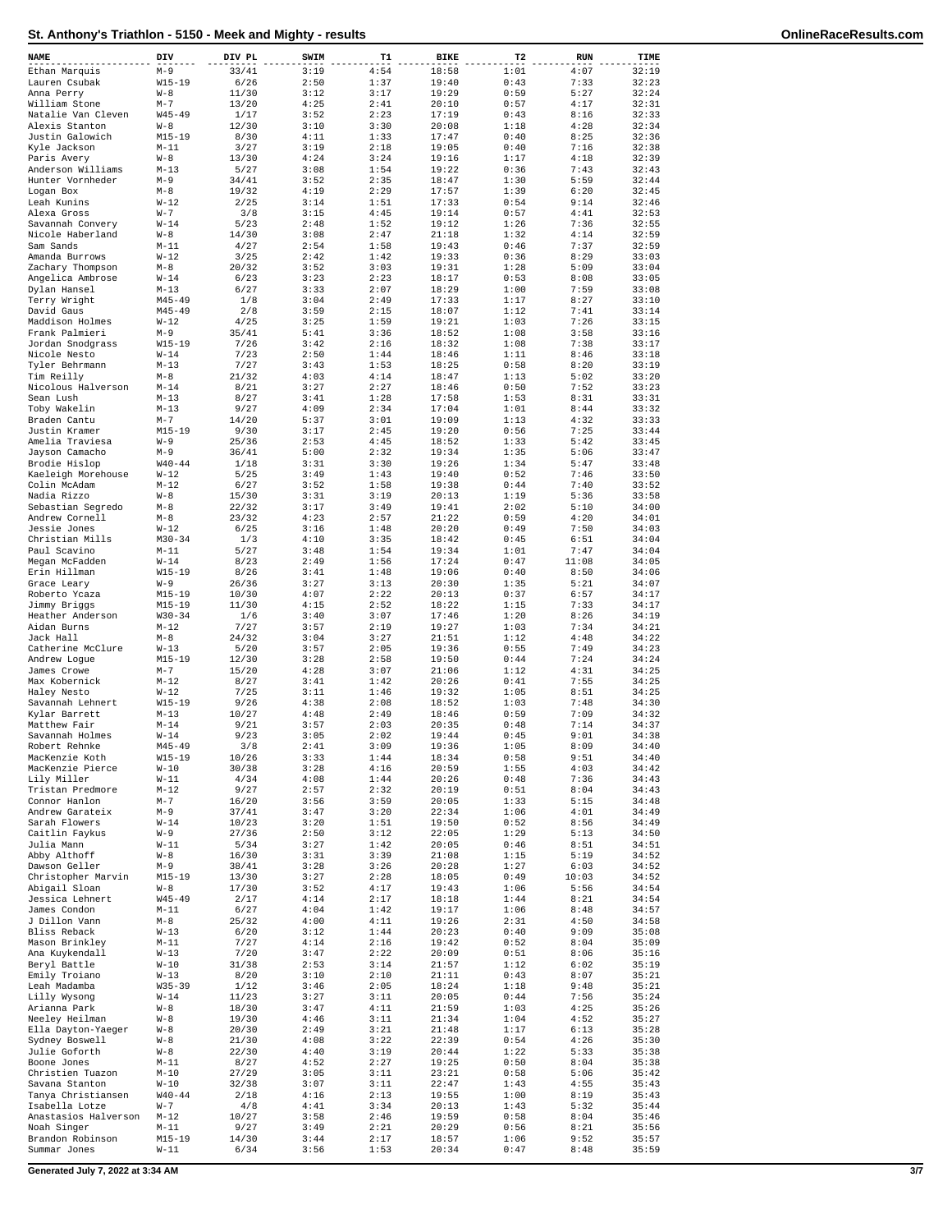| NAME                                 | DIV                      | DIV PL         | SWIM         | T1           | <b>BIKE</b>    | T2                  | <b>RUN</b>    | TIME           |
|--------------------------------------|--------------------------|----------------|--------------|--------------|----------------|---------------------|---------------|----------------|
| Ethan Marquis                        | $M-9$                    | 33/41          | 3:19         | 4:54         | 18:58          | 1:01                | 4:07          | 32:19          |
| Lauren Csubak                        | $W15 - 19$               | 6/26           | 2:50         | 1:37         | 19:40          | 0:43                | 7:33          | 32:23          |
| Anna Perry                           | $W - 8$                  | 11/30          | 3:12         | 3:17         | 19:29          | 0:59                | 5:27          | 32:24          |
| William Stone<br>Natalie Van Cleven  | $M - 7$<br>$W45 - 49$    | 13/20<br>1/17  | 4:25<br>3:52 | 2:41<br>2:23 | 20:10<br>17:19 | 0:57<br>0:43        | 4:17<br>8:16  | 32:31<br>32:33 |
| Alexis Stanton                       | $W - 8$                  | 12/30          | 3:10         | 3:30         | 20:08          | 1:18                | 4:28          | 32:34          |
| Justin Galowich                      | $M15 - 19$               | 8/30           | 4:11         | 1:33         | 17:47          | 0:40                | 8:25          | 32:36          |
| Kyle Jackson                         | $M-11$                   | 3/27           | 3:19         | 2:18         | 19:05          | 0:40                | 7:16          | 32:38          |
| Paris Avery                          | $W - 8$                  | 13/30          | 4:24         | 3:24         | 19:16          | 1:17                | 4:18          | 32:39          |
| Anderson Williams                    | $M-13$                   | 5/27           | 3:08         | 1:54         | 19:22          | 0:36                | 7:43          | 32:43          |
| Hunter Vornheder<br>Logan Box        | $M-9$<br>$M-8$           | 34/41<br>19/32 | 3:52<br>4:19 | 2:35<br>2:29 | 18:47<br>17:57 | 1:30<br>1:39        | 5:59<br>6:20  | 32:44<br>32:45 |
| Leah Kunins                          | $W-12$                   | 2/25           | 3:14         | 1:51         | 17:33          | 0:54                | 9:14          | 32:46          |
| Alexa Gross                          | $W - 7$                  | 3/8            | 3:15         | 4:45         | 19:14          | 0:57                | 4:41          | 32:53          |
| Savannah Convery                     | $W-14$                   | 5/23           | 2:48         | 1:52         | 19:12          | 1:26                | 7:36          | 32:55          |
| Nicole Haberland                     | $W - 8$                  | 14/30          | 3:08         | 2:47         | 21:18          | 1:32                | 4:14          | 32:59          |
| Sam Sands<br>Amanda Burrows          | $M-11$<br>$W-12$         | 4/27<br>3/25   | 2:54<br>2:42 | 1:58<br>1:42 | 19:43<br>19:33 | 0:46<br>0:36        | 7:37<br>8:29  | 32:59<br>33:03 |
| Zachary Thompson                     | $M-8$                    | 20/32          | 3:52         | 3:03         | 19:31          | 1:28                | 5:09          | 33:04          |
| Angelica Ambrose                     | $W-14$                   | 6/23           | 3:23         | 2:23         | 18:17          | 0:53                | 8:08          | 33:05          |
| Dylan Hansel                         | $M - 13$                 | 6/27           | 3:33         | 2:07         | 18:29          | 1:00                | 7:59          | 33:08          |
| Terry Wright                         | $M45 - 49$               | 1/8            | 3:04         | 2:49         | 17:33          | 1:17                | 8:27          | 33:10          |
| David Gaus<br>Maddison Holmes        | $M45 - 49$<br>$W-12$     | 2/8<br>4/25    | 3:59<br>3:25 | 2:15<br>1:59 | 18:07<br>19:21 | 1:12<br>1:03        | 7:41<br>7:26  | 33:14<br>33:15 |
| Frank Palmieri                       | $M-9$                    | 35/41          | 5:41         | 3:36         | 18:52          | 1:08                | 3:58          | 33:16          |
| Jordan Snodgrass                     | $W15 - 19$               | 7/26           | 3:42         | 2:16         | 18:32          | 1:08                | 7:38          | 33:17          |
| Nicole Nesto                         | $W-14$                   | 7/23           | 2:50         | 1:44         | 18:46          | 1:11                | 8:46          | 33:18          |
| Tyler Behrmann                       | $M-13$                   | 7/27           | 3:43         | 1:53         | 18:25          | 0:58                | 8:20          | 33:19          |
| Tim Reilly                           | $M-8$                    | 21/32          | 4:03         | 4:14         | 18:47          | 1:13                | 5:02          | 33:20          |
| Nicolous Halverson<br>Sean Lush      | $M - 14$<br>$M - 13$     | 8/21<br>8/27   | 3:27<br>3:41 | 2:27<br>1:28 | 18:46<br>17:58 | 0:50<br>1:53        | 7:52<br>8:31  | 33:23<br>33:31 |
| Toby Wakelin                         | $M-13$                   | 9/27           | 4:09         | 2:34         | 17:04          | 1:01                | 8:44          | 33:32          |
| Braden Cantu                         | $M - 7$                  | 14/20          | 5:37         | 3:01         | 19:09          | 1:13                | 4:32          | 33:33          |
| Justin Kramer                        | $M15 - 19$               | 9/30           | 3:17         | 2:45         | 19:20          | 0:56                | 7:25          | 33:44          |
| Amelia Traviesa                      | $W - 9$                  | 25/36          | 2:53         | 4:45         | 18:52          | 1:33                | 5:42          | 33:45          |
| Jayson Camacho                       | $M-9$                    | 36/41          | 5:00         | 2:32         | 19:34          | 1:35                | 5:06          | 33:47          |
| Brodie Hislop<br>Kaeleigh Morehouse  | $W40 - 44$<br>$W-12$     | 1/18<br>5/25   | 3:31<br>3:49 | 3:30<br>1:43 | 19:26<br>19:40 | 1:34<br>0:52        | 5:47<br>7:46  | 33:48<br>33:50 |
| Colin McAdam                         | $M - 12$                 | 6/27           | 3:52         | 1:58         | 19:38          | 0:44                | 7:40          | 33:52          |
| Nadia Rizzo                          | $W - 8$                  | 15/30          | 3:31         | 3:19         | 20:13          | 1:19                | 5:36          | 33:58          |
| Sebastian Segredo                    | $M-8$                    | 22/32          | 3:17         | 3:49         | 19:41          | 2:02                | 5:10          | 34:00          |
| Andrew Cornell                       | $M-8$                    | 23/32          | 4:23         | 2:57         | 21:22          | 0:59                | 4:20          | 34:01          |
| Jessie Jones                         | $W-12$                   | 6/25           | 3:16         | 1:48         | 20:20          | 0:49                | 7:50          | 34:03          |
| Christian Mills<br>Paul Scavino      | $M30 - 34$<br>$M-11$     | 1/3<br>5/27    | 4:10<br>3:48 | 3:35<br>1:54 | 18:42<br>19:34 | 0:45<br>1:01        | 6:51<br>7:47  | 34:04<br>34:04 |
| Megan McFadden                       | $W-14$                   | 8/23           | 2:49         | 1:56         | 17:24          | 0:47                | 11:08         | 34:05          |
| Erin Hillman                         | $W15 - 19$               | 8/26           | 3:41         | 1:48         | 19:06          | 0:40                | 8:50          | 34:06          |
| Grace Leary                          | $W-9$                    | 26/36          | 3:27         | 3:13         | 20:30          | 1:35                | 5:21          | 34:07          |
| Roberto Ycaza                        | $M15 - 19$               | 10/30          | 4:07         | 2:22         | 20:13          | 0:37                | 6:57          | 34:17          |
| Jimmy Briggs<br>Heather Anderson     | $M15 - 19$<br>$W30 - 34$ | 11/30<br>1/6   | 4:15<br>3:40 | 2:52<br>3:07 | 18:22<br>17:46 | 1:15<br>1:20        | 7:33<br>8:26  | 34:17<br>34:19 |
| Aidan Burns                          | $M-12$                   | 7/27           | 3:57         | 2:19         | 19:27          | 1:03                | 7:34          | 34:21          |
| Jack Hall                            | $M-8$                    | 24/32          | 3:04         | 3:27         | 21:51          | 1:12                | 4:48          | 34:22          |
| Catherine McClure                    | $W-13$                   | 5/20           | 3:57         | 2:05         | 19:36          | 0:55                | 7:49          | 34:23          |
| Andrew Logue                         | $M15 - 19$               | 12/30          | 3:28         | 2:58         | 19:50          | 0:44                | 7:24          | 34:24          |
| James Crowe<br>Max Kobernick         | $M - 7$<br>$M - 12$      | 15/20<br>8/27  | 4:28<br>3:41 | 3:07<br>1:42 | 21:06<br>20:26 | 1:12<br>0:41        | 4:31<br>7:55  | 34:25<br>34:25 |
| Halev Nesto                          | $W-12$                   | 7/25           | 3:11         | 1:46         | 19:32          | 1:05                | 8:51          | 34:25          |
| Savannah Lehnert                     | $W15 - 19$               | 9/26           | 4:38         | 2:08         | 18:52          | 1:03                | 7:48          | 34:30          |
| Kylar Barrett                        | $M - 13$                 | 10/27          | 4:48         | 2:49         | 18:46          | 0:59                | 7:09          | 34:32          |
| Matthew Fair                         | $M - 14$                 | 9/21           | 3:57         | 2:03         | 20:35          | 0:48                | 7:14          | 34:37          |
| Savannah Holmes                      | $W-14$                   | 9/23           | 3:05         | 2:02         | 19:44          | 0:45                | 9:01          | 34:38          |
| Robert Rennke<br>MacKenzie Koth      | M45-49<br>$W15 - 19$     | 3/8<br>10/26   | 2:41<br>3:33 | 3:09<br>1:44 | 19:30<br>18:34 | <b>T:02</b><br>0:58 | 8:09<br>9:51  | 34:40<br>34:40 |
| MacKenzie Pierce                     | $W-10$                   | 30/38          | 3:28         | 4:16         | 20:59          | 1:55                | 4:03          | 34:42          |
| Lily Miller                          | $W-11$                   | 4/34           | 4:08         | 1:44         | 20:26          | 0:48                | 7:36          | 34:43          |
| Tristan Predmore                     | $M-12$                   | 9/27           | 2:57         | 2:32         | 20:19          | 0:51                | 8:04          | 34:43          |
| Connor Hanlon                        | $M-7$                    | 16/20          | 3:56         | 3:59         | 20:05          | 1:33                | 5:15          | 34:48          |
| Andrew Garateix<br>Sarah Flowers     | $M-9$<br>$W-14$          | 37/41<br>10/23 | 3:47<br>3:20 | 3:20<br>1:51 | 22:34<br>19:50 | 1:06<br>0:52        | 4:01<br>8:56  | 34:49<br>34:49 |
| Caitlin Faykus                       | $W - 9$                  | 27/36          | 2:50         | 3:12         | 22:05          | 1:29                | 5:13          | 34:50          |
| Julia Mann                           | $W-11$                   | 5/34           | 3:27         | 1:42         | 20:05          | 0:46                | 8:51          | 34:51          |
| Abby Althoff                         | $W - 8$                  | 16/30          | 3:31         | 3:39         | 21:08          | 1:15                | 5:19          | 34:52          |
| Dawson Geller                        | $M-9$                    | 38/41          | 3:28         | 3:26         | 20:28          | 1:27                | 6:03          | 34:52          |
| Christopher Marvin<br>Abigail Sloan  | $M15 - 19$<br>$W - 8$    | 13/30<br>17/30 | 3:27<br>3:52 | 2:28<br>4:17 | 18:05<br>19:43 | 0:49<br>1:06        | 10:03<br>5:56 | 34:52<br>34:54 |
| Jessica Lehnert                      | $W45 - 49$               | 2/17           | 4:14         | 2:17         | 18:18          | 1:44                | 8:21          | 34:54          |
| James Condon                         | $M-11$                   | 6/27           | 4:04         | 1:42         | 19:17          | 1:06                | 8:48          | 34:57          |
| J Dillon Vann                        | $M-8$                    | 25/32          | 4:00         | 4:11         | 19:26          | 2:31                | 4:50          | 34:58          |
| Bliss Reback                         | $W-13$                   | 6/20           | 3:12         | 1:44         | 20:23          | 0:40                | 9:09          | 35:08          |
| Mason Brinkley<br>Ana Kuykendall     | $M-11$<br>$W-13$         | 7/27<br>7/20   | 4:14<br>3:47 | 2:16<br>2:22 | 19:42<br>20:09 | 0:52<br>0:51        | 8:04<br>8:06  | 35:09<br>35:16 |
| Beryl Battle                         | $W-10$                   | 31/38          | 2:53         | 3:14         | 21:57          | 1:12                | 6:02          | 35:19          |
| Emily Troiano                        | $W-13$                   | 8/20           | 3:10         | 2:10         | 21:11          | 0:43                | 8:07          | 35:21          |
| Leah Madamba                         | $W35 - 39$               | 1/12           | 3:46         | 2:05         | 18:24          | 1:18                | 9:48          | 35:21          |
| Lilly Wysong                         | $W-14$                   | 11/23          | 3:27         | 3:11         | 20:05          | 0:44                | 7:56          | 35:24          |
| Arianna Park                         | $W - 8$                  | 18/30          | 3:47         | 4:11         | 21:59          | 1:03                | 4:25          | 35:26          |
| Neeley Heilman<br>Ella Dayton-Yaeger | $W - 8$<br>$W - 8$       | 19/30<br>20/30 | 4:46<br>2:49 | 3:11<br>3:21 | 21:34<br>21:48 | 1:04<br>1:17        | 4:52<br>6:13  | 35:27<br>35:28 |
| Sydney Boswell                       | $W - 8$                  | 21/30          | 4:08         | 3:22         | 22:39          | 0:54                | 4:26          | 35:30          |
| Julie Goforth                        | $W - 8$                  | 22/30          | 4:40         | 3:19         | 20:44          | 1:22                | 5:33          | 35:38          |
| Boone Jones                          | $M-11$                   | 8/27           | 4:52         | 2:27         | 19:25          | 0:50                | 8:04          | 35:38          |
| Christien Tuazon                     | $M-10$                   | 27/29          | 3:05         | 3:11         | 23:21          | 0:58                | 5:06          | 35:42          |
| Savana Stanton<br>Tanya Christiansen | $W-10$<br>$W40 - 44$     | 32/38<br>2/18  | 3:07<br>4:16 | 3:11<br>2:13 | 22:47<br>19:55 | 1:43<br>1:00        | 4:55<br>8:19  | 35:43<br>35:43 |
| Isabella Lotze                       | $W - 7$                  | 4/8            | 4:41         | 3:34         | 20:13          | 1:43                | 5:32          | 35:44          |
| Anastasios Halverson                 | $M-12$                   | 10/27          | 3:58         | 2:46         | 19:59          | 0:58                | 8:04          | 35:46          |
| Noah Singer                          | M-11                     | 9/27           | 3:49         | 2:21         | 20:29          | 0:56                | 8:21          | 35:56          |
| Brandon Robinson                     | $M15 - 19$               | 14/30          | 3:44         | 2:17         | 18:57          | 1:06                | 9:52          | 35:57          |
| Summar Jones                         | W-11                     | 6/34           | 3:56         | 1:53         | 20:34          | 0:47                | 8:48          | 35:59          |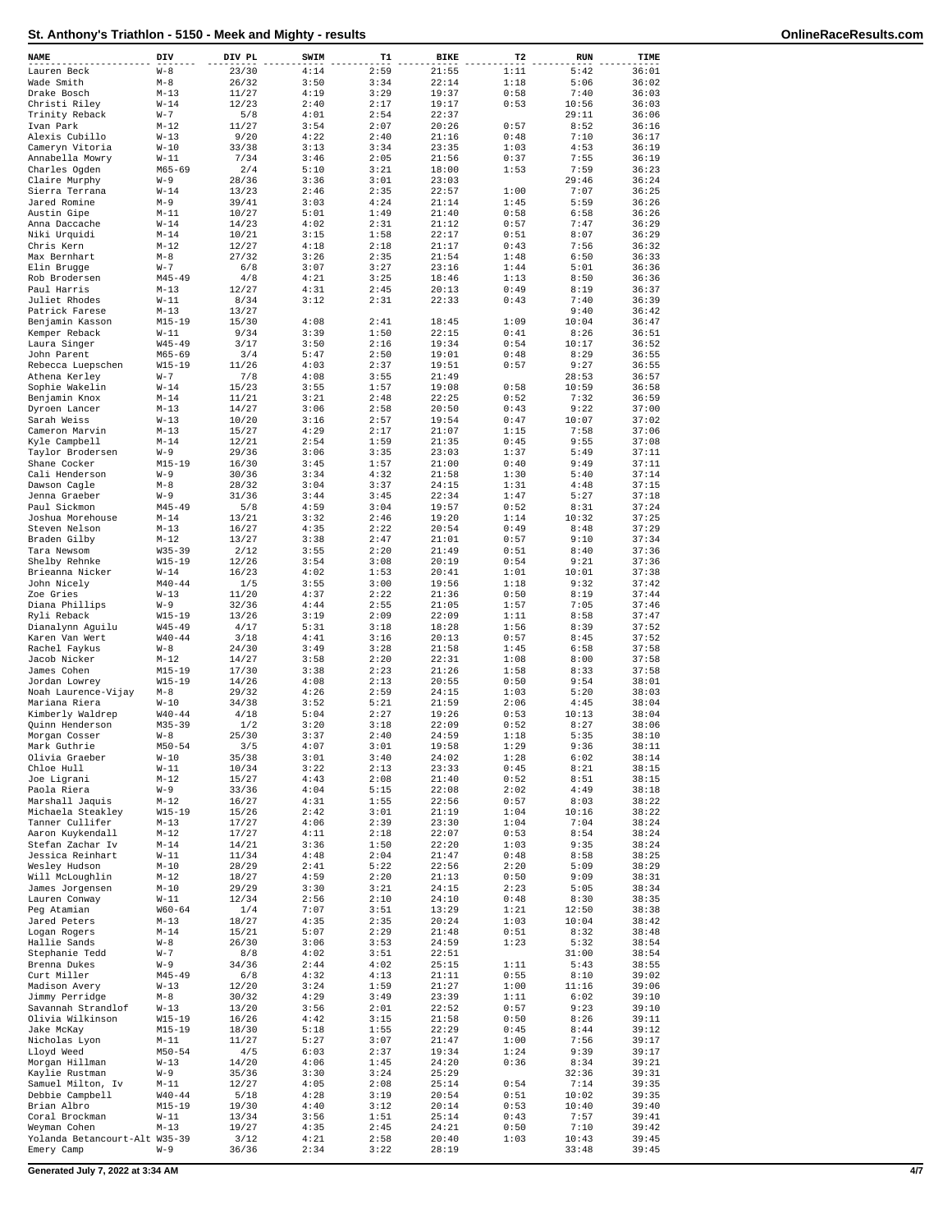| NAME                                 | DIV                      | DIV PL         | SWIM         | T1           | BIKE           | T <sub>2</sub> | <b>RUN</b>     | TIME           |
|--------------------------------------|--------------------------|----------------|--------------|--------------|----------------|----------------|----------------|----------------|
| Lauren Beck                          | $W - 8$                  | 23/30          | 4:14         | 2:59         | 21:55          | 1:11           | 5:42           | 36:01          |
| Wade Smith                           | $M-8$                    | 26/32          | 3:50         | 3:34         | 22:14          | 1:18           | 5:06           | 36:02          |
| Drake Bosch                          | $M - 13$                 | 11/27          | 4:19         | 3:29         | 19:37          | 0:58           | 7:40           | 36:03          |
| Christi Riley                        | $W-14$                   | 12/23          | 2:40         | 2:17         | 19:17          | 0:53           | 10:56          | 36:03          |
| Trinity Reback                       | $W - 7$<br>$M-12$        | 5/8            | 4:01<br>3:54 | 2:54<br>2:07 | 22:37<br>20:26 | 0:57           | 29:11<br>8:52  | 36:06          |
| Ivan Park<br>Alexis Cubillo          | $W-13$                   | 11/27<br>9/20  | 4:22         | 2:40         | 21:16          | 0:48           | 7:10           | 36:16<br>36:17 |
| Cameryn Vitoria                      | $W-10$                   | 33/38          | 3:13         | 3:34         | 23:35          | 1:03           | 4:53           | 36:19          |
| Annabella Mowry                      | $W-11$                   | 7/34           | 3:46         | 2:05         | 21:56          | 0:37           | 7:55           | 36:19          |
| Charles Ogden                        | $M65 - 69$               | 2/4            | 5:10         | 3:21         | 18:00          | 1:53           | 7:59           | 36:23          |
| Claire Murphy                        | $W-9$                    | 28/36          | 3:36         | 3:01         | 23:03          |                | 29:46          | 36:24          |
| Sierra Terrana                       | $W-14$                   | 13/23          | 2:46         | 2:35         | 22:57          | 1:00           | 7:07           | 36:25          |
| Jared Romine                         | $M-9$<br>$M - 11$        | 39/41<br>10/27 | 3:03         | 4:24         | 21:14<br>21:40 | 1:45<br>0:58   | 5:59           | 36:26<br>36:26 |
| Austin Gipe<br>Anna Daccache         | $W-14$                   | 14/23          | 5:01<br>4:02 | 1:49<br>2:31 | 21:12          | 0:57           | 6:58<br>7:47   | 36:29          |
| Niki Urquidi                         | $M - 14$                 | 10/21          | 3:15         | 1:58         | 22:17          | 0:51           | 8:07           | 36:29          |
| Chris Kern                           | $M - 1.2$                | 12/27          | 4:18         | 2:18         | 21:17          | 0:43           | 7:56           | 36:32          |
| Max Bernhart                         | $M-8$                    | 27/32          | 3:26         | 2:35         | 21:54          | 1:48           | 6:50           | 36:33          |
| Elin Brugge                          | $W - 7$                  | 6/8            | 3:07         | 3:27         | 23:16          | 1:44           | 5:01           | 36:36          |
| Rob Brodersen                        | $M45 - 49$               | 4/8            | 4:21         | 3:25         | 18:46          | 1:13           | 8:50           | 36:36          |
| Paul Harris<br>Juliet Rhodes         | $M-13$<br>$W-11$         | 12/27<br>8/34  | 4:31<br>3:12 | 2:45<br>2:31 | 20:13<br>22:33 | 0:49<br>0:43   | 8:19<br>7:40   | 36:37<br>36:39 |
| Patrick Farese                       | $M - 13$                 | 13/27          |              |              |                |                | 9:40           | 36:42          |
| Benjamin Kasson                      | $M15 - 19$               | 15/30          | 4:08         | 2:41         | 18:45          | 1:09           | 10:04          | 36:47          |
| Kemper Reback                        | $W-11$                   | 9/34           | 3:39         | 1:50         | 22:15          | 0:41           | 8:26           | 36:51          |
| Laura Singer                         | $W45 - 49$               | 3/17           | 3:50         | 2:16         | 19:34          | 0:54           | 10:17          | 36:52          |
| John Parent                          | $M65 - 69$               | 3/4            | 5:47         | 2:50         | 19:01          | 0:48           | 8:29           | 36:55          |
| Rebecca Luepschen                    | $W15 - 19$               | 11/26          | 4:03         | 2:37         | 19:51          | 0:57           | 9:27           | 36:55          |
| Athena Kerley<br>Sophie Wakelin      | $W - 7$<br>$W-14$        | 7/8<br>15/23   | 4:08<br>3:55 | 3:55<br>1:57 | 21:49<br>19:08 | 0:58           | 28:53<br>10:59 | 36:57<br>36:58 |
| Benjamin Knox                        | $M - 14$                 | 11/21          | 3:21         | 2:48         | 22:25          | 0:52           | 7:32           | 36:59          |
| Dyroen Lancer                        | $M - 13$                 | 14/27          | 3:06         | 2:58         | 20:50          | 0:43           | 9:22           | 37:00          |
| Sarah Weiss                          | $W-13$                   | 10/20          | 3:16         | 2:57         | 19:54          | 0:47           | 10:07          | 37:02          |
| Cameron Marvin                       | $M - 13$                 | 15/27          | 4:29         | 2:17         | 21:07          | 1:15           | 7:58           | 37:06          |
| Kyle Campbell                        | $M - 14$                 | 12/21          | 2:54         | 1:59         | 21:35          | 0:45           | 9:55           | 37:08          |
| Taylor Brodersen                     | $W - 9$                  | 29/36          | 3:06         | 3:35         | 23:03          | 1:37<br>0:40   | 5:49           | 37:11          |
| Shane Cocker<br>Cali Henderson       | $M15 - 19$<br>$W-9$      | 16/30<br>30/36 | 3:45<br>3:34 | 1:57<br>4:32 | 21:00<br>21:58 | 1:30           | 9:49<br>5:40   | 37:11<br>37:14 |
| Dawson Cagle                         | $M-8$                    | 28/32          | 3:04         | 3:37         | 24:15          | 1:31           | 4:48           | 37:15          |
| Jenna Graeber                        | $W-9$                    | 31/36          | 3:44         | 3:45         | 22:34          | 1:47           | 5:27           | 37:18          |
| Paul Sickmon                         | $M45 - 49$               | 5/8            | 4:59         | 3:04         | 19:57          | 0:52           | 8:31           | 37:24          |
| Joshua Morehouse                     | $M - 14$                 | 13/21          | 3:32         | 2:46         | 19:20          | 1:14           | 10:32          | 37:25          |
| Steven Nelson                        | $M - 13$                 | 16/27          | 4:35         | 2:22         | 20:54          | 0:49           | 8:48           | 37:29          |
| Braden Gilby                         | $M-12$                   | 13/27          | 3:38         | 2:47         | 21:01          | 0:57           | 9:10           | 37:34          |
| Tara Newsom<br>Shelby Rehnke         | $W35 - 39$<br>$W15 - 19$ | 2/12<br>12/26  | 3:55<br>3:54 | 2:20<br>3:08 | 21:49<br>20:19 | 0:51<br>0:54   | 8:40<br>9:21   | 37:36<br>37:36 |
| Brieanna Nicker                      | $W-14$                   | 16/23          | 4:02         | 1:53         | 20:41          | 1:01           | 10:01          | 37:38          |
| John Nicely                          | $M40 - 44$               | 1/5            | 3:55         | 3:00         | 19:56          | 1:18           | 9:32           | 37:42          |
| Zoe Gries                            | $W-13$                   | 11/20          | 4:37         | 2:22         | 21:36          | 0:50           | 8:19           | 37:44          |
| Diana Phillips                       | $W-9$                    | 32/36          | 4:44         | 2:55         | 21:05          | 1:57           | 7:05           | 37:46          |
| Ryli Reback                          | W15-19                   | 13/26          | 3:19         | 2:09         | 22:09          | 1:11           | 8:58           | 37:47          |
| Dianalynn Aguilu                     | $W45 - 49$<br>$W40 - 44$ | 4/17           | 5:31<br>4:41 | 3:18<br>3:16 | 18:28<br>20:13 | 1:56<br>0:57   | 8:39           | 37:52<br>37:52 |
| Karen Van Wert<br>Rachel Faykus      | $W - 8$                  | 3/18<br>24/30  | 3:49         | 3:28         | 21:58          | 1:45           | 8:45<br>6:58   | 37:58          |
| Jacob Nicker                         | $M-12$                   | 14/27          | 3:58         | 2:20         | 22:31          | 1:08           | 8:00           | 37:58          |
| James Cohen                          | $M15 - 19$               | 17/30          | 3:38         | 2:23         | 21:26          | 1:58           | 8:33           | 37:58          |
| Jordan Lowrey                        | $W15 - 19$               | 14/26          | 4:08         | 2:13         | 20:55          | 0:50           | 9:54           | 38:01          |
| Noah Laurence-Vijay                  | $M-8$                    | 29/32          | 4:26         | 2:59         | 24:15          | 1:03           | 5:20           | 38:03          |
| Mariana Riera                        | $W-10$                   | 34/38          | 3:52         | 5:21         | 21:59          | 2:06           | 4:45           | 38:04          |
| Kimberly Waldrep<br>Quinn Henderson  | $W40 - 44$<br>$M35 - 39$ | 4/18<br>1/2    | 5:04<br>3:20 | 2:27<br>3:18 | 19:26<br>22:09 | 0:53<br>0:52   | 10:13<br>8:27  | 38:04<br>38:06 |
| Morgan Cosser                        | $W - 8$                  | 25/30          | 3:37         | 2:40         | 24:59          | 1:18           | 5:35           | 38:10          |
| Mark Guthrie                         | $M50 - 54$               | 3/5            | 4:07         | 3:01         | 19:58          | 1:29           | 9:36           | 38:11          |
| Olivia Graeber                       | $W-10$                   | 35/38          | 3:01         | 3:40         | 24:02          | 1:28           | 6:02           | 38:14          |
| Chloe Hull                           | $W-11$                   | 10/34          | 3:22         | 2:13         | 23:33          | 0:45           | 8:21           | 38:15          |
| Joe Ligrani                          | $M-12$                   | 15/27          | 4:43         | 2:08         | 21:40          | 0:52           | 8:51           | 38:15          |
| Paola Riera                          | $W - 9$                  | 33/36          | 4:04         | 5:15         | 22:08          | 2:02           | 4:49           | 38:18          |
| Marshall Jaquis<br>Michaela Steakley | $M-12$<br>$W15 - 19$     | 16/27<br>15/26 | 4:31<br>2:42 | 1:55<br>3:01 | 22:56<br>21:19 | 0:57<br>1:04   | 8:03<br>10:16  | 38:22<br>38:22 |
| Tanner Cullifer                      | $M-13$                   | 17/27          | 4:06         | 2:39         | 23:30          | 1:04           | 7:04           | 38:24          |
| Aaron Kuykendall                     | $M-12$                   | 17/27          | 4:11         | 2:18         | 22:07          | 0:53           | 8:54           | 38:24          |
| Stefan Zachar Iv                     | $M - 14$                 | 14/21          | 3:36         | 1:50         | 22:20          | 1:03           | 9:35           | 38:24          |
| Jessica Reinhart                     | $W-11$                   | 11/34          | 4:48         | 2:04         | 21:47          | 0:48           | 8:58           | 38:25          |
| Wesley Hudson<br>Will McLoughlin     | $M-10$                   | 28/29<br>18/27 | 2:41         | 5:22         | 22:56<br>21:13 | 2:20           | 5:09           | 38:29          |
| James Jorgensen                      | $M-12$<br>$M-10$         | 29/29          | 4:59<br>3:30 | 2:20<br>3:21 | 24:15          | 0:50<br>2:23   | 9:09<br>5:05   | 38:31<br>38:34 |
| Lauren Conway                        | $W-11$                   | 12/34          | 2:56         | 2:10         | 24:10          | 0:48           | 8:30           | 38:35          |
| Peg Atamian                          | $W60 - 64$               | 1/4            | 7:07         | 3:51         | 13:29          | 1:21           | 12:50          | 38:38          |
| Jared Peters                         | $M-13$                   | 18/27          | 4:35         | 2:35         | 20:24          | 1:03           | 10:04          | 38:42          |
| Logan Rogers                         | $M - 14$                 | 15/21          | 5:07         | 2:29         | 21:48          | 0:51           | 8:32           | 38:48          |
| Hallie Sands<br>Stephanie Tedd       | $W - 8$<br>$W - 7$       | 26/30<br>8/8   | 3:06<br>4:02 | 3:53<br>3:51 | 24:59<br>22:51 | 1:23           | 5:32<br>31:00  | 38:54<br>38:54 |
| Brenna Dukes                         | $W - 9$                  | 34/36          | 2:44         | 4:02         | 25:15          | 1:11           | 5:43           | 38:55          |
| Curt Miller                          | $M45 - 49$               | 6/8            | 4:32         | 4:13         | 21:11          | 0:55           | 8:10           | 39:02          |
| Madison Avery                        | $W-13$                   | 12/20          | 3:24         | 1:59         | 21:27          | 1:00           | 11:16          | 39:06          |
| Jimmy Perridge                       | $M-8$                    | 30/32          | 4:29         | 3:49         | 23:39          | 1:11           | 6:02           | 39:10          |
| Savannah Strandlof                   | $W-13$                   | 13/20          | 3:56         | 2:01         | 22:52          | 0:57           | 9:23           | 39:10          |
| Olivia Wilkinson                     | $W15 - 19$               | 16/26          | 4:42         | 3:15         | 21:58          | 0:50           | 8:26           | 39:11          |
| Jake McKay                           | $M15 - 19$               | 18/30          | 5:18         | 1:55         | 22:29          | 0:45           | 8:44<br>7:56   | 39:12          |
| Nicholas Lyon<br>Lloyd Weed          | M-11<br>$M50 - 54$       | 11/27<br>4/5   | 5:27<br>6:03 | 3:07<br>2:37 | 21:47<br>19:34 | 1:00<br>1:24   | 9:39           | 39:17<br>39:17 |
| Morgan Hillman                       | $W-13$                   | 14/20          | 4:06         | 1:45         | 24:20          | 0:36           | 8:34           | 39:21          |
| Kaylie Rustman                       | $W - 9$                  | 35/36          | 3:30         | 3:24         | 25:29          |                | 32:36          | 39:31          |
| Samuel Milton, Iv                    | $M-11$                   | 12/27          | 4:05         | 2:08         | 25:14          | 0:54           | 7:14           | 39:35          |
| Debbie Campbell                      | $W40 - 44$               | 5/18           | 4:28         | 3:19         | 20:54          | 0:51           | 10:02          | 39:35          |
| Brian Albro                          | $M15 - 19$               | 19/30          | 4:40         | 3:12         | 20:14          | 0:53           | 10:40          | 39:40          |
| Coral Brockman<br>Weyman Cohen       | $W-11$<br>$M-13$         | 13/34<br>19/27 | 3:56<br>4:35 | 1:51<br>2:45 | 25:14<br>24:21 | 0:43<br>0:50   | 7:57<br>7:10   | 39:41<br>39:42 |
| Yolanda Betancourt-Alt W35-39        |                          | 3/12           | 4:21         | 2:58         | 20:40          | 1:03           | 10:43          | 39:45          |
| Emery Camp                           | $W - 9$                  | 36/36          | 2:34         | 3:22         | 28:19          |                | 33:48          | 39:45          |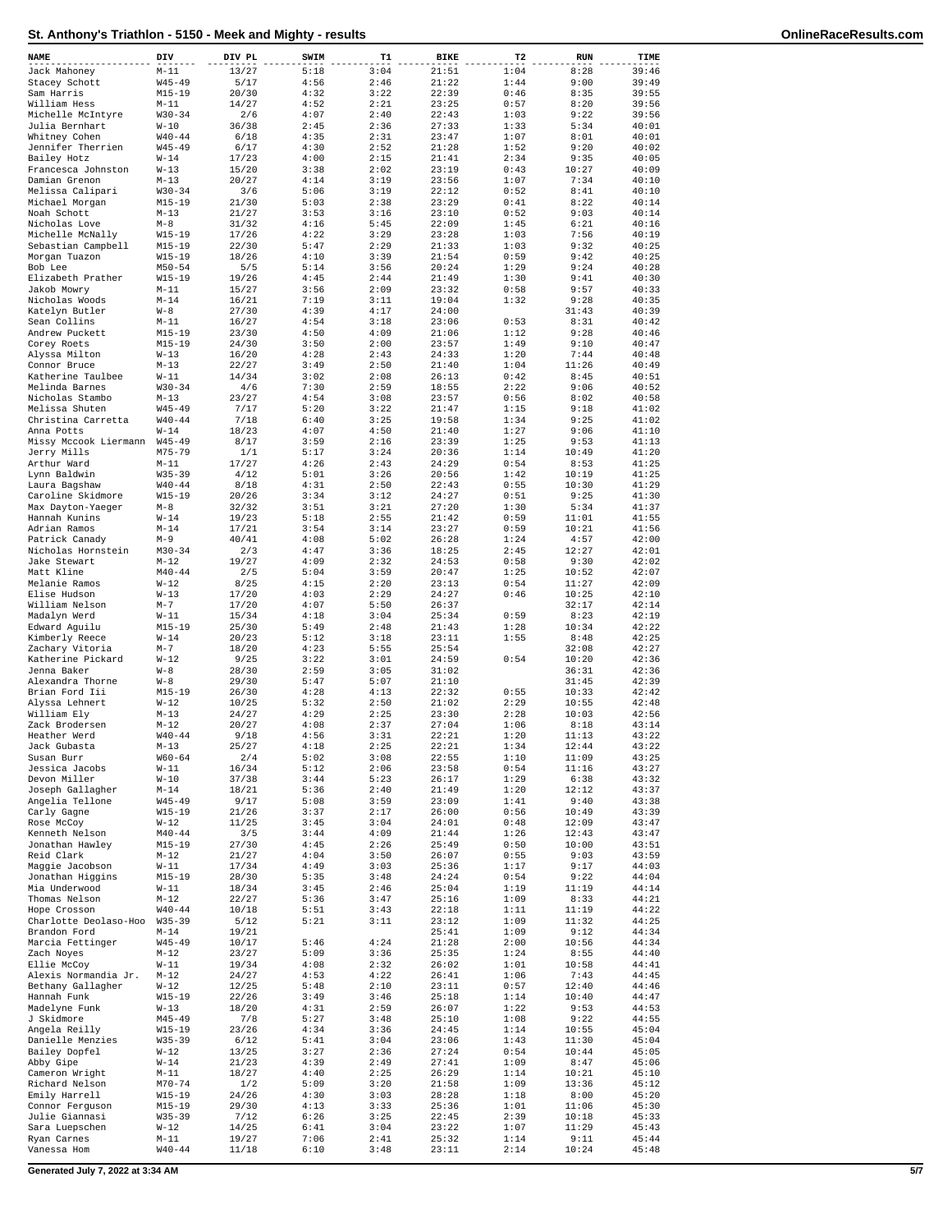| 5:18<br>21:51<br>39:46<br>$M-11$<br>13/27<br>3:04<br>1:04<br>8:28<br>Jack Mahoney<br>Stacey Schott<br>$W45 - 49$<br>5/17<br>4:56<br>2:46<br>21:22<br>1:44<br>9:00<br>39:49<br>Sam Harris<br>$M15 - 19$<br>20/30<br>4:32<br>3:22<br>22:39<br>0:46<br>8:35<br>39:55<br>14/27<br>William Hess<br>4:52<br>2:21<br>23:25<br>0:57<br>8:20<br>39:56<br>$M-11$<br>Michelle McIntyre<br>$W30 - 34$<br>2/6<br>4:07<br>2:40<br>22:43<br>1:03<br>9:22<br>39:56<br>Julia Bernhart<br>$W-10$<br>36/38<br>2:45<br>2:36<br>27:33<br>1:33<br>5:34<br>40:01<br>Whitney Cohen<br>$W40 - 44$<br>6/18<br>4:35<br>2:31<br>23:47<br>1:07<br>8:01<br>40:01<br>Jennifer Therrien<br>$W45 - 49$<br>6/17<br>4:30<br>2:52<br>21:28<br>1:52<br>9:20<br>40:02<br>4:00<br>Bailey Hotz<br>$W-14$<br>17/23<br>2:15<br>21:41<br>2:34<br>9:35<br>40:05<br>Francesca Johnston<br>$W-13$<br>15/20<br>3:38<br>2:02<br>23:19<br>0:43<br>10:27<br>40:09<br>Damian Grenon<br>$M - 13$<br>20/27<br>4:14<br>3:19<br>23:56<br>1:07<br>7:34<br>40:10<br>Melissa Calipari<br>$W30 - 34$<br>3/6<br>5:06<br>3:19<br>22:12<br>0:52<br>8:41<br>40:10<br>Michael Morgan<br>$M15 - 19$<br>21/30<br>5:03<br>2:38<br>23:29<br>0:41<br>8:22<br>40:14<br>Noah Schott<br>$M - 13$<br>21/27<br>3:53<br>3:16<br>23:10<br>0:52<br>9:03<br>40:14<br>Nicholas Love<br>4:16<br>5:45<br>22:09<br>1:45<br>6:21<br>40:16<br>$M-8$<br>31/32<br>Michelle McNally<br>$W15 - 19$<br>17/26<br>4:22<br>3:29<br>23:28<br>1:03<br>7:56<br>40:19<br>Sebastian Campbell<br>$M15 - 19$<br>22/30<br>5:47<br>2:29<br>21:33<br>1:03<br>9:32<br>40:25<br>$W15 - 19$<br>18/26<br>4:10<br>3:39<br>21:54<br>0:59<br>9:42<br>40:25<br>Morgan Tuazon<br>Bob Lee<br>$M50 - 54$<br>5/5<br>5:14<br>3:56<br>20:24<br>1:29<br>9:24<br>40:28<br>Elizabeth Prather<br>$W15 - 19$<br>19/26<br>4:45<br>2:44<br>21:49<br>1:30<br>9:41<br>40:30<br>$M-11$<br>15/27<br>3:56<br>2:09<br>23:32<br>0:58<br>9:57<br>40:33<br>Jakob Mowry<br>Nicholas Woods<br>$M - 14$<br>16/21<br>7:19<br>3:11<br>19:04<br>1:32<br>9:28<br>40:35<br>Katelyn Butler<br>$W - 8$<br>27/30<br>4:39<br>4:17<br>24:00<br>31:43<br>40:39<br>Sean Collins<br>$M-11$<br>16/27<br>4:54<br>3:18<br>23:06<br>0:53<br>8:31<br>40:42<br>Andrew Puckett<br>$M15 - 19$<br>23/30<br>4:50<br>4:09<br>21:06<br>1:12<br>9:28<br>40:46<br>Corey Roets<br>$M15 - 19$<br>24/30<br>3:50<br>2:00<br>23:57<br>1:49<br>9:10<br>40:47<br>$W-13$<br>4:28<br>2:43<br>24:33<br>1:20<br>7:44<br>40:48<br>Alyssa Milton<br>16/20<br>Connor Bruce<br>$M-13$<br>22/27<br>3:49<br>2:50<br>21:40<br>1:04<br>11:26<br>40:49<br>Katherine Taulbee<br>$W-11$<br>14/34<br>3:02<br>2:08<br>26:13<br>0:42<br>8:45<br>40:51<br>Melinda Barnes<br>$W30 - 34$<br>4/6<br>7:30<br>2:59<br>18:55<br>2:22<br>9:06<br>40:52<br>Nicholas Stambo<br>$M-13$<br>23/27<br>4:54<br>3:08<br>23:57<br>0:56<br>8:02<br>40:58<br>Melissa Shuten<br>$W45 - 49$<br>7/17<br>5:20<br>3:22<br>21:47<br>1:15<br>9:18<br>41:02<br>Christina Carretta<br>$W40 - 44$<br>7/18<br>6:40<br>3:25<br>19:58<br>1:34<br>9:25<br>41:02<br>18/23<br>Anna Potts<br>$W-14$<br>4:07<br>4:50<br>21:40<br>1:27<br>9:06<br>41:10<br>Missy Mccook Liermann<br>$W45 - 49$<br>8/17<br>3:59<br>2:16<br>23:39<br>1:25<br>9:53<br>41:13<br>M75-79<br>1/1<br>5:17<br>3:24<br>20:36<br>1:14<br>10:49<br>41:20<br>Jerry Mills<br>Arthur Ward<br>$M-11$<br>17/27<br>4:26<br>2:43<br>24:29<br>0:54<br>8:53<br>41:25<br>Lynn Baldwin<br>$W35 - 39$<br>4/12<br>5:01<br>3:26<br>20:56<br>1:42<br>10:19<br>41:25<br>$W40 - 44$<br>4:31<br>2:50<br>22:43<br>0:55<br>10:30<br>41:29<br>Laura Bagshaw<br>8/18<br>Caroline Skidmore<br>$W15 - 19$<br>20/26<br>3:34<br>3:12<br>24:27<br>0:51<br>9:25<br>41:30<br>Max Dayton-Yaeger<br>$M-8$<br>32/32<br>3:51<br>3:21<br>27:20<br>1:30<br>5:34<br>41:37<br>Hannah Kunins<br>$W-14$<br>19/23<br>5:18<br>2:55<br>21:42<br>0:59<br>11:01<br>41:55<br>Adrian Ramos<br>$M - 14$<br>17/21<br>3:54<br>3:14<br>23:27<br>0:59<br>10:21<br>41:56<br>Patrick Canady<br>$M-9$<br>40/41<br>4:08<br>5:02<br>26:28<br>1:24<br>4:57<br>42:00<br>$M30 - 34$<br>2/3<br>4:47<br>3:36<br>18:25<br>2:45<br>12:27<br>42:01<br>Nicholas Hornstein<br>4:09<br>Jake Stewart<br>$M-12$<br>19/27<br>2:32<br>24:53<br>0:58<br>9:30<br>42:02<br>Matt Kline<br>$M40 - 44$<br>2/5<br>5:04<br>3:59<br>20:47<br>1:25<br>10:52<br>42:07<br>Melanie Ramos<br>$W-12$<br>8/25<br>4:15<br>2:20<br>23:13<br>0:54<br>11:27<br>42:09<br>Elise Hudson<br>$W-13$<br>17/20<br>4:03<br>2:29<br>24:27<br>0:46<br>10:25<br>42:10<br>William Nelson<br>$M - 7$<br>17/20<br>4:07<br>5:50<br>26:37<br>32:17<br>42:14<br>0:59<br>$W-11$<br>15/34<br>4:18<br>3:04<br>25:34<br>42:19<br>Madalyn Werd<br>8:23<br>Edward Aguilu<br>$M15 - 19$<br>25/30<br>5:49<br>2:48<br>21:43<br>1:28<br>10:34<br>42:22<br>Kimberly Reece<br>$W-14$<br>20/23<br>5:12<br>3:18<br>23:11<br>1:55<br>8:48<br>42:25<br>$M-7$<br>18/20<br>4:23<br>5:55<br>25:54<br>32:08<br>42:27<br>Zachary Vitoria<br>Katherine Pickard<br>$W-12$<br>9/25<br>3:22<br>3:01<br>24:59<br>0:54<br>10:20<br>42:36<br>Jenna Baker<br>$W - 8$<br>28/30<br>2:59<br>3:05<br>31:02<br>36:31<br>42:36<br>$W - 8$<br>29/30<br>5:47<br>5:07<br>21:10<br>31:45<br>42:39<br>Alexandra Thorne<br>Brian Ford Iii<br>$M15 - 19$<br>26/30<br>4:28<br>4:13<br>22:32<br>0:55<br>10:33<br>42:42<br>Alyssa Lehnert<br>$W-12$<br>10/25<br>5:32<br>2:50<br>21:02<br>2:29<br>10:55<br>42:48<br>24/27<br>4:29<br>2:25<br>23:30<br>2:28<br>10:03<br>42:56<br>William Ely<br>$M-13$<br>Zack Brodersen<br>$M-12$<br>20/27<br>4:08<br>2:37<br>27:04<br>1:06<br>8:18<br>43:14<br>Heather Werd<br>$W40 - 44$<br>9/18<br>4:56<br>3:31<br>22:21<br>1:20<br>11:13<br>43:22<br>2:25<br>12:44<br>Jack Gubasta<br>$M-13$<br>25/27<br>4:18<br>22:21<br>1:34<br>43:22<br>$W60 - 64$<br>2/4<br>5:02<br>3:08<br>22:55<br>1:10<br>11:09<br>43:25<br>Susan Burr<br>16/34<br>5:12<br>2:06<br>0:54<br>43:27<br>Jessica Jacobs<br>$W-11$<br>23:58<br>11:16<br>3:44<br>26:17<br>43:32<br>Devon Miller<br>$W-10$<br>37/38<br>5:23<br>1:29<br>6:38<br>18/21<br>21:49<br>Joseph Gallagher<br>$M - 14$<br>5:36<br>2:40<br>1:20<br>12:12<br>43:37<br>9:40<br>Angelia Tellone<br>$W45 - 49$<br>9/17<br>5:08<br>3:59<br>23:09<br>1:41<br>43:38<br>10:49<br>Carly Gagne<br>$W15 - 19$<br>21/26<br>3:37<br>2:17<br>26:00<br>0:56<br>43:39<br>11/25<br>3:45<br>0:48<br>Rose McCoy<br>$W-12$<br>3:04<br>24:01<br>12:09<br>43:47<br>Kenneth Nelson<br>$M40 - 44$<br>3/5<br>3:44<br>4:09<br>21:44<br>1:26<br>12:43<br>43:47<br>$M15 - 19$<br>4:45<br>Jonathan Hawley<br>27/30<br>2:26<br>25:49<br>0:50<br>10:00<br>43:51<br>4:04<br>Reid Clark<br>$M-12$<br>21/27<br>3:50<br>26:07<br>0:55<br>9:03<br>43:59<br>$W-11$<br>Maggie Jacobson<br>17/34<br>4:49<br>3:03<br>25:36<br>1:17<br>9:17<br>44:03<br>Jonathan Higgins<br>$M15 - 19$<br>28/30<br>5:35<br>3:48<br>24:24<br>0:54<br>9:22<br>44:04<br>18/34<br>3:45<br>Mia Underwood<br>$W-11$<br>2:46<br>25:04<br>1:19<br>11:19<br>44:14<br>Thomas Nelson<br>$M-12$<br>22/27<br>5:36<br>3:47<br>25:16<br>1:09<br>8:33<br>44:21<br>$W40 - 44$<br>Hope Crosson<br>10/18<br>5:51<br>3:43<br>22:18<br>1:11<br>11:19<br>44:22<br>Charlotte Deolaso-Hoo<br>$W35 - 39$<br>5/12<br>5:21<br>3:11<br>23:12<br>1:09<br>11:32<br>44:25<br>Brandon Ford<br>$M - 14$<br>19/21<br>25:41<br>1:09<br>9:12<br>44:34<br>5:46<br>4:24<br>Marcia Fettinger<br>$W45 - 49$<br>10/17<br>21:28<br>2:00<br>10:56<br>44:34<br>23/27<br>5:09<br>1:24<br>Zach Noyes<br>$M-12$<br>3:36<br>25:35<br>8:55<br>44:40<br>$W-11$<br>4:08<br>Ellie McCoy<br>19/34<br>2:32<br>26:02<br>1:01<br>10:58<br>44:41<br>Alexis Normandia Jr.<br>$M-12$<br>24/27<br>4:53<br>4:22<br>26:41<br>1:06<br>7:43<br>44:45<br>Bethany Gallagher<br>$W-12$<br>12/25<br>5:48<br>2:10<br>23:11<br>0:57<br>12:40<br>44:46<br>Hannah Funk<br>$W15 - 19$<br>22/26<br>3:49<br>3:46<br>25:18<br>1:14<br>10:40<br>44:47<br>Madelyne Funk<br>$W-13$<br>18/20<br>4:31<br>2:59<br>26:07<br>1:22<br>9:53<br>44:53<br>5:27<br>J Skidmore<br>M45-49<br>7/8<br>3:48<br>25:10<br>1:08<br>9:22<br>44:55<br>Angela Reilly<br>$W15 - 19$<br>23/26<br>4:34<br>3:36<br>24:45<br>1:14<br>10:55<br>45:04<br>Danielle Menzies<br>$W35 - 39$<br>6/12<br>5:41<br>3:04<br>23:06<br>1:43<br>11:30<br>45:04<br>Bailey Dopfel<br>$W-12$<br>13/25<br>3:27<br>2:36<br>27:24<br>0:54<br>10:44<br>45:05<br>Abby Gipe<br>$W-14$<br>21/23<br>4:39<br>2:49<br>27:41<br>1:09<br>8:47<br>45:06<br>4:40<br>Cameron Wright<br>$M-11$<br>18/27<br>2:25<br>26:29<br>1:14<br>10:21<br>45:10<br>5:09<br>1:09<br>Richard Nelson<br>$M70 - 74$<br>1/2<br>3:20<br>21:58<br>13:36<br>45:12<br>Emily Harrell<br>$W15 - 19$<br>24/26<br>4:30<br>3:03<br>28:28<br>1:18<br>8:00<br>45:20<br>Connor Ferguson<br>$M15 - 19$<br>29/30<br>4:13<br>3:33<br>25:36<br>1:01<br>11:06<br>45:30<br>Julie Giannasi<br>$W35 - 39$<br>7/12<br>6:26<br>3:25<br>22:45<br>2:39<br>10:18<br>45:33<br>Sara Luepschen<br>$W-12$<br>14/25<br>6:41<br>3:04<br>23:22<br>1:07<br>11:29<br>45:43<br>Ryan Carnes<br>$M-11$<br>19/27<br>7:06<br>2:41<br>45:44<br>25:32<br>1:14<br>9:11<br>$W40 - 44$<br>Vanessa Hom<br>11/18<br>6:10<br>3:48<br>23:11<br>2:14<br>10:24<br>45:48 | NAME | DIV | DIV PL | SWIM | T1 | <b>BIKE</b> | T <sub>2</sub> | <b>RUN</b> | TIME |
|----------------------------------------------------------------------------------------------------------------------------------------------------------------------------------------------------------------------------------------------------------------------------------------------------------------------------------------------------------------------------------------------------------------------------------------------------------------------------------------------------------------------------------------------------------------------------------------------------------------------------------------------------------------------------------------------------------------------------------------------------------------------------------------------------------------------------------------------------------------------------------------------------------------------------------------------------------------------------------------------------------------------------------------------------------------------------------------------------------------------------------------------------------------------------------------------------------------------------------------------------------------------------------------------------------------------------------------------------------------------------------------------------------------------------------------------------------------------------------------------------------------------------------------------------------------------------------------------------------------------------------------------------------------------------------------------------------------------------------------------------------------------------------------------------------------------------------------------------------------------------------------------------------------------------------------------------------------------------------------------------------------------------------------------------------------------------------------------------------------------------------------------------------------------------------------------------------------------------------------------------------------------------------------------------------------------------------------------------------------------------------------------------------------------------------------------------------------------------------------------------------------------------------------------------------------------------------------------------------------------------------------------------------------------------------------------------------------------------------------------------------------------------------------------------------------------------------------------------------------------------------------------------------------------------------------------------------------------------------------------------------------------------------------------------------------------------------------------------------------------------------------------------------------------------------------------------------------------------------------------------------------------------------------------------------------------------------------------------------------------------------------------------------------------------------------------------------------------------------------------------------------------------------------------------------------------------------------------------------------------------------------------------------------------------------------------------------------------------------------------------------------------------------------------------------------------------------------------------------------------------------------------------------------------------------------------------------------------------------------------------------------------------------------------------------------------------------------------------------------------------------------------------------------------------------------------------------------------------------------------------------------------------------------------------------------------------------------------------------------------------------------------------------------------------------------------------------------------------------------------------------------------------------------------------------------------------------------------------------------------------------------------------------------------------------------------------------------------------------------------------------------------------------------------------------------------------------------------------------------------------------------------------------------------------------------------------------------------------------------------------------------------------------------------------------------------------------------------------------------------------------------------------------------------------------------------------------------------------------------------------------------------------------------------------------------------------------------------------------------------------------------------------------------------------------------------------------------------------------------------------------------------------------------------------------------------------------------------------------------------------------------------------------------------------------------------------------------------------------------------------------------------------------------------------------------------------------------------------------------------------------------------------------------------------------------------------------------------------------------------------------------------------------------------------------------------------------------------------------------------------------------------------------------------------------------------------------------------------------------------------------------------------------------------------------------------------------------------------------------------------------------------------------------------------------------------------------------------------------------------------------------------------------------------------------------------------------------------------------------------------------------------------------------------------------------------------------------------------------------------------------------------------------------------------------------------------------------------------------------------------------------------------------------------------------------------------------------------------------------------------------------------------------------------------------------------------------------------------------------------------------------------------------------------------------------------------------------------------------------------------------------------------------------------------------------------------------------------------------------------------------------------------------------------------------------------------------------------------------------------------------------------------------------------------------------------------------------------------------------------------------------------------------------------------------------------------------------------------------------------------------------------------------------------------------------------------------------------------------------------------------------------------------------------------------------------------------------------------------------------------------------------------------------------------------------------------------------------------------------------------------------------------------------------------------------------------------------------------------------------------------------------------------------------------------------------------------------------------------------------------------------------------------------------------------------------------------------------------------------------------------------------------------------------------------------------------------------------------------------------------------------------------------------------------------------------------------------------------------------------------------------------------------------------------------------------------------------------------------------------------------------------------------------------------------------------------------------------------------------------------------------------------------------------------------------------------------------------------------------------------------------------------|------|-----|--------|------|----|-------------|----------------|------------|------|
|                                                                                                                                                                                                                                                                                                                                                                                                                                                                                                                                                                                                                                                                                                                                                                                                                                                                                                                                                                                                                                                                                                                                                                                                                                                                                                                                                                                                                                                                                                                                                                                                                                                                                                                                                                                                                                                                                                                                                                                                                                                                                                                                                                                                                                                                                                                                                                                                                                                                                                                                                                                                                                                                                                                                                                                                                                                                                                                                                                                                                                                                                                                                                                                                                                                                                                                                                                                                                                                                                                                                                                                                                                                                                                                                                                                                                                                                                                                                                                                                                                                                                                                                                                                                                                                                                                                                                                                                                                                                                                                                                                                                                                                                                                                                                                                                                                                                                                                                                                                                                                                                                                                                                                                                                                                                                                                                                                                                                                                                                                                                                                                                                                                                                                                                                                                                                                                                                                                                                                                                                                                                                                                                                                                                                                                                                                                                                                                                                                                                                                                                                                                                                                                                                                                                                                                                                                                                                                                                                                                                                                                                                                                                                                                                                                                                                                                                                                                                                                                                                                                                                                                                                                                                                                                                                                                                                                                                                                                                                                                                                                                                                                                                                                                                                                                                                                                                                                                                                                                                                                                                                                                                                                                                                                                                                                                                                                                                                                                                                                                                                                                                                                                                                    |      |     |        |      |    |             |                |            |      |
|                                                                                                                                                                                                                                                                                                                                                                                                                                                                                                                                                                                                                                                                                                                                                                                                                                                                                                                                                                                                                                                                                                                                                                                                                                                                                                                                                                                                                                                                                                                                                                                                                                                                                                                                                                                                                                                                                                                                                                                                                                                                                                                                                                                                                                                                                                                                                                                                                                                                                                                                                                                                                                                                                                                                                                                                                                                                                                                                                                                                                                                                                                                                                                                                                                                                                                                                                                                                                                                                                                                                                                                                                                                                                                                                                                                                                                                                                                                                                                                                                                                                                                                                                                                                                                                                                                                                                                                                                                                                                                                                                                                                                                                                                                                                                                                                                                                                                                                                                                                                                                                                                                                                                                                                                                                                                                                                                                                                                                                                                                                                                                                                                                                                                                                                                                                                                                                                                                                                                                                                                                                                                                                                                                                                                                                                                                                                                                                                                                                                                                                                                                                                                                                                                                                                                                                                                                                                                                                                                                                                                                                                                                                                                                                                                                                                                                                                                                                                                                                                                                                                                                                                                                                                                                                                                                                                                                                                                                                                                                                                                                                                                                                                                                                                                                                                                                                                                                                                                                                                                                                                                                                                                                                                                                                                                                                                                                                                                                                                                                                                                                                                                                                                                    |      |     |        |      |    |             |                |            |      |
|                                                                                                                                                                                                                                                                                                                                                                                                                                                                                                                                                                                                                                                                                                                                                                                                                                                                                                                                                                                                                                                                                                                                                                                                                                                                                                                                                                                                                                                                                                                                                                                                                                                                                                                                                                                                                                                                                                                                                                                                                                                                                                                                                                                                                                                                                                                                                                                                                                                                                                                                                                                                                                                                                                                                                                                                                                                                                                                                                                                                                                                                                                                                                                                                                                                                                                                                                                                                                                                                                                                                                                                                                                                                                                                                                                                                                                                                                                                                                                                                                                                                                                                                                                                                                                                                                                                                                                                                                                                                                                                                                                                                                                                                                                                                                                                                                                                                                                                                                                                                                                                                                                                                                                                                                                                                                                                                                                                                                                                                                                                                                                                                                                                                                                                                                                                                                                                                                                                                                                                                                                                                                                                                                                                                                                                                                                                                                                                                                                                                                                                                                                                                                                                                                                                                                                                                                                                                                                                                                                                                                                                                                                                                                                                                                                                                                                                                                                                                                                                                                                                                                                                                                                                                                                                                                                                                                                                                                                                                                                                                                                                                                                                                                                                                                                                                                                                                                                                                                                                                                                                                                                                                                                                                                                                                                                                                                                                                                                                                                                                                                                                                                                                                                    |      |     |        |      |    |             |                |            |      |
|                                                                                                                                                                                                                                                                                                                                                                                                                                                                                                                                                                                                                                                                                                                                                                                                                                                                                                                                                                                                                                                                                                                                                                                                                                                                                                                                                                                                                                                                                                                                                                                                                                                                                                                                                                                                                                                                                                                                                                                                                                                                                                                                                                                                                                                                                                                                                                                                                                                                                                                                                                                                                                                                                                                                                                                                                                                                                                                                                                                                                                                                                                                                                                                                                                                                                                                                                                                                                                                                                                                                                                                                                                                                                                                                                                                                                                                                                                                                                                                                                                                                                                                                                                                                                                                                                                                                                                                                                                                                                                                                                                                                                                                                                                                                                                                                                                                                                                                                                                                                                                                                                                                                                                                                                                                                                                                                                                                                                                                                                                                                                                                                                                                                                                                                                                                                                                                                                                                                                                                                                                                                                                                                                                                                                                                                                                                                                                                                                                                                                                                                                                                                                                                                                                                                                                                                                                                                                                                                                                                                                                                                                                                                                                                                                                                                                                                                                                                                                                                                                                                                                                                                                                                                                                                                                                                                                                                                                                                                                                                                                                                                                                                                                                                                                                                                                                                                                                                                                                                                                                                                                                                                                                                                                                                                                                                                                                                                                                                                                                                                                                                                                                                                                    |      |     |        |      |    |             |                |            |      |
|                                                                                                                                                                                                                                                                                                                                                                                                                                                                                                                                                                                                                                                                                                                                                                                                                                                                                                                                                                                                                                                                                                                                                                                                                                                                                                                                                                                                                                                                                                                                                                                                                                                                                                                                                                                                                                                                                                                                                                                                                                                                                                                                                                                                                                                                                                                                                                                                                                                                                                                                                                                                                                                                                                                                                                                                                                                                                                                                                                                                                                                                                                                                                                                                                                                                                                                                                                                                                                                                                                                                                                                                                                                                                                                                                                                                                                                                                                                                                                                                                                                                                                                                                                                                                                                                                                                                                                                                                                                                                                                                                                                                                                                                                                                                                                                                                                                                                                                                                                                                                                                                                                                                                                                                                                                                                                                                                                                                                                                                                                                                                                                                                                                                                                                                                                                                                                                                                                                                                                                                                                                                                                                                                                                                                                                                                                                                                                                                                                                                                                                                                                                                                                                                                                                                                                                                                                                                                                                                                                                                                                                                                                                                                                                                                                                                                                                                                                                                                                                                                                                                                                                                                                                                                                                                                                                                                                                                                                                                                                                                                                                                                                                                                                                                                                                                                                                                                                                                                                                                                                                                                                                                                                                                                                                                                                                                                                                                                                                                                                                                                                                                                                                                                    |      |     |        |      |    |             |                |            |      |
|                                                                                                                                                                                                                                                                                                                                                                                                                                                                                                                                                                                                                                                                                                                                                                                                                                                                                                                                                                                                                                                                                                                                                                                                                                                                                                                                                                                                                                                                                                                                                                                                                                                                                                                                                                                                                                                                                                                                                                                                                                                                                                                                                                                                                                                                                                                                                                                                                                                                                                                                                                                                                                                                                                                                                                                                                                                                                                                                                                                                                                                                                                                                                                                                                                                                                                                                                                                                                                                                                                                                                                                                                                                                                                                                                                                                                                                                                                                                                                                                                                                                                                                                                                                                                                                                                                                                                                                                                                                                                                                                                                                                                                                                                                                                                                                                                                                                                                                                                                                                                                                                                                                                                                                                                                                                                                                                                                                                                                                                                                                                                                                                                                                                                                                                                                                                                                                                                                                                                                                                                                                                                                                                                                                                                                                                                                                                                                                                                                                                                                                                                                                                                                                                                                                                                                                                                                                                                                                                                                                                                                                                                                                                                                                                                                                                                                                                                                                                                                                                                                                                                                                                                                                                                                                                                                                                                                                                                                                                                                                                                                                                                                                                                                                                                                                                                                                                                                                                                                                                                                                                                                                                                                                                                                                                                                                                                                                                                                                                                                                                                                                                                                                                                    |      |     |        |      |    |             |                |            |      |
|                                                                                                                                                                                                                                                                                                                                                                                                                                                                                                                                                                                                                                                                                                                                                                                                                                                                                                                                                                                                                                                                                                                                                                                                                                                                                                                                                                                                                                                                                                                                                                                                                                                                                                                                                                                                                                                                                                                                                                                                                                                                                                                                                                                                                                                                                                                                                                                                                                                                                                                                                                                                                                                                                                                                                                                                                                                                                                                                                                                                                                                                                                                                                                                                                                                                                                                                                                                                                                                                                                                                                                                                                                                                                                                                                                                                                                                                                                                                                                                                                                                                                                                                                                                                                                                                                                                                                                                                                                                                                                                                                                                                                                                                                                                                                                                                                                                                                                                                                                                                                                                                                                                                                                                                                                                                                                                                                                                                                                                                                                                                                                                                                                                                                                                                                                                                                                                                                                                                                                                                                                                                                                                                                                                                                                                                                                                                                                                                                                                                                                                                                                                                                                                                                                                                                                                                                                                                                                                                                                                                                                                                                                                                                                                                                                                                                                                                                                                                                                                                                                                                                                                                                                                                                                                                                                                                                                                                                                                                                                                                                                                                                                                                                                                                                                                                                                                                                                                                                                                                                                                                                                                                                                                                                                                                                                                                                                                                                                                                                                                                                                                                                                                                                    |      |     |        |      |    |             |                |            |      |
|                                                                                                                                                                                                                                                                                                                                                                                                                                                                                                                                                                                                                                                                                                                                                                                                                                                                                                                                                                                                                                                                                                                                                                                                                                                                                                                                                                                                                                                                                                                                                                                                                                                                                                                                                                                                                                                                                                                                                                                                                                                                                                                                                                                                                                                                                                                                                                                                                                                                                                                                                                                                                                                                                                                                                                                                                                                                                                                                                                                                                                                                                                                                                                                                                                                                                                                                                                                                                                                                                                                                                                                                                                                                                                                                                                                                                                                                                                                                                                                                                                                                                                                                                                                                                                                                                                                                                                                                                                                                                                                                                                                                                                                                                                                                                                                                                                                                                                                                                                                                                                                                                                                                                                                                                                                                                                                                                                                                                                                                                                                                                                                                                                                                                                                                                                                                                                                                                                                                                                                                                                                                                                                                                                                                                                                                                                                                                                                                                                                                                                                                                                                                                                                                                                                                                                                                                                                                                                                                                                                                                                                                                                                                                                                                                                                                                                                                                                                                                                                                                                                                                                                                                                                                                                                                                                                                                                                                                                                                                                                                                                                                                                                                                                                                                                                                                                                                                                                                                                                                                                                                                                                                                                                                                                                                                                                                                                                                                                                                                                                                                                                                                                                                                    |      |     |        |      |    |             |                |            |      |
|                                                                                                                                                                                                                                                                                                                                                                                                                                                                                                                                                                                                                                                                                                                                                                                                                                                                                                                                                                                                                                                                                                                                                                                                                                                                                                                                                                                                                                                                                                                                                                                                                                                                                                                                                                                                                                                                                                                                                                                                                                                                                                                                                                                                                                                                                                                                                                                                                                                                                                                                                                                                                                                                                                                                                                                                                                                                                                                                                                                                                                                                                                                                                                                                                                                                                                                                                                                                                                                                                                                                                                                                                                                                                                                                                                                                                                                                                                                                                                                                                                                                                                                                                                                                                                                                                                                                                                                                                                                                                                                                                                                                                                                                                                                                                                                                                                                                                                                                                                                                                                                                                                                                                                                                                                                                                                                                                                                                                                                                                                                                                                                                                                                                                                                                                                                                                                                                                                                                                                                                                                                                                                                                                                                                                                                                                                                                                                                                                                                                                                                                                                                                                                                                                                                                                                                                                                                                                                                                                                                                                                                                                                                                                                                                                                                                                                                                                                                                                                                                                                                                                                                                                                                                                                                                                                                                                                                                                                                                                                                                                                                                                                                                                                                                                                                                                                                                                                                                                                                                                                                                                                                                                                                                                                                                                                                                                                                                                                                                                                                                                                                                                                                                                    |      |     |        |      |    |             |                |            |      |
|                                                                                                                                                                                                                                                                                                                                                                                                                                                                                                                                                                                                                                                                                                                                                                                                                                                                                                                                                                                                                                                                                                                                                                                                                                                                                                                                                                                                                                                                                                                                                                                                                                                                                                                                                                                                                                                                                                                                                                                                                                                                                                                                                                                                                                                                                                                                                                                                                                                                                                                                                                                                                                                                                                                                                                                                                                                                                                                                                                                                                                                                                                                                                                                                                                                                                                                                                                                                                                                                                                                                                                                                                                                                                                                                                                                                                                                                                                                                                                                                                                                                                                                                                                                                                                                                                                                                                                                                                                                                                                                                                                                                                                                                                                                                                                                                                                                                                                                                                                                                                                                                                                                                                                                                                                                                                                                                                                                                                                                                                                                                                                                                                                                                                                                                                                                                                                                                                                                                                                                                                                                                                                                                                                                                                                                                                                                                                                                                                                                                                                                                                                                                                                                                                                                                                                                                                                                                                                                                                                                                                                                                                                                                                                                                                                                                                                                                                                                                                                                                                                                                                                                                                                                                                                                                                                                                                                                                                                                                                                                                                                                                                                                                                                                                                                                                                                                                                                                                                                                                                                                                                                                                                                                                                                                                                                                                                                                                                                                                                                                                                                                                                                                                                    |      |     |        |      |    |             |                |            |      |
|                                                                                                                                                                                                                                                                                                                                                                                                                                                                                                                                                                                                                                                                                                                                                                                                                                                                                                                                                                                                                                                                                                                                                                                                                                                                                                                                                                                                                                                                                                                                                                                                                                                                                                                                                                                                                                                                                                                                                                                                                                                                                                                                                                                                                                                                                                                                                                                                                                                                                                                                                                                                                                                                                                                                                                                                                                                                                                                                                                                                                                                                                                                                                                                                                                                                                                                                                                                                                                                                                                                                                                                                                                                                                                                                                                                                                                                                                                                                                                                                                                                                                                                                                                                                                                                                                                                                                                                                                                                                                                                                                                                                                                                                                                                                                                                                                                                                                                                                                                                                                                                                                                                                                                                                                                                                                                                                                                                                                                                                                                                                                                                                                                                                                                                                                                                                                                                                                                                                                                                                                                                                                                                                                                                                                                                                                                                                                                                                                                                                                                                                                                                                                                                                                                                                                                                                                                                                                                                                                                                                                                                                                                                                                                                                                                                                                                                                                                                                                                                                                                                                                                                                                                                                                                                                                                                                                                                                                                                                                                                                                                                                                                                                                                                                                                                                                                                                                                                                                                                                                                                                                                                                                                                                                                                                                                                                                                                                                                                                                                                                                                                                                                                                                    |      |     |        |      |    |             |                |            |      |
|                                                                                                                                                                                                                                                                                                                                                                                                                                                                                                                                                                                                                                                                                                                                                                                                                                                                                                                                                                                                                                                                                                                                                                                                                                                                                                                                                                                                                                                                                                                                                                                                                                                                                                                                                                                                                                                                                                                                                                                                                                                                                                                                                                                                                                                                                                                                                                                                                                                                                                                                                                                                                                                                                                                                                                                                                                                                                                                                                                                                                                                                                                                                                                                                                                                                                                                                                                                                                                                                                                                                                                                                                                                                                                                                                                                                                                                                                                                                                                                                                                                                                                                                                                                                                                                                                                                                                                                                                                                                                                                                                                                                                                                                                                                                                                                                                                                                                                                                                                                                                                                                                                                                                                                                                                                                                                                                                                                                                                                                                                                                                                                                                                                                                                                                                                                                                                                                                                                                                                                                                                                                                                                                                                                                                                                                                                                                                                                                                                                                                                                                                                                                                                                                                                                                                                                                                                                                                                                                                                                                                                                                                                                                                                                                                                                                                                                                                                                                                                                                                                                                                                                                                                                                                                                                                                                                                                                                                                                                                                                                                                                                                                                                                                                                                                                                                                                                                                                                                                                                                                                                                                                                                                                                                                                                                                                                                                                                                                                                                                                                                                                                                                                                                    |      |     |        |      |    |             |                |            |      |
|                                                                                                                                                                                                                                                                                                                                                                                                                                                                                                                                                                                                                                                                                                                                                                                                                                                                                                                                                                                                                                                                                                                                                                                                                                                                                                                                                                                                                                                                                                                                                                                                                                                                                                                                                                                                                                                                                                                                                                                                                                                                                                                                                                                                                                                                                                                                                                                                                                                                                                                                                                                                                                                                                                                                                                                                                                                                                                                                                                                                                                                                                                                                                                                                                                                                                                                                                                                                                                                                                                                                                                                                                                                                                                                                                                                                                                                                                                                                                                                                                                                                                                                                                                                                                                                                                                                                                                                                                                                                                                                                                                                                                                                                                                                                                                                                                                                                                                                                                                                                                                                                                                                                                                                                                                                                                                                                                                                                                                                                                                                                                                                                                                                                                                                                                                                                                                                                                                                                                                                                                                                                                                                                                                                                                                                                                                                                                                                                                                                                                                                                                                                                                                                                                                                                                                                                                                                                                                                                                                                                                                                                                                                                                                                                                                                                                                                                                                                                                                                                                                                                                                                                                                                                                                                                                                                                                                                                                                                                                                                                                                                                                                                                                                                                                                                                                                                                                                                                                                                                                                                                                                                                                                                                                                                                                                                                                                                                                                                                                                                                                                                                                                                                                    |      |     |        |      |    |             |                |            |      |
|                                                                                                                                                                                                                                                                                                                                                                                                                                                                                                                                                                                                                                                                                                                                                                                                                                                                                                                                                                                                                                                                                                                                                                                                                                                                                                                                                                                                                                                                                                                                                                                                                                                                                                                                                                                                                                                                                                                                                                                                                                                                                                                                                                                                                                                                                                                                                                                                                                                                                                                                                                                                                                                                                                                                                                                                                                                                                                                                                                                                                                                                                                                                                                                                                                                                                                                                                                                                                                                                                                                                                                                                                                                                                                                                                                                                                                                                                                                                                                                                                                                                                                                                                                                                                                                                                                                                                                                                                                                                                                                                                                                                                                                                                                                                                                                                                                                                                                                                                                                                                                                                                                                                                                                                                                                                                                                                                                                                                                                                                                                                                                                                                                                                                                                                                                                                                                                                                                                                                                                                                                                                                                                                                                                                                                                                                                                                                                                                                                                                                                                                                                                                                                                                                                                                                                                                                                                                                                                                                                                                                                                                                                                                                                                                                                                                                                                                                                                                                                                                                                                                                                                                                                                                                                                                                                                                                                                                                                                                                                                                                                                                                                                                                                                                                                                                                                                                                                                                                                                                                                                                                                                                                                                                                                                                                                                                                                                                                                                                                                                                                                                                                                                                                    |      |     |        |      |    |             |                |            |      |
|                                                                                                                                                                                                                                                                                                                                                                                                                                                                                                                                                                                                                                                                                                                                                                                                                                                                                                                                                                                                                                                                                                                                                                                                                                                                                                                                                                                                                                                                                                                                                                                                                                                                                                                                                                                                                                                                                                                                                                                                                                                                                                                                                                                                                                                                                                                                                                                                                                                                                                                                                                                                                                                                                                                                                                                                                                                                                                                                                                                                                                                                                                                                                                                                                                                                                                                                                                                                                                                                                                                                                                                                                                                                                                                                                                                                                                                                                                                                                                                                                                                                                                                                                                                                                                                                                                                                                                                                                                                                                                                                                                                                                                                                                                                                                                                                                                                                                                                                                                                                                                                                                                                                                                                                                                                                                                                                                                                                                                                                                                                                                                                                                                                                                                                                                                                                                                                                                                                                                                                                                                                                                                                                                                                                                                                                                                                                                                                                                                                                                                                                                                                                                                                                                                                                                                                                                                                                                                                                                                                                                                                                                                                                                                                                                                                                                                                                                                                                                                                                                                                                                                                                                                                                                                                                                                                                                                                                                                                                                                                                                                                                                                                                                                                                                                                                                                                                                                                                                                                                                                                                                                                                                                                                                                                                                                                                                                                                                                                                                                                                                                                                                                                                                    |      |     |        |      |    |             |                |            |      |
|                                                                                                                                                                                                                                                                                                                                                                                                                                                                                                                                                                                                                                                                                                                                                                                                                                                                                                                                                                                                                                                                                                                                                                                                                                                                                                                                                                                                                                                                                                                                                                                                                                                                                                                                                                                                                                                                                                                                                                                                                                                                                                                                                                                                                                                                                                                                                                                                                                                                                                                                                                                                                                                                                                                                                                                                                                                                                                                                                                                                                                                                                                                                                                                                                                                                                                                                                                                                                                                                                                                                                                                                                                                                                                                                                                                                                                                                                                                                                                                                                                                                                                                                                                                                                                                                                                                                                                                                                                                                                                                                                                                                                                                                                                                                                                                                                                                                                                                                                                                                                                                                                                                                                                                                                                                                                                                                                                                                                                                                                                                                                                                                                                                                                                                                                                                                                                                                                                                                                                                                                                                                                                                                                                                                                                                                                                                                                                                                                                                                                                                                                                                                                                                                                                                                                                                                                                                                                                                                                                                                                                                                                                                                                                                                                                                                                                                                                                                                                                                                                                                                                                                                                                                                                                                                                                                                                                                                                                                                                                                                                                                                                                                                                                                                                                                                                                                                                                                                                                                                                                                                                                                                                                                                                                                                                                                                                                                                                                                                                                                                                                                                                                                                                    |      |     |        |      |    |             |                |            |      |
|                                                                                                                                                                                                                                                                                                                                                                                                                                                                                                                                                                                                                                                                                                                                                                                                                                                                                                                                                                                                                                                                                                                                                                                                                                                                                                                                                                                                                                                                                                                                                                                                                                                                                                                                                                                                                                                                                                                                                                                                                                                                                                                                                                                                                                                                                                                                                                                                                                                                                                                                                                                                                                                                                                                                                                                                                                                                                                                                                                                                                                                                                                                                                                                                                                                                                                                                                                                                                                                                                                                                                                                                                                                                                                                                                                                                                                                                                                                                                                                                                                                                                                                                                                                                                                                                                                                                                                                                                                                                                                                                                                                                                                                                                                                                                                                                                                                                                                                                                                                                                                                                                                                                                                                                                                                                                                                                                                                                                                                                                                                                                                                                                                                                                                                                                                                                                                                                                                                                                                                                                                                                                                                                                                                                                                                                                                                                                                                                                                                                                                                                                                                                                                                                                                                                                                                                                                                                                                                                                                                                                                                                                                                                                                                                                                                                                                                                                                                                                                                                                                                                                                                                                                                                                                                                                                                                                                                                                                                                                                                                                                                                                                                                                                                                                                                                                                                                                                                                                                                                                                                                                                                                                                                                                                                                                                                                                                                                                                                                                                                                                                                                                                                                                    |      |     |        |      |    |             |                |            |      |
|                                                                                                                                                                                                                                                                                                                                                                                                                                                                                                                                                                                                                                                                                                                                                                                                                                                                                                                                                                                                                                                                                                                                                                                                                                                                                                                                                                                                                                                                                                                                                                                                                                                                                                                                                                                                                                                                                                                                                                                                                                                                                                                                                                                                                                                                                                                                                                                                                                                                                                                                                                                                                                                                                                                                                                                                                                                                                                                                                                                                                                                                                                                                                                                                                                                                                                                                                                                                                                                                                                                                                                                                                                                                                                                                                                                                                                                                                                                                                                                                                                                                                                                                                                                                                                                                                                                                                                                                                                                                                                                                                                                                                                                                                                                                                                                                                                                                                                                                                                                                                                                                                                                                                                                                                                                                                                                                                                                                                                                                                                                                                                                                                                                                                                                                                                                                                                                                                                                                                                                                                                                                                                                                                                                                                                                                                                                                                                                                                                                                                                                                                                                                                                                                                                                                                                                                                                                                                                                                                                                                                                                                                                                                                                                                                                                                                                                                                                                                                                                                                                                                                                                                                                                                                                                                                                                                                                                                                                                                                                                                                                                                                                                                                                                                                                                                                                                                                                                                                                                                                                                                                                                                                                                                                                                                                                                                                                                                                                                                                                                                                                                                                                                                                    |      |     |        |      |    |             |                |            |      |
|                                                                                                                                                                                                                                                                                                                                                                                                                                                                                                                                                                                                                                                                                                                                                                                                                                                                                                                                                                                                                                                                                                                                                                                                                                                                                                                                                                                                                                                                                                                                                                                                                                                                                                                                                                                                                                                                                                                                                                                                                                                                                                                                                                                                                                                                                                                                                                                                                                                                                                                                                                                                                                                                                                                                                                                                                                                                                                                                                                                                                                                                                                                                                                                                                                                                                                                                                                                                                                                                                                                                                                                                                                                                                                                                                                                                                                                                                                                                                                                                                                                                                                                                                                                                                                                                                                                                                                                                                                                                                                                                                                                                                                                                                                                                                                                                                                                                                                                                                                                                                                                                                                                                                                                                                                                                                                                                                                                                                                                                                                                                                                                                                                                                                                                                                                                                                                                                                                                                                                                                                                                                                                                                                                                                                                                                                                                                                                                                                                                                                                                                                                                                                                                                                                                                                                                                                                                                                                                                                                                                                                                                                                                                                                                                                                                                                                                                                                                                                                                                                                                                                                                                                                                                                                                                                                                                                                                                                                                                                                                                                                                                                                                                                                                                                                                                                                                                                                                                                                                                                                                                                                                                                                                                                                                                                                                                                                                                                                                                                                                                                                                                                                                                                    |      |     |        |      |    |             |                |            |      |
|                                                                                                                                                                                                                                                                                                                                                                                                                                                                                                                                                                                                                                                                                                                                                                                                                                                                                                                                                                                                                                                                                                                                                                                                                                                                                                                                                                                                                                                                                                                                                                                                                                                                                                                                                                                                                                                                                                                                                                                                                                                                                                                                                                                                                                                                                                                                                                                                                                                                                                                                                                                                                                                                                                                                                                                                                                                                                                                                                                                                                                                                                                                                                                                                                                                                                                                                                                                                                                                                                                                                                                                                                                                                                                                                                                                                                                                                                                                                                                                                                                                                                                                                                                                                                                                                                                                                                                                                                                                                                                                                                                                                                                                                                                                                                                                                                                                                                                                                                                                                                                                                                                                                                                                                                                                                                                                                                                                                                                                                                                                                                                                                                                                                                                                                                                                                                                                                                                                                                                                                                                                                                                                                                                                                                                                                                                                                                                                                                                                                                                                                                                                                                                                                                                                                                                                                                                                                                                                                                                                                                                                                                                                                                                                                                                                                                                                                                                                                                                                                                                                                                                                                                                                                                                                                                                                                                                                                                                                                                                                                                                                                                                                                                                                                                                                                                                                                                                                                                                                                                                                                                                                                                                                                                                                                                                                                                                                                                                                                                                                                                                                                                                                                                    |      |     |        |      |    |             |                |            |      |
|                                                                                                                                                                                                                                                                                                                                                                                                                                                                                                                                                                                                                                                                                                                                                                                                                                                                                                                                                                                                                                                                                                                                                                                                                                                                                                                                                                                                                                                                                                                                                                                                                                                                                                                                                                                                                                                                                                                                                                                                                                                                                                                                                                                                                                                                                                                                                                                                                                                                                                                                                                                                                                                                                                                                                                                                                                                                                                                                                                                                                                                                                                                                                                                                                                                                                                                                                                                                                                                                                                                                                                                                                                                                                                                                                                                                                                                                                                                                                                                                                                                                                                                                                                                                                                                                                                                                                                                                                                                                                                                                                                                                                                                                                                                                                                                                                                                                                                                                                                                                                                                                                                                                                                                                                                                                                                                                                                                                                                                                                                                                                                                                                                                                                                                                                                                                                                                                                                                                                                                                                                                                                                                                                                                                                                                                                                                                                                                                                                                                                                                                                                                                                                                                                                                                                                                                                                                                                                                                                                                                                                                                                                                                                                                                                                                                                                                                                                                                                                                                                                                                                                                                                                                                                                                                                                                                                                                                                                                                                                                                                                                                                                                                                                                                                                                                                                                                                                                                                                                                                                                                                                                                                                                                                                                                                                                                                                                                                                                                                                                                                                                                                                                                                    |      |     |        |      |    |             |                |            |      |
|                                                                                                                                                                                                                                                                                                                                                                                                                                                                                                                                                                                                                                                                                                                                                                                                                                                                                                                                                                                                                                                                                                                                                                                                                                                                                                                                                                                                                                                                                                                                                                                                                                                                                                                                                                                                                                                                                                                                                                                                                                                                                                                                                                                                                                                                                                                                                                                                                                                                                                                                                                                                                                                                                                                                                                                                                                                                                                                                                                                                                                                                                                                                                                                                                                                                                                                                                                                                                                                                                                                                                                                                                                                                                                                                                                                                                                                                                                                                                                                                                                                                                                                                                                                                                                                                                                                                                                                                                                                                                                                                                                                                                                                                                                                                                                                                                                                                                                                                                                                                                                                                                                                                                                                                                                                                                                                                                                                                                                                                                                                                                                                                                                                                                                                                                                                                                                                                                                                                                                                                                                                                                                                                                                                                                                                                                                                                                                                                                                                                                                                                                                                                                                                                                                                                                                                                                                                                                                                                                                                                                                                                                                                                                                                                                                                                                                                                                                                                                                                                                                                                                                                                                                                                                                                                                                                                                                                                                                                                                                                                                                                                                                                                                                                                                                                                                                                                                                                                                                                                                                                                                                                                                                                                                                                                                                                                                                                                                                                                                                                                                                                                                                                                                    |      |     |        |      |    |             |                |            |      |
|                                                                                                                                                                                                                                                                                                                                                                                                                                                                                                                                                                                                                                                                                                                                                                                                                                                                                                                                                                                                                                                                                                                                                                                                                                                                                                                                                                                                                                                                                                                                                                                                                                                                                                                                                                                                                                                                                                                                                                                                                                                                                                                                                                                                                                                                                                                                                                                                                                                                                                                                                                                                                                                                                                                                                                                                                                                                                                                                                                                                                                                                                                                                                                                                                                                                                                                                                                                                                                                                                                                                                                                                                                                                                                                                                                                                                                                                                                                                                                                                                                                                                                                                                                                                                                                                                                                                                                                                                                                                                                                                                                                                                                                                                                                                                                                                                                                                                                                                                                                                                                                                                                                                                                                                                                                                                                                                                                                                                                                                                                                                                                                                                                                                                                                                                                                                                                                                                                                                                                                                                                                                                                                                                                                                                                                                                                                                                                                                                                                                                                                                                                                                                                                                                                                                                                                                                                                                                                                                                                                                                                                                                                                                                                                                                                                                                                                                                                                                                                                                                                                                                                                                                                                                                                                                                                                                                                                                                                                                                                                                                                                                                                                                                                                                                                                                                                                                                                                                                                                                                                                                                                                                                                                                                                                                                                                                                                                                                                                                                                                                                                                                                                                                                    |      |     |        |      |    |             |                |            |      |
|                                                                                                                                                                                                                                                                                                                                                                                                                                                                                                                                                                                                                                                                                                                                                                                                                                                                                                                                                                                                                                                                                                                                                                                                                                                                                                                                                                                                                                                                                                                                                                                                                                                                                                                                                                                                                                                                                                                                                                                                                                                                                                                                                                                                                                                                                                                                                                                                                                                                                                                                                                                                                                                                                                                                                                                                                                                                                                                                                                                                                                                                                                                                                                                                                                                                                                                                                                                                                                                                                                                                                                                                                                                                                                                                                                                                                                                                                                                                                                                                                                                                                                                                                                                                                                                                                                                                                                                                                                                                                                                                                                                                                                                                                                                                                                                                                                                                                                                                                                                                                                                                                                                                                                                                                                                                                                                                                                                                                                                                                                                                                                                                                                                                                                                                                                                                                                                                                                                                                                                                                                                                                                                                                                                                                                                                                                                                                                                                                                                                                                                                                                                                                                                                                                                                                                                                                                                                                                                                                                                                                                                                                                                                                                                                                                                                                                                                                                                                                                                                                                                                                                                                                                                                                                                                                                                                                                                                                                                                                                                                                                                                                                                                                                                                                                                                                                                                                                                                                                                                                                                                                                                                                                                                                                                                                                                                                                                                                                                                                                                                                                                                                                                                                    |      |     |        |      |    |             |                |            |      |
|                                                                                                                                                                                                                                                                                                                                                                                                                                                                                                                                                                                                                                                                                                                                                                                                                                                                                                                                                                                                                                                                                                                                                                                                                                                                                                                                                                                                                                                                                                                                                                                                                                                                                                                                                                                                                                                                                                                                                                                                                                                                                                                                                                                                                                                                                                                                                                                                                                                                                                                                                                                                                                                                                                                                                                                                                                                                                                                                                                                                                                                                                                                                                                                                                                                                                                                                                                                                                                                                                                                                                                                                                                                                                                                                                                                                                                                                                                                                                                                                                                                                                                                                                                                                                                                                                                                                                                                                                                                                                                                                                                                                                                                                                                                                                                                                                                                                                                                                                                                                                                                                                                                                                                                                                                                                                                                                                                                                                                                                                                                                                                                                                                                                                                                                                                                                                                                                                                                                                                                                                                                                                                                                                                                                                                                                                                                                                                                                                                                                                                                                                                                                                                                                                                                                                                                                                                                                                                                                                                                                                                                                                                                                                                                                                                                                                                                                                                                                                                                                                                                                                                                                                                                                                                                                                                                                                                                                                                                                                                                                                                                                                                                                                                                                                                                                                                                                                                                                                                                                                                                                                                                                                                                                                                                                                                                                                                                                                                                                                                                                                                                                                                                                                    |      |     |        |      |    |             |                |            |      |
|                                                                                                                                                                                                                                                                                                                                                                                                                                                                                                                                                                                                                                                                                                                                                                                                                                                                                                                                                                                                                                                                                                                                                                                                                                                                                                                                                                                                                                                                                                                                                                                                                                                                                                                                                                                                                                                                                                                                                                                                                                                                                                                                                                                                                                                                                                                                                                                                                                                                                                                                                                                                                                                                                                                                                                                                                                                                                                                                                                                                                                                                                                                                                                                                                                                                                                                                                                                                                                                                                                                                                                                                                                                                                                                                                                                                                                                                                                                                                                                                                                                                                                                                                                                                                                                                                                                                                                                                                                                                                                                                                                                                                                                                                                                                                                                                                                                                                                                                                                                                                                                                                                                                                                                                                                                                                                                                                                                                                                                                                                                                                                                                                                                                                                                                                                                                                                                                                                                                                                                                                                                                                                                                                                                                                                                                                                                                                                                                                                                                                                                                                                                                                                                                                                                                                                                                                                                                                                                                                                                                                                                                                                                                                                                                                                                                                                                                                                                                                                                                                                                                                                                                                                                                                                                                                                                                                                                                                                                                                                                                                                                                                                                                                                                                                                                                                                                                                                                                                                                                                                                                                                                                                                                                                                                                                                                                                                                                                                                                                                                                                                                                                                                                                    |      |     |        |      |    |             |                |            |      |
|                                                                                                                                                                                                                                                                                                                                                                                                                                                                                                                                                                                                                                                                                                                                                                                                                                                                                                                                                                                                                                                                                                                                                                                                                                                                                                                                                                                                                                                                                                                                                                                                                                                                                                                                                                                                                                                                                                                                                                                                                                                                                                                                                                                                                                                                                                                                                                                                                                                                                                                                                                                                                                                                                                                                                                                                                                                                                                                                                                                                                                                                                                                                                                                                                                                                                                                                                                                                                                                                                                                                                                                                                                                                                                                                                                                                                                                                                                                                                                                                                                                                                                                                                                                                                                                                                                                                                                                                                                                                                                                                                                                                                                                                                                                                                                                                                                                                                                                                                                                                                                                                                                                                                                                                                                                                                                                                                                                                                                                                                                                                                                                                                                                                                                                                                                                                                                                                                                                                                                                                                                                                                                                                                                                                                                                                                                                                                                                                                                                                                                                                                                                                                                                                                                                                                                                                                                                                                                                                                                                                                                                                                                                                                                                                                                                                                                                                                                                                                                                                                                                                                                                                                                                                                                                                                                                                                                                                                                                                                                                                                                                                                                                                                                                                                                                                                                                                                                                                                                                                                                                                                                                                                                                                                                                                                                                                                                                                                                                                                                                                                                                                                                                                                    |      |     |        |      |    |             |                |            |      |
|                                                                                                                                                                                                                                                                                                                                                                                                                                                                                                                                                                                                                                                                                                                                                                                                                                                                                                                                                                                                                                                                                                                                                                                                                                                                                                                                                                                                                                                                                                                                                                                                                                                                                                                                                                                                                                                                                                                                                                                                                                                                                                                                                                                                                                                                                                                                                                                                                                                                                                                                                                                                                                                                                                                                                                                                                                                                                                                                                                                                                                                                                                                                                                                                                                                                                                                                                                                                                                                                                                                                                                                                                                                                                                                                                                                                                                                                                                                                                                                                                                                                                                                                                                                                                                                                                                                                                                                                                                                                                                                                                                                                                                                                                                                                                                                                                                                                                                                                                                                                                                                                                                                                                                                                                                                                                                                                                                                                                                                                                                                                                                                                                                                                                                                                                                                                                                                                                                                                                                                                                                                                                                                                                                                                                                                                                                                                                                                                                                                                                                                                                                                                                                                                                                                                                                                                                                                                                                                                                                                                                                                                                                                                                                                                                                                                                                                                                                                                                                                                                                                                                                                                                                                                                                                                                                                                                                                                                                                                                                                                                                                                                                                                                                                                                                                                                                                                                                                                                                                                                                                                                                                                                                                                                                                                                                                                                                                                                                                                                                                                                                                                                                                                                    |      |     |        |      |    |             |                |            |      |
|                                                                                                                                                                                                                                                                                                                                                                                                                                                                                                                                                                                                                                                                                                                                                                                                                                                                                                                                                                                                                                                                                                                                                                                                                                                                                                                                                                                                                                                                                                                                                                                                                                                                                                                                                                                                                                                                                                                                                                                                                                                                                                                                                                                                                                                                                                                                                                                                                                                                                                                                                                                                                                                                                                                                                                                                                                                                                                                                                                                                                                                                                                                                                                                                                                                                                                                                                                                                                                                                                                                                                                                                                                                                                                                                                                                                                                                                                                                                                                                                                                                                                                                                                                                                                                                                                                                                                                                                                                                                                                                                                                                                                                                                                                                                                                                                                                                                                                                                                                                                                                                                                                                                                                                                                                                                                                                                                                                                                                                                                                                                                                                                                                                                                                                                                                                                                                                                                                                                                                                                                                                                                                                                                                                                                                                                                                                                                                                                                                                                                                                                                                                                                                                                                                                                                                                                                                                                                                                                                                                                                                                                                                                                                                                                                                                                                                                                                                                                                                                                                                                                                                                                                                                                                                                                                                                                                                                                                                                                                                                                                                                                                                                                                                                                                                                                                                                                                                                                                                                                                                                                                                                                                                                                                                                                                                                                                                                                                                                                                                                                                                                                                                                                                    |      |     |        |      |    |             |                |            |      |
|                                                                                                                                                                                                                                                                                                                                                                                                                                                                                                                                                                                                                                                                                                                                                                                                                                                                                                                                                                                                                                                                                                                                                                                                                                                                                                                                                                                                                                                                                                                                                                                                                                                                                                                                                                                                                                                                                                                                                                                                                                                                                                                                                                                                                                                                                                                                                                                                                                                                                                                                                                                                                                                                                                                                                                                                                                                                                                                                                                                                                                                                                                                                                                                                                                                                                                                                                                                                                                                                                                                                                                                                                                                                                                                                                                                                                                                                                                                                                                                                                                                                                                                                                                                                                                                                                                                                                                                                                                                                                                                                                                                                                                                                                                                                                                                                                                                                                                                                                                                                                                                                                                                                                                                                                                                                                                                                                                                                                                                                                                                                                                                                                                                                                                                                                                                                                                                                                                                                                                                                                                                                                                                                                                                                                                                                                                                                                                                                                                                                                                                                                                                                                                                                                                                                                                                                                                                                                                                                                                                                                                                                                                                                                                                                                                                                                                                                                                                                                                                                                                                                                                                                                                                                                                                                                                                                                                                                                                                                                                                                                                                                                                                                                                                                                                                                                                                                                                                                                                                                                                                                                                                                                                                                                                                                                                                                                                                                                                                                                                                                                                                                                                                                                    |      |     |        |      |    |             |                |            |      |
|                                                                                                                                                                                                                                                                                                                                                                                                                                                                                                                                                                                                                                                                                                                                                                                                                                                                                                                                                                                                                                                                                                                                                                                                                                                                                                                                                                                                                                                                                                                                                                                                                                                                                                                                                                                                                                                                                                                                                                                                                                                                                                                                                                                                                                                                                                                                                                                                                                                                                                                                                                                                                                                                                                                                                                                                                                                                                                                                                                                                                                                                                                                                                                                                                                                                                                                                                                                                                                                                                                                                                                                                                                                                                                                                                                                                                                                                                                                                                                                                                                                                                                                                                                                                                                                                                                                                                                                                                                                                                                                                                                                                                                                                                                                                                                                                                                                                                                                                                                                                                                                                                                                                                                                                                                                                                                                                                                                                                                                                                                                                                                                                                                                                                                                                                                                                                                                                                                                                                                                                                                                                                                                                                                                                                                                                                                                                                                                                                                                                                                                                                                                                                                                                                                                                                                                                                                                                                                                                                                                                                                                                                                                                                                                                                                                                                                                                                                                                                                                                                                                                                                                                                                                                                                                                                                                                                                                                                                                                                                                                                                                                                                                                                                                                                                                                                                                                                                                                                                                                                                                                                                                                                                                                                                                                                                                                                                                                                                                                                                                                                                                                                                                                                    |      |     |        |      |    |             |                |            |      |
|                                                                                                                                                                                                                                                                                                                                                                                                                                                                                                                                                                                                                                                                                                                                                                                                                                                                                                                                                                                                                                                                                                                                                                                                                                                                                                                                                                                                                                                                                                                                                                                                                                                                                                                                                                                                                                                                                                                                                                                                                                                                                                                                                                                                                                                                                                                                                                                                                                                                                                                                                                                                                                                                                                                                                                                                                                                                                                                                                                                                                                                                                                                                                                                                                                                                                                                                                                                                                                                                                                                                                                                                                                                                                                                                                                                                                                                                                                                                                                                                                                                                                                                                                                                                                                                                                                                                                                                                                                                                                                                                                                                                                                                                                                                                                                                                                                                                                                                                                                                                                                                                                                                                                                                                                                                                                                                                                                                                                                                                                                                                                                                                                                                                                                                                                                                                                                                                                                                                                                                                                                                                                                                                                                                                                                                                                                                                                                                                                                                                                                                                                                                                                                                                                                                                                                                                                                                                                                                                                                                                                                                                                                                                                                                                                                                                                                                                                                                                                                                                                                                                                                                                                                                                                                                                                                                                                                                                                                                                                                                                                                                                                                                                                                                                                                                                                                                                                                                                                                                                                                                                                                                                                                                                                                                                                                                                                                                                                                                                                                                                                                                                                                                                                    |      |     |        |      |    |             |                |            |      |
|                                                                                                                                                                                                                                                                                                                                                                                                                                                                                                                                                                                                                                                                                                                                                                                                                                                                                                                                                                                                                                                                                                                                                                                                                                                                                                                                                                                                                                                                                                                                                                                                                                                                                                                                                                                                                                                                                                                                                                                                                                                                                                                                                                                                                                                                                                                                                                                                                                                                                                                                                                                                                                                                                                                                                                                                                                                                                                                                                                                                                                                                                                                                                                                                                                                                                                                                                                                                                                                                                                                                                                                                                                                                                                                                                                                                                                                                                                                                                                                                                                                                                                                                                                                                                                                                                                                                                                                                                                                                                                                                                                                                                                                                                                                                                                                                                                                                                                                                                                                                                                                                                                                                                                                                                                                                                                                                                                                                                                                                                                                                                                                                                                                                                                                                                                                                                                                                                                                                                                                                                                                                                                                                                                                                                                                                                                                                                                                                                                                                                                                                                                                                                                                                                                                                                                                                                                                                                                                                                                                                                                                                                                                                                                                                                                                                                                                                                                                                                                                                                                                                                                                                                                                                                                                                                                                                                                                                                                                                                                                                                                                                                                                                                                                                                                                                                                                                                                                                                                                                                                                                                                                                                                                                                                                                                                                                                                                                                                                                                                                                                                                                                                                                                    |      |     |        |      |    |             |                |            |      |
|                                                                                                                                                                                                                                                                                                                                                                                                                                                                                                                                                                                                                                                                                                                                                                                                                                                                                                                                                                                                                                                                                                                                                                                                                                                                                                                                                                                                                                                                                                                                                                                                                                                                                                                                                                                                                                                                                                                                                                                                                                                                                                                                                                                                                                                                                                                                                                                                                                                                                                                                                                                                                                                                                                                                                                                                                                                                                                                                                                                                                                                                                                                                                                                                                                                                                                                                                                                                                                                                                                                                                                                                                                                                                                                                                                                                                                                                                                                                                                                                                                                                                                                                                                                                                                                                                                                                                                                                                                                                                                                                                                                                                                                                                                                                                                                                                                                                                                                                                                                                                                                                                                                                                                                                                                                                                                                                                                                                                                                                                                                                                                                                                                                                                                                                                                                                                                                                                                                                                                                                                                                                                                                                                                                                                                                                                                                                                                                                                                                                                                                                                                                                                                                                                                                                                                                                                                                                                                                                                                                                                                                                                                                                                                                                                                                                                                                                                                                                                                                                                                                                                                                                                                                                                                                                                                                                                                                                                                                                                                                                                                                                                                                                                                                                                                                                                                                                                                                                                                                                                                                                                                                                                                                                                                                                                                                                                                                                                                                                                                                                                                                                                                                                                    |      |     |        |      |    |             |                |            |      |
|                                                                                                                                                                                                                                                                                                                                                                                                                                                                                                                                                                                                                                                                                                                                                                                                                                                                                                                                                                                                                                                                                                                                                                                                                                                                                                                                                                                                                                                                                                                                                                                                                                                                                                                                                                                                                                                                                                                                                                                                                                                                                                                                                                                                                                                                                                                                                                                                                                                                                                                                                                                                                                                                                                                                                                                                                                                                                                                                                                                                                                                                                                                                                                                                                                                                                                                                                                                                                                                                                                                                                                                                                                                                                                                                                                                                                                                                                                                                                                                                                                                                                                                                                                                                                                                                                                                                                                                                                                                                                                                                                                                                                                                                                                                                                                                                                                                                                                                                                                                                                                                                                                                                                                                                                                                                                                                                                                                                                                                                                                                                                                                                                                                                                                                                                                                                                                                                                                                                                                                                                                                                                                                                                                                                                                                                                                                                                                                                                                                                                                                                                                                                                                                                                                                                                                                                                                                                                                                                                                                                                                                                                                                                                                                                                                                                                                                                                                                                                                                                                                                                                                                                                                                                                                                                                                                                                                                                                                                                                                                                                                                                                                                                                                                                                                                                                                                                                                                                                                                                                                                                                                                                                                                                                                                                                                                                                                                                                                                                                                                                                                                                                                                                                    |      |     |        |      |    |             |                |            |      |
|                                                                                                                                                                                                                                                                                                                                                                                                                                                                                                                                                                                                                                                                                                                                                                                                                                                                                                                                                                                                                                                                                                                                                                                                                                                                                                                                                                                                                                                                                                                                                                                                                                                                                                                                                                                                                                                                                                                                                                                                                                                                                                                                                                                                                                                                                                                                                                                                                                                                                                                                                                                                                                                                                                                                                                                                                                                                                                                                                                                                                                                                                                                                                                                                                                                                                                                                                                                                                                                                                                                                                                                                                                                                                                                                                                                                                                                                                                                                                                                                                                                                                                                                                                                                                                                                                                                                                                                                                                                                                                                                                                                                                                                                                                                                                                                                                                                                                                                                                                                                                                                                                                                                                                                                                                                                                                                                                                                                                                                                                                                                                                                                                                                                                                                                                                                                                                                                                                                                                                                                                                                                                                                                                                                                                                                                                                                                                                                                                                                                                                                                                                                                                                                                                                                                                                                                                                                                                                                                                                                                                                                                                                                                                                                                                                                                                                                                                                                                                                                                                                                                                                                                                                                                                                                                                                                                                                                                                                                                                                                                                                                                                                                                                                                                                                                                                                                                                                                                                                                                                                                                                                                                                                                                                                                                                                                                                                                                                                                                                                                                                                                                                                                                                    |      |     |        |      |    |             |                |            |      |
|                                                                                                                                                                                                                                                                                                                                                                                                                                                                                                                                                                                                                                                                                                                                                                                                                                                                                                                                                                                                                                                                                                                                                                                                                                                                                                                                                                                                                                                                                                                                                                                                                                                                                                                                                                                                                                                                                                                                                                                                                                                                                                                                                                                                                                                                                                                                                                                                                                                                                                                                                                                                                                                                                                                                                                                                                                                                                                                                                                                                                                                                                                                                                                                                                                                                                                                                                                                                                                                                                                                                                                                                                                                                                                                                                                                                                                                                                                                                                                                                                                                                                                                                                                                                                                                                                                                                                                                                                                                                                                                                                                                                                                                                                                                                                                                                                                                                                                                                                                                                                                                                                                                                                                                                                                                                                                                                                                                                                                                                                                                                                                                                                                                                                                                                                                                                                                                                                                                                                                                                                                                                                                                                                                                                                                                                                                                                                                                                                                                                                                                                                                                                                                                                                                                                                                                                                                                                                                                                                                                                                                                                                                                                                                                                                                                                                                                                                                                                                                                                                                                                                                                                                                                                                                                                                                                                                                                                                                                                                                                                                                                                                                                                                                                                                                                                                                                                                                                                                                                                                                                                                                                                                                                                                                                                                                                                                                                                                                                                                                                                                                                                                                                                                    |      |     |        |      |    |             |                |            |      |
|                                                                                                                                                                                                                                                                                                                                                                                                                                                                                                                                                                                                                                                                                                                                                                                                                                                                                                                                                                                                                                                                                                                                                                                                                                                                                                                                                                                                                                                                                                                                                                                                                                                                                                                                                                                                                                                                                                                                                                                                                                                                                                                                                                                                                                                                                                                                                                                                                                                                                                                                                                                                                                                                                                                                                                                                                                                                                                                                                                                                                                                                                                                                                                                                                                                                                                                                                                                                                                                                                                                                                                                                                                                                                                                                                                                                                                                                                                                                                                                                                                                                                                                                                                                                                                                                                                                                                                                                                                                                                                                                                                                                                                                                                                                                                                                                                                                                                                                                                                                                                                                                                                                                                                                                                                                                                                                                                                                                                                                                                                                                                                                                                                                                                                                                                                                                                                                                                                                                                                                                                                                                                                                                                                                                                                                                                                                                                                                                                                                                                                                                                                                                                                                                                                                                                                                                                                                                                                                                                                                                                                                                                                                                                                                                                                                                                                                                                                                                                                                                                                                                                                                                                                                                                                                                                                                                                                                                                                                                                                                                                                                                                                                                                                                                                                                                                                                                                                                                                                                                                                                                                                                                                                                                                                                                                                                                                                                                                                                                                                                                                                                                                                                                                    |      |     |        |      |    |             |                |            |      |
|                                                                                                                                                                                                                                                                                                                                                                                                                                                                                                                                                                                                                                                                                                                                                                                                                                                                                                                                                                                                                                                                                                                                                                                                                                                                                                                                                                                                                                                                                                                                                                                                                                                                                                                                                                                                                                                                                                                                                                                                                                                                                                                                                                                                                                                                                                                                                                                                                                                                                                                                                                                                                                                                                                                                                                                                                                                                                                                                                                                                                                                                                                                                                                                                                                                                                                                                                                                                                                                                                                                                                                                                                                                                                                                                                                                                                                                                                                                                                                                                                                                                                                                                                                                                                                                                                                                                                                                                                                                                                                                                                                                                                                                                                                                                                                                                                                                                                                                                                                                                                                                                                                                                                                                                                                                                                                                                                                                                                                                                                                                                                                                                                                                                                                                                                                                                                                                                                                                                                                                                                                                                                                                                                                                                                                                                                                                                                                                                                                                                                                                                                                                                                                                                                                                                                                                                                                                                                                                                                                                                                                                                                                                                                                                                                                                                                                                                                                                                                                                                                                                                                                                                                                                                                                                                                                                                                                                                                                                                                                                                                                                                                                                                                                                                                                                                                                                                                                                                                                                                                                                                                                                                                                                                                                                                                                                                                                                                                                                                                                                                                                                                                                                                                    |      |     |        |      |    |             |                |            |      |
|                                                                                                                                                                                                                                                                                                                                                                                                                                                                                                                                                                                                                                                                                                                                                                                                                                                                                                                                                                                                                                                                                                                                                                                                                                                                                                                                                                                                                                                                                                                                                                                                                                                                                                                                                                                                                                                                                                                                                                                                                                                                                                                                                                                                                                                                                                                                                                                                                                                                                                                                                                                                                                                                                                                                                                                                                                                                                                                                                                                                                                                                                                                                                                                                                                                                                                                                                                                                                                                                                                                                                                                                                                                                                                                                                                                                                                                                                                                                                                                                                                                                                                                                                                                                                                                                                                                                                                                                                                                                                                                                                                                                                                                                                                                                                                                                                                                                                                                                                                                                                                                                                                                                                                                                                                                                                                                                                                                                                                                                                                                                                                                                                                                                                                                                                                                                                                                                                                                                                                                                                                                                                                                                                                                                                                                                                                                                                                                                                                                                                                                                                                                                                                                                                                                                                                                                                                                                                                                                                                                                                                                                                                                                                                                                                                                                                                                                                                                                                                                                                                                                                                                                                                                                                                                                                                                                                                                                                                                                                                                                                                                                                                                                                                                                                                                                                                                                                                                                                                                                                                                                                                                                                                                                                                                                                                                                                                                                                                                                                                                                                                                                                                                                                    |      |     |        |      |    |             |                |            |      |
|                                                                                                                                                                                                                                                                                                                                                                                                                                                                                                                                                                                                                                                                                                                                                                                                                                                                                                                                                                                                                                                                                                                                                                                                                                                                                                                                                                                                                                                                                                                                                                                                                                                                                                                                                                                                                                                                                                                                                                                                                                                                                                                                                                                                                                                                                                                                                                                                                                                                                                                                                                                                                                                                                                                                                                                                                                                                                                                                                                                                                                                                                                                                                                                                                                                                                                                                                                                                                                                                                                                                                                                                                                                                                                                                                                                                                                                                                                                                                                                                                                                                                                                                                                                                                                                                                                                                                                                                                                                                                                                                                                                                                                                                                                                                                                                                                                                                                                                                                                                                                                                                                                                                                                                                                                                                                                                                                                                                                                                                                                                                                                                                                                                                                                                                                                                                                                                                                                                                                                                                                                                                                                                                                                                                                                                                                                                                                                                                                                                                                                                                                                                                                                                                                                                                                                                                                                                                                                                                                                                                                                                                                                                                                                                                                                                                                                                                                                                                                                                                                                                                                                                                                                                                                                                                                                                                                                                                                                                                                                                                                                                                                                                                                                                                                                                                                                                                                                                                                                                                                                                                                                                                                                                                                                                                                                                                                                                                                                                                                                                                                                                                                                                                                    |      |     |        |      |    |             |                |            |      |
|                                                                                                                                                                                                                                                                                                                                                                                                                                                                                                                                                                                                                                                                                                                                                                                                                                                                                                                                                                                                                                                                                                                                                                                                                                                                                                                                                                                                                                                                                                                                                                                                                                                                                                                                                                                                                                                                                                                                                                                                                                                                                                                                                                                                                                                                                                                                                                                                                                                                                                                                                                                                                                                                                                                                                                                                                                                                                                                                                                                                                                                                                                                                                                                                                                                                                                                                                                                                                                                                                                                                                                                                                                                                                                                                                                                                                                                                                                                                                                                                                                                                                                                                                                                                                                                                                                                                                                                                                                                                                                                                                                                                                                                                                                                                                                                                                                                                                                                                                                                                                                                                                                                                                                                                                                                                                                                                                                                                                                                                                                                                                                                                                                                                                                                                                                                                                                                                                                                                                                                                                                                                                                                                                                                                                                                                                                                                                                                                                                                                                                                                                                                                                                                                                                                                                                                                                                                                                                                                                                                                                                                                                                                                                                                                                                                                                                                                                                                                                                                                                                                                                                                                                                                                                                                                                                                                                                                                                                                                                                                                                                                                                                                                                                                                                                                                                                                                                                                                                                                                                                                                                                                                                                                                                                                                                                                                                                                                                                                                                                                                                                                                                                                                                    |      |     |        |      |    |             |                |            |      |
|                                                                                                                                                                                                                                                                                                                                                                                                                                                                                                                                                                                                                                                                                                                                                                                                                                                                                                                                                                                                                                                                                                                                                                                                                                                                                                                                                                                                                                                                                                                                                                                                                                                                                                                                                                                                                                                                                                                                                                                                                                                                                                                                                                                                                                                                                                                                                                                                                                                                                                                                                                                                                                                                                                                                                                                                                                                                                                                                                                                                                                                                                                                                                                                                                                                                                                                                                                                                                                                                                                                                                                                                                                                                                                                                                                                                                                                                                                                                                                                                                                                                                                                                                                                                                                                                                                                                                                                                                                                                                                                                                                                                                                                                                                                                                                                                                                                                                                                                                                                                                                                                                                                                                                                                                                                                                                                                                                                                                                                                                                                                                                                                                                                                                                                                                                                                                                                                                                                                                                                                                                                                                                                                                                                                                                                                                                                                                                                                                                                                                                                                                                                                                                                                                                                                                                                                                                                                                                                                                                                                                                                                                                                                                                                                                                                                                                                                                                                                                                                                                                                                                                                                                                                                                                                                                                                                                                                                                                                                                                                                                                                                                                                                                                                                                                                                                                                                                                                                                                                                                                                                                                                                                                                                                                                                                                                                                                                                                                                                                                                                                                                                                                                                                    |      |     |        |      |    |             |                |            |      |
|                                                                                                                                                                                                                                                                                                                                                                                                                                                                                                                                                                                                                                                                                                                                                                                                                                                                                                                                                                                                                                                                                                                                                                                                                                                                                                                                                                                                                                                                                                                                                                                                                                                                                                                                                                                                                                                                                                                                                                                                                                                                                                                                                                                                                                                                                                                                                                                                                                                                                                                                                                                                                                                                                                                                                                                                                                                                                                                                                                                                                                                                                                                                                                                                                                                                                                                                                                                                                                                                                                                                                                                                                                                                                                                                                                                                                                                                                                                                                                                                                                                                                                                                                                                                                                                                                                                                                                                                                                                                                                                                                                                                                                                                                                                                                                                                                                                                                                                                                                                                                                                                                                                                                                                                                                                                                                                                                                                                                                                                                                                                                                                                                                                                                                                                                                                                                                                                                                                                                                                                                                                                                                                                                                                                                                                                                                                                                                                                                                                                                                                                                                                                                                                                                                                                                                                                                                                                                                                                                                                                                                                                                                                                                                                                                                                                                                                                                                                                                                                                                                                                                                                                                                                                                                                                                                                                                                                                                                                                                                                                                                                                                                                                                                                                                                                                                                                                                                                                                                                                                                                                                                                                                                                                                                                                                                                                                                                                                                                                                                                                                                                                                                                                                    |      |     |        |      |    |             |                |            |      |
|                                                                                                                                                                                                                                                                                                                                                                                                                                                                                                                                                                                                                                                                                                                                                                                                                                                                                                                                                                                                                                                                                                                                                                                                                                                                                                                                                                                                                                                                                                                                                                                                                                                                                                                                                                                                                                                                                                                                                                                                                                                                                                                                                                                                                                                                                                                                                                                                                                                                                                                                                                                                                                                                                                                                                                                                                                                                                                                                                                                                                                                                                                                                                                                                                                                                                                                                                                                                                                                                                                                                                                                                                                                                                                                                                                                                                                                                                                                                                                                                                                                                                                                                                                                                                                                                                                                                                                                                                                                                                                                                                                                                                                                                                                                                                                                                                                                                                                                                                                                                                                                                                                                                                                                                                                                                                                                                                                                                                                                                                                                                                                                                                                                                                                                                                                                                                                                                                                                                                                                                                                                                                                                                                                                                                                                                                                                                                                                                                                                                                                                                                                                                                                                                                                                                                                                                                                                                                                                                                                                                                                                                                                                                                                                                                                                                                                                                                                                                                                                                                                                                                                                                                                                                                                                                                                                                                                                                                                                                                                                                                                                                                                                                                                                                                                                                                                                                                                                                                                                                                                                                                                                                                                                                                                                                                                                                                                                                                                                                                                                                                                                                                                                                                    |      |     |        |      |    |             |                |            |      |
|                                                                                                                                                                                                                                                                                                                                                                                                                                                                                                                                                                                                                                                                                                                                                                                                                                                                                                                                                                                                                                                                                                                                                                                                                                                                                                                                                                                                                                                                                                                                                                                                                                                                                                                                                                                                                                                                                                                                                                                                                                                                                                                                                                                                                                                                                                                                                                                                                                                                                                                                                                                                                                                                                                                                                                                                                                                                                                                                                                                                                                                                                                                                                                                                                                                                                                                                                                                                                                                                                                                                                                                                                                                                                                                                                                                                                                                                                                                                                                                                                                                                                                                                                                                                                                                                                                                                                                                                                                                                                                                                                                                                                                                                                                                                                                                                                                                                                                                                                                                                                                                                                                                                                                                                                                                                                                                                                                                                                                                                                                                                                                                                                                                                                                                                                                                                                                                                                                                                                                                                                                                                                                                                                                                                                                                                                                                                                                                                                                                                                                                                                                                                                                                                                                                                                                                                                                                                                                                                                                                                                                                                                                                                                                                                                                                                                                                                                                                                                                                                                                                                                                                                                                                                                                                                                                                                                                                                                                                                                                                                                                                                                                                                                                                                                                                                                                                                                                                                                                                                                                                                                                                                                                                                                                                                                                                                                                                                                                                                                                                                                                                                                                                                                    |      |     |        |      |    |             |                |            |      |
|                                                                                                                                                                                                                                                                                                                                                                                                                                                                                                                                                                                                                                                                                                                                                                                                                                                                                                                                                                                                                                                                                                                                                                                                                                                                                                                                                                                                                                                                                                                                                                                                                                                                                                                                                                                                                                                                                                                                                                                                                                                                                                                                                                                                                                                                                                                                                                                                                                                                                                                                                                                                                                                                                                                                                                                                                                                                                                                                                                                                                                                                                                                                                                                                                                                                                                                                                                                                                                                                                                                                                                                                                                                                                                                                                                                                                                                                                                                                                                                                                                                                                                                                                                                                                                                                                                                                                                                                                                                                                                                                                                                                                                                                                                                                                                                                                                                                                                                                                                                                                                                                                                                                                                                                                                                                                                                                                                                                                                                                                                                                                                                                                                                                                                                                                                                                                                                                                                                                                                                                                                                                                                                                                                                                                                                                                                                                                                                                                                                                                                                                                                                                                                                                                                                                                                                                                                                                                                                                                                                                                                                                                                                                                                                                                                                                                                                                                                                                                                                                                                                                                                                                                                                                                                                                                                                                                                                                                                                                                                                                                                                                                                                                                                                                                                                                                                                                                                                                                                                                                                                                                                                                                                                                                                                                                                                                                                                                                                                                                                                                                                                                                                                                                    |      |     |        |      |    |             |                |            |      |
|                                                                                                                                                                                                                                                                                                                                                                                                                                                                                                                                                                                                                                                                                                                                                                                                                                                                                                                                                                                                                                                                                                                                                                                                                                                                                                                                                                                                                                                                                                                                                                                                                                                                                                                                                                                                                                                                                                                                                                                                                                                                                                                                                                                                                                                                                                                                                                                                                                                                                                                                                                                                                                                                                                                                                                                                                                                                                                                                                                                                                                                                                                                                                                                                                                                                                                                                                                                                                                                                                                                                                                                                                                                                                                                                                                                                                                                                                                                                                                                                                                                                                                                                                                                                                                                                                                                                                                                                                                                                                                                                                                                                                                                                                                                                                                                                                                                                                                                                                                                                                                                                                                                                                                                                                                                                                                                                                                                                                                                                                                                                                                                                                                                                                                                                                                                                                                                                                                                                                                                                                                                                                                                                                                                                                                                                                                                                                                                                                                                                                                                                                                                                                                                                                                                                                                                                                                                                                                                                                                                                                                                                                                                                                                                                                                                                                                                                                                                                                                                                                                                                                                                                                                                                                                                                                                                                                                                                                                                                                                                                                                                                                                                                                                                                                                                                                                                                                                                                                                                                                                                                                                                                                                                                                                                                                                                                                                                                                                                                                                                                                                                                                                                                                    |      |     |        |      |    |             |                |            |      |
|                                                                                                                                                                                                                                                                                                                                                                                                                                                                                                                                                                                                                                                                                                                                                                                                                                                                                                                                                                                                                                                                                                                                                                                                                                                                                                                                                                                                                                                                                                                                                                                                                                                                                                                                                                                                                                                                                                                                                                                                                                                                                                                                                                                                                                                                                                                                                                                                                                                                                                                                                                                                                                                                                                                                                                                                                                                                                                                                                                                                                                                                                                                                                                                                                                                                                                                                                                                                                                                                                                                                                                                                                                                                                                                                                                                                                                                                                                                                                                                                                                                                                                                                                                                                                                                                                                                                                                                                                                                                                                                                                                                                                                                                                                                                                                                                                                                                                                                                                                                                                                                                                                                                                                                                                                                                                                                                                                                                                                                                                                                                                                                                                                                                                                                                                                                                                                                                                                                                                                                                                                                                                                                                                                                                                                                                                                                                                                                                                                                                                                                                                                                                                                                                                                                                                                                                                                                                                                                                                                                                                                                                                                                                                                                                                                                                                                                                                                                                                                                                                                                                                                                                                                                                                                                                                                                                                                                                                                                                                                                                                                                                                                                                                                                                                                                                                                                                                                                                                                                                                                                                                                                                                                                                                                                                                                                                                                                                                                                                                                                                                                                                                                                                                    |      |     |        |      |    |             |                |            |      |
|                                                                                                                                                                                                                                                                                                                                                                                                                                                                                                                                                                                                                                                                                                                                                                                                                                                                                                                                                                                                                                                                                                                                                                                                                                                                                                                                                                                                                                                                                                                                                                                                                                                                                                                                                                                                                                                                                                                                                                                                                                                                                                                                                                                                                                                                                                                                                                                                                                                                                                                                                                                                                                                                                                                                                                                                                                                                                                                                                                                                                                                                                                                                                                                                                                                                                                                                                                                                                                                                                                                                                                                                                                                                                                                                                                                                                                                                                                                                                                                                                                                                                                                                                                                                                                                                                                                                                                                                                                                                                                                                                                                                                                                                                                                                                                                                                                                                                                                                                                                                                                                                                                                                                                                                                                                                                                                                                                                                                                                                                                                                                                                                                                                                                                                                                                                                                                                                                                                                                                                                                                                                                                                                                                                                                                                                                                                                                                                                                                                                                                                                                                                                                                                                                                                                                                                                                                                                                                                                                                                                                                                                                                                                                                                                                                                                                                                                                                                                                                                                                                                                                                                                                                                                                                                                                                                                                                                                                                                                                                                                                                                                                                                                                                                                                                                                                                                                                                                                                                                                                                                                                                                                                                                                                                                                                                                                                                                                                                                                                                                                                                                                                                                                                    |      |     |        |      |    |             |                |            |      |
|                                                                                                                                                                                                                                                                                                                                                                                                                                                                                                                                                                                                                                                                                                                                                                                                                                                                                                                                                                                                                                                                                                                                                                                                                                                                                                                                                                                                                                                                                                                                                                                                                                                                                                                                                                                                                                                                                                                                                                                                                                                                                                                                                                                                                                                                                                                                                                                                                                                                                                                                                                                                                                                                                                                                                                                                                                                                                                                                                                                                                                                                                                                                                                                                                                                                                                                                                                                                                                                                                                                                                                                                                                                                                                                                                                                                                                                                                                                                                                                                                                                                                                                                                                                                                                                                                                                                                                                                                                                                                                                                                                                                                                                                                                                                                                                                                                                                                                                                                                                                                                                                                                                                                                                                                                                                                                                                                                                                                                                                                                                                                                                                                                                                                                                                                                                                                                                                                                                                                                                                                                                                                                                                                                                                                                                                                                                                                                                                                                                                                                                                                                                                                                                                                                                                                                                                                                                                                                                                                                                                                                                                                                                                                                                                                                                                                                                                                                                                                                                                                                                                                                                                                                                                                                                                                                                                                                                                                                                                                                                                                                                                                                                                                                                                                                                                                                                                                                                                                                                                                                                                                                                                                                                                                                                                                                                                                                                                                                                                                                                                                                                                                                                                                    |      |     |        |      |    |             |                |            |      |
|                                                                                                                                                                                                                                                                                                                                                                                                                                                                                                                                                                                                                                                                                                                                                                                                                                                                                                                                                                                                                                                                                                                                                                                                                                                                                                                                                                                                                                                                                                                                                                                                                                                                                                                                                                                                                                                                                                                                                                                                                                                                                                                                                                                                                                                                                                                                                                                                                                                                                                                                                                                                                                                                                                                                                                                                                                                                                                                                                                                                                                                                                                                                                                                                                                                                                                                                                                                                                                                                                                                                                                                                                                                                                                                                                                                                                                                                                                                                                                                                                                                                                                                                                                                                                                                                                                                                                                                                                                                                                                                                                                                                                                                                                                                                                                                                                                                                                                                                                                                                                                                                                                                                                                                                                                                                                                                                                                                                                                                                                                                                                                                                                                                                                                                                                                                                                                                                                                                                                                                                                                                                                                                                                                                                                                                                                                                                                                                                                                                                                                                                                                                                                                                                                                                                                                                                                                                                                                                                                                                                                                                                                                                                                                                                                                                                                                                                                                                                                                                                                                                                                                                                                                                                                                                                                                                                                                                                                                                                                                                                                                                                                                                                                                                                                                                                                                                                                                                                                                                                                                                                                                                                                                                                                                                                                                                                                                                                                                                                                                                                                                                                                                                                                    |      |     |        |      |    |             |                |            |      |
|                                                                                                                                                                                                                                                                                                                                                                                                                                                                                                                                                                                                                                                                                                                                                                                                                                                                                                                                                                                                                                                                                                                                                                                                                                                                                                                                                                                                                                                                                                                                                                                                                                                                                                                                                                                                                                                                                                                                                                                                                                                                                                                                                                                                                                                                                                                                                                                                                                                                                                                                                                                                                                                                                                                                                                                                                                                                                                                                                                                                                                                                                                                                                                                                                                                                                                                                                                                                                                                                                                                                                                                                                                                                                                                                                                                                                                                                                                                                                                                                                                                                                                                                                                                                                                                                                                                                                                                                                                                                                                                                                                                                                                                                                                                                                                                                                                                                                                                                                                                                                                                                                                                                                                                                                                                                                                                                                                                                                                                                                                                                                                                                                                                                                                                                                                                                                                                                                                                                                                                                                                                                                                                                                                                                                                                                                                                                                                                                                                                                                                                                                                                                                                                                                                                                                                                                                                                                                                                                                                                                                                                                                                                                                                                                                                                                                                                                                                                                                                                                                                                                                                                                                                                                                                                                                                                                                                                                                                                                                                                                                                                                                                                                                                                                                                                                                                                                                                                                                                                                                                                                                                                                                                                                                                                                                                                                                                                                                                                                                                                                                                                                                                                                                    |      |     |        |      |    |             |                |            |      |
|                                                                                                                                                                                                                                                                                                                                                                                                                                                                                                                                                                                                                                                                                                                                                                                                                                                                                                                                                                                                                                                                                                                                                                                                                                                                                                                                                                                                                                                                                                                                                                                                                                                                                                                                                                                                                                                                                                                                                                                                                                                                                                                                                                                                                                                                                                                                                                                                                                                                                                                                                                                                                                                                                                                                                                                                                                                                                                                                                                                                                                                                                                                                                                                                                                                                                                                                                                                                                                                                                                                                                                                                                                                                                                                                                                                                                                                                                                                                                                                                                                                                                                                                                                                                                                                                                                                                                                                                                                                                                                                                                                                                                                                                                                                                                                                                                                                                                                                                                                                                                                                                                                                                                                                                                                                                                                                                                                                                                                                                                                                                                                                                                                                                                                                                                                                                                                                                                                                                                                                                                                                                                                                                                                                                                                                                                                                                                                                                                                                                                                                                                                                                                                                                                                                                                                                                                                                                                                                                                                                                                                                                                                                                                                                                                                                                                                                                                                                                                                                                                                                                                                                                                                                                                                                                                                                                                                                                                                                                                                                                                                                                                                                                                                                                                                                                                                                                                                                                                                                                                                                                                                                                                                                                                                                                                                                                                                                                                                                                                                                                                                                                                                                                                    |      |     |        |      |    |             |                |            |      |
|                                                                                                                                                                                                                                                                                                                                                                                                                                                                                                                                                                                                                                                                                                                                                                                                                                                                                                                                                                                                                                                                                                                                                                                                                                                                                                                                                                                                                                                                                                                                                                                                                                                                                                                                                                                                                                                                                                                                                                                                                                                                                                                                                                                                                                                                                                                                                                                                                                                                                                                                                                                                                                                                                                                                                                                                                                                                                                                                                                                                                                                                                                                                                                                                                                                                                                                                                                                                                                                                                                                                                                                                                                                                                                                                                                                                                                                                                                                                                                                                                                                                                                                                                                                                                                                                                                                                                                                                                                                                                                                                                                                                                                                                                                                                                                                                                                                                                                                                                                                                                                                                                                                                                                                                                                                                                                                                                                                                                                                                                                                                                                                                                                                                                                                                                                                                                                                                                                                                                                                                                                                                                                                                                                                                                                                                                                                                                                                                                                                                                                                                                                                                                                                                                                                                                                                                                                                                                                                                                                                                                                                                                                                                                                                                                                                                                                                                                                                                                                                                                                                                                                                                                                                                                                                                                                                                                                                                                                                                                                                                                                                                                                                                                                                                                                                                                                                                                                                                                                                                                                                                                                                                                                                                                                                                                                                                                                                                                                                                                                                                                                                                                                                                                    |      |     |        |      |    |             |                |            |      |
|                                                                                                                                                                                                                                                                                                                                                                                                                                                                                                                                                                                                                                                                                                                                                                                                                                                                                                                                                                                                                                                                                                                                                                                                                                                                                                                                                                                                                                                                                                                                                                                                                                                                                                                                                                                                                                                                                                                                                                                                                                                                                                                                                                                                                                                                                                                                                                                                                                                                                                                                                                                                                                                                                                                                                                                                                                                                                                                                                                                                                                                                                                                                                                                                                                                                                                                                                                                                                                                                                                                                                                                                                                                                                                                                                                                                                                                                                                                                                                                                                                                                                                                                                                                                                                                                                                                                                                                                                                                                                                                                                                                                                                                                                                                                                                                                                                                                                                                                                                                                                                                                                                                                                                                                                                                                                                                                                                                                                                                                                                                                                                                                                                                                                                                                                                                                                                                                                                                                                                                                                                                                                                                                                                                                                                                                                                                                                                                                                                                                                                                                                                                                                                                                                                                                                                                                                                                                                                                                                                                                                                                                                                                                                                                                                                                                                                                                                                                                                                                                                                                                                                                                                                                                                                                                                                                                                                                                                                                                                                                                                                                                                                                                                                                                                                                                                                                                                                                                                                                                                                                                                                                                                                                                                                                                                                                                                                                                                                                                                                                                                                                                                                                                                    |      |     |        |      |    |             |                |            |      |
|                                                                                                                                                                                                                                                                                                                                                                                                                                                                                                                                                                                                                                                                                                                                                                                                                                                                                                                                                                                                                                                                                                                                                                                                                                                                                                                                                                                                                                                                                                                                                                                                                                                                                                                                                                                                                                                                                                                                                                                                                                                                                                                                                                                                                                                                                                                                                                                                                                                                                                                                                                                                                                                                                                                                                                                                                                                                                                                                                                                                                                                                                                                                                                                                                                                                                                                                                                                                                                                                                                                                                                                                                                                                                                                                                                                                                                                                                                                                                                                                                                                                                                                                                                                                                                                                                                                                                                                                                                                                                                                                                                                                                                                                                                                                                                                                                                                                                                                                                                                                                                                                                                                                                                                                                                                                                                                                                                                                                                                                                                                                                                                                                                                                                                                                                                                                                                                                                                                                                                                                                                                                                                                                                                                                                                                                                                                                                                                                                                                                                                                                                                                                                                                                                                                                                                                                                                                                                                                                                                                                                                                                                                                                                                                                                                                                                                                                                                                                                                                                                                                                                                                                                                                                                                                                                                                                                                                                                                                                                                                                                                                                                                                                                                                                                                                                                                                                                                                                                                                                                                                                                                                                                                                                                                                                                                                                                                                                                                                                                                                                                                                                                                                                                    |      |     |        |      |    |             |                |            |      |
|                                                                                                                                                                                                                                                                                                                                                                                                                                                                                                                                                                                                                                                                                                                                                                                                                                                                                                                                                                                                                                                                                                                                                                                                                                                                                                                                                                                                                                                                                                                                                                                                                                                                                                                                                                                                                                                                                                                                                                                                                                                                                                                                                                                                                                                                                                                                                                                                                                                                                                                                                                                                                                                                                                                                                                                                                                                                                                                                                                                                                                                                                                                                                                                                                                                                                                                                                                                                                                                                                                                                                                                                                                                                                                                                                                                                                                                                                                                                                                                                                                                                                                                                                                                                                                                                                                                                                                                                                                                                                                                                                                                                                                                                                                                                                                                                                                                                                                                                                                                                                                                                                                                                                                                                                                                                                                                                                                                                                                                                                                                                                                                                                                                                                                                                                                                                                                                                                                                                                                                                                                                                                                                                                                                                                                                                                                                                                                                                                                                                                                                                                                                                                                                                                                                                                                                                                                                                                                                                                                                                                                                                                                                                                                                                                                                                                                                                                                                                                                                                                                                                                                                                                                                                                                                                                                                                                                                                                                                                                                                                                                                                                                                                                                                                                                                                                                                                                                                                                                                                                                                                                                                                                                                                                                                                                                                                                                                                                                                                                                                                                                                                                                                                                    |      |     |        |      |    |             |                |            |      |
|                                                                                                                                                                                                                                                                                                                                                                                                                                                                                                                                                                                                                                                                                                                                                                                                                                                                                                                                                                                                                                                                                                                                                                                                                                                                                                                                                                                                                                                                                                                                                                                                                                                                                                                                                                                                                                                                                                                                                                                                                                                                                                                                                                                                                                                                                                                                                                                                                                                                                                                                                                                                                                                                                                                                                                                                                                                                                                                                                                                                                                                                                                                                                                                                                                                                                                                                                                                                                                                                                                                                                                                                                                                                                                                                                                                                                                                                                                                                                                                                                                                                                                                                                                                                                                                                                                                                                                                                                                                                                                                                                                                                                                                                                                                                                                                                                                                                                                                                                                                                                                                                                                                                                                                                                                                                                                                                                                                                                                                                                                                                                                                                                                                                                                                                                                                                                                                                                                                                                                                                                                                                                                                                                                                                                                                                                                                                                                                                                                                                                                                                                                                                                                                                                                                                                                                                                                                                                                                                                                                                                                                                                                                                                                                                                                                                                                                                                                                                                                                                                                                                                                                                                                                                                                                                                                                                                                                                                                                                                                                                                                                                                                                                                                                                                                                                                                                                                                                                                                                                                                                                                                                                                                                                                                                                                                                                                                                                                                                                                                                                                                                                                                                                                    |      |     |        |      |    |             |                |            |      |
|                                                                                                                                                                                                                                                                                                                                                                                                                                                                                                                                                                                                                                                                                                                                                                                                                                                                                                                                                                                                                                                                                                                                                                                                                                                                                                                                                                                                                                                                                                                                                                                                                                                                                                                                                                                                                                                                                                                                                                                                                                                                                                                                                                                                                                                                                                                                                                                                                                                                                                                                                                                                                                                                                                                                                                                                                                                                                                                                                                                                                                                                                                                                                                                                                                                                                                                                                                                                                                                                                                                                                                                                                                                                                                                                                                                                                                                                                                                                                                                                                                                                                                                                                                                                                                                                                                                                                                                                                                                                                                                                                                                                                                                                                                                                                                                                                                                                                                                                                                                                                                                                                                                                                                                                                                                                                                                                                                                                                                                                                                                                                                                                                                                                                                                                                                                                                                                                                                                                                                                                                                                                                                                                                                                                                                                                                                                                                                                                                                                                                                                                                                                                                                                                                                                                                                                                                                                                                                                                                                                                                                                                                                                                                                                                                                                                                                                                                                                                                                                                                                                                                                                                                                                                                                                                                                                                                                                                                                                                                                                                                                                                                                                                                                                                                                                                                                                                                                                                                                                                                                                                                                                                                                                                                                                                                                                                                                                                                                                                                                                                                                                                                                                                                    |      |     |        |      |    |             |                |            |      |
|                                                                                                                                                                                                                                                                                                                                                                                                                                                                                                                                                                                                                                                                                                                                                                                                                                                                                                                                                                                                                                                                                                                                                                                                                                                                                                                                                                                                                                                                                                                                                                                                                                                                                                                                                                                                                                                                                                                                                                                                                                                                                                                                                                                                                                                                                                                                                                                                                                                                                                                                                                                                                                                                                                                                                                                                                                                                                                                                                                                                                                                                                                                                                                                                                                                                                                                                                                                                                                                                                                                                                                                                                                                                                                                                                                                                                                                                                                                                                                                                                                                                                                                                                                                                                                                                                                                                                                                                                                                                                                                                                                                                                                                                                                                                                                                                                                                                                                                                                                                                                                                                                                                                                                                                                                                                                                                                                                                                                                                                                                                                                                                                                                                                                                                                                                                                                                                                                                                                                                                                                                                                                                                                                                                                                                                                                                                                                                                                                                                                                                                                                                                                                                                                                                                                                                                                                                                                                                                                                                                                                                                                                                                                                                                                                                                                                                                                                                                                                                                                                                                                                                                                                                                                                                                                                                                                                                                                                                                                                                                                                                                                                                                                                                                                                                                                                                                                                                                                                                                                                                                                                                                                                                                                                                                                                                                                                                                                                                                                                                                                                                                                                                                                                    |      |     |        |      |    |             |                |            |      |
|                                                                                                                                                                                                                                                                                                                                                                                                                                                                                                                                                                                                                                                                                                                                                                                                                                                                                                                                                                                                                                                                                                                                                                                                                                                                                                                                                                                                                                                                                                                                                                                                                                                                                                                                                                                                                                                                                                                                                                                                                                                                                                                                                                                                                                                                                                                                                                                                                                                                                                                                                                                                                                                                                                                                                                                                                                                                                                                                                                                                                                                                                                                                                                                                                                                                                                                                                                                                                                                                                                                                                                                                                                                                                                                                                                                                                                                                                                                                                                                                                                                                                                                                                                                                                                                                                                                                                                                                                                                                                                                                                                                                                                                                                                                                                                                                                                                                                                                                                                                                                                                                                                                                                                                                                                                                                                                                                                                                                                                                                                                                                                                                                                                                                                                                                                                                                                                                                                                                                                                                                                                                                                                                                                                                                                                                                                                                                                                                                                                                                                                                                                                                                                                                                                                                                                                                                                                                                                                                                                                                                                                                                                                                                                                                                                                                                                                                                                                                                                                                                                                                                                                                                                                                                                                                                                                                                                                                                                                                                                                                                                                                                                                                                                                                                                                                                                                                                                                                                                                                                                                                                                                                                                                                                                                                                                                                                                                                                                                                                                                                                                                                                                                                                    |      |     |        |      |    |             |                |            |      |
|                                                                                                                                                                                                                                                                                                                                                                                                                                                                                                                                                                                                                                                                                                                                                                                                                                                                                                                                                                                                                                                                                                                                                                                                                                                                                                                                                                                                                                                                                                                                                                                                                                                                                                                                                                                                                                                                                                                                                                                                                                                                                                                                                                                                                                                                                                                                                                                                                                                                                                                                                                                                                                                                                                                                                                                                                                                                                                                                                                                                                                                                                                                                                                                                                                                                                                                                                                                                                                                                                                                                                                                                                                                                                                                                                                                                                                                                                                                                                                                                                                                                                                                                                                                                                                                                                                                                                                                                                                                                                                                                                                                                                                                                                                                                                                                                                                                                                                                                                                                                                                                                                                                                                                                                                                                                                                                                                                                                                                                                                                                                                                                                                                                                                                                                                                                                                                                                                                                                                                                                                                                                                                                                                                                                                                                                                                                                                                                                                                                                                                                                                                                                                                                                                                                                                                                                                                                                                                                                                                                                                                                                                                                                                                                                                                                                                                                                                                                                                                                                                                                                                                                                                                                                                                                                                                                                                                                                                                                                                                                                                                                                                                                                                                                                                                                                                                                                                                                                                                                                                                                                                                                                                                                                                                                                                                                                                                                                                                                                                                                                                                                                                                                                                    |      |     |        |      |    |             |                |            |      |
|                                                                                                                                                                                                                                                                                                                                                                                                                                                                                                                                                                                                                                                                                                                                                                                                                                                                                                                                                                                                                                                                                                                                                                                                                                                                                                                                                                                                                                                                                                                                                                                                                                                                                                                                                                                                                                                                                                                                                                                                                                                                                                                                                                                                                                                                                                                                                                                                                                                                                                                                                                                                                                                                                                                                                                                                                                                                                                                                                                                                                                                                                                                                                                                                                                                                                                                                                                                                                                                                                                                                                                                                                                                                                                                                                                                                                                                                                                                                                                                                                                                                                                                                                                                                                                                                                                                                                                                                                                                                                                                                                                                                                                                                                                                                                                                                                                                                                                                                                                                                                                                                                                                                                                                                                                                                                                                                                                                                                                                                                                                                                                                                                                                                                                                                                                                                                                                                                                                                                                                                                                                                                                                                                                                                                                                                                                                                                                                                                                                                                                                                                                                                                                                                                                                                                                                                                                                                                                                                                                                                                                                                                                                                                                                                                                                                                                                                                                                                                                                                                                                                                                                                                                                                                                                                                                                                                                                                                                                                                                                                                                                                                                                                                                                                                                                                                                                                                                                                                                                                                                                                                                                                                                                                                                                                                                                                                                                                                                                                                                                                                                                                                                                                                    |      |     |        |      |    |             |                |            |      |
|                                                                                                                                                                                                                                                                                                                                                                                                                                                                                                                                                                                                                                                                                                                                                                                                                                                                                                                                                                                                                                                                                                                                                                                                                                                                                                                                                                                                                                                                                                                                                                                                                                                                                                                                                                                                                                                                                                                                                                                                                                                                                                                                                                                                                                                                                                                                                                                                                                                                                                                                                                                                                                                                                                                                                                                                                                                                                                                                                                                                                                                                                                                                                                                                                                                                                                                                                                                                                                                                                                                                                                                                                                                                                                                                                                                                                                                                                                                                                                                                                                                                                                                                                                                                                                                                                                                                                                                                                                                                                                                                                                                                                                                                                                                                                                                                                                                                                                                                                                                                                                                                                                                                                                                                                                                                                                                                                                                                                                                                                                                                                                                                                                                                                                                                                                                                                                                                                                                                                                                                                                                                                                                                                                                                                                                                                                                                                                                                                                                                                                                                                                                                                                                                                                                                                                                                                                                                                                                                                                                                                                                                                                                                                                                                                                                                                                                                                                                                                                                                                                                                                                                                                                                                                                                                                                                                                                                                                                                                                                                                                                                                                                                                                                                                                                                                                                                                                                                                                                                                                                                                                                                                                                                                                                                                                                                                                                                                                                                                                                                                                                                                                                                                                    |      |     |        |      |    |             |                |            |      |
|                                                                                                                                                                                                                                                                                                                                                                                                                                                                                                                                                                                                                                                                                                                                                                                                                                                                                                                                                                                                                                                                                                                                                                                                                                                                                                                                                                                                                                                                                                                                                                                                                                                                                                                                                                                                                                                                                                                                                                                                                                                                                                                                                                                                                                                                                                                                                                                                                                                                                                                                                                                                                                                                                                                                                                                                                                                                                                                                                                                                                                                                                                                                                                                                                                                                                                                                                                                                                                                                                                                                                                                                                                                                                                                                                                                                                                                                                                                                                                                                                                                                                                                                                                                                                                                                                                                                                                                                                                                                                                                                                                                                                                                                                                                                                                                                                                                                                                                                                                                                                                                                                                                                                                                                                                                                                                                                                                                                                                                                                                                                                                                                                                                                                                                                                                                                                                                                                                                                                                                                                                                                                                                                                                                                                                                                                                                                                                                                                                                                                                                                                                                                                                                                                                                                                                                                                                                                                                                                                                                                                                                                                                                                                                                                                                                                                                                                                                                                                                                                                                                                                                                                                                                                                                                                                                                                                                                                                                                                                                                                                                                                                                                                                                                                                                                                                                                                                                                                                                                                                                                                                                                                                                                                                                                                                                                                                                                                                                                                                                                                                                                                                                                                                    |      |     |        |      |    |             |                |            |      |
|                                                                                                                                                                                                                                                                                                                                                                                                                                                                                                                                                                                                                                                                                                                                                                                                                                                                                                                                                                                                                                                                                                                                                                                                                                                                                                                                                                                                                                                                                                                                                                                                                                                                                                                                                                                                                                                                                                                                                                                                                                                                                                                                                                                                                                                                                                                                                                                                                                                                                                                                                                                                                                                                                                                                                                                                                                                                                                                                                                                                                                                                                                                                                                                                                                                                                                                                                                                                                                                                                                                                                                                                                                                                                                                                                                                                                                                                                                                                                                                                                                                                                                                                                                                                                                                                                                                                                                                                                                                                                                                                                                                                                                                                                                                                                                                                                                                                                                                                                                                                                                                                                                                                                                                                                                                                                                                                                                                                                                                                                                                                                                                                                                                                                                                                                                                                                                                                                                                                                                                                                                                                                                                                                                                                                                                                                                                                                                                                                                                                                                                                                                                                                                                                                                                                                                                                                                                                                                                                                                                                                                                                                                                                                                                                                                                                                                                                                                                                                                                                                                                                                                                                                                                                                                                                                                                                                                                                                                                                                                                                                                                                                                                                                                                                                                                                                                                                                                                                                                                                                                                                                                                                                                                                                                                                                                                                                                                                                                                                                                                                                                                                                                                                                    |      |     |        |      |    |             |                |            |      |
|                                                                                                                                                                                                                                                                                                                                                                                                                                                                                                                                                                                                                                                                                                                                                                                                                                                                                                                                                                                                                                                                                                                                                                                                                                                                                                                                                                                                                                                                                                                                                                                                                                                                                                                                                                                                                                                                                                                                                                                                                                                                                                                                                                                                                                                                                                                                                                                                                                                                                                                                                                                                                                                                                                                                                                                                                                                                                                                                                                                                                                                                                                                                                                                                                                                                                                                                                                                                                                                                                                                                                                                                                                                                                                                                                                                                                                                                                                                                                                                                                                                                                                                                                                                                                                                                                                                                                                                                                                                                                                                                                                                                                                                                                                                                                                                                                                                                                                                                                                                                                                                                                                                                                                                                                                                                                                                                                                                                                                                                                                                                                                                                                                                                                                                                                                                                                                                                                                                                                                                                                                                                                                                                                                                                                                                                                                                                                                                                                                                                                                                                                                                                                                                                                                                                                                                                                                                                                                                                                                                                                                                                                                                                                                                                                                                                                                                                                                                                                                                                                                                                                                                                                                                                                                                                                                                                                                                                                                                                                                                                                                                                                                                                                                                                                                                                                                                                                                                                                                                                                                                                                                                                                                                                                                                                                                                                                                                                                                                                                                                                                                                                                                                                                    |      |     |        |      |    |             |                |            |      |
|                                                                                                                                                                                                                                                                                                                                                                                                                                                                                                                                                                                                                                                                                                                                                                                                                                                                                                                                                                                                                                                                                                                                                                                                                                                                                                                                                                                                                                                                                                                                                                                                                                                                                                                                                                                                                                                                                                                                                                                                                                                                                                                                                                                                                                                                                                                                                                                                                                                                                                                                                                                                                                                                                                                                                                                                                                                                                                                                                                                                                                                                                                                                                                                                                                                                                                                                                                                                                                                                                                                                                                                                                                                                                                                                                                                                                                                                                                                                                                                                                                                                                                                                                                                                                                                                                                                                                                                                                                                                                                                                                                                                                                                                                                                                                                                                                                                                                                                                                                                                                                                                                                                                                                                                                                                                                                                                                                                                                                                                                                                                                                                                                                                                                                                                                                                                                                                                                                                                                                                                                                                                                                                                                                                                                                                                                                                                                                                                                                                                                                                                                                                                                                                                                                                                                                                                                                                                                                                                                                                                                                                                                                                                                                                                                                                                                                                                                                                                                                                                                                                                                                                                                                                                                                                                                                                                                                                                                                                                                                                                                                                                                                                                                                                                                                                                                                                                                                                                                                                                                                                                                                                                                                                                                                                                                                                                                                                                                                                                                                                                                                                                                                                                                    |      |     |        |      |    |             |                |            |      |
|                                                                                                                                                                                                                                                                                                                                                                                                                                                                                                                                                                                                                                                                                                                                                                                                                                                                                                                                                                                                                                                                                                                                                                                                                                                                                                                                                                                                                                                                                                                                                                                                                                                                                                                                                                                                                                                                                                                                                                                                                                                                                                                                                                                                                                                                                                                                                                                                                                                                                                                                                                                                                                                                                                                                                                                                                                                                                                                                                                                                                                                                                                                                                                                                                                                                                                                                                                                                                                                                                                                                                                                                                                                                                                                                                                                                                                                                                                                                                                                                                                                                                                                                                                                                                                                                                                                                                                                                                                                                                                                                                                                                                                                                                                                                                                                                                                                                                                                                                                                                                                                                                                                                                                                                                                                                                                                                                                                                                                                                                                                                                                                                                                                                                                                                                                                                                                                                                                                                                                                                                                                                                                                                                                                                                                                                                                                                                                                                                                                                                                                                                                                                                                                                                                                                                                                                                                                                                                                                                                                                                                                                                                                                                                                                                                                                                                                                                                                                                                                                                                                                                                                                                                                                                                                                                                                                                                                                                                                                                                                                                                                                                                                                                                                                                                                                                                                                                                                                                                                                                                                                                                                                                                                                                                                                                                                                                                                                                                                                                                                                                                                                                                                                                    |      |     |        |      |    |             |                |            |      |
|                                                                                                                                                                                                                                                                                                                                                                                                                                                                                                                                                                                                                                                                                                                                                                                                                                                                                                                                                                                                                                                                                                                                                                                                                                                                                                                                                                                                                                                                                                                                                                                                                                                                                                                                                                                                                                                                                                                                                                                                                                                                                                                                                                                                                                                                                                                                                                                                                                                                                                                                                                                                                                                                                                                                                                                                                                                                                                                                                                                                                                                                                                                                                                                                                                                                                                                                                                                                                                                                                                                                                                                                                                                                                                                                                                                                                                                                                                                                                                                                                                                                                                                                                                                                                                                                                                                                                                                                                                                                                                                                                                                                                                                                                                                                                                                                                                                                                                                                                                                                                                                                                                                                                                                                                                                                                                                                                                                                                                                                                                                                                                                                                                                                                                                                                                                                                                                                                                                                                                                                                                                                                                                                                                                                                                                                                                                                                                                                                                                                                                                                                                                                                                                                                                                                                                                                                                                                                                                                                                                                                                                                                                                                                                                                                                                                                                                                                                                                                                                                                                                                                                                                                                                                                                                                                                                                                                                                                                                                                                                                                                                                                                                                                                                                                                                                                                                                                                                                                                                                                                                                                                                                                                                                                                                                                                                                                                                                                                                                                                                                                                                                                                                                                    |      |     |        |      |    |             |                |            |      |
|                                                                                                                                                                                                                                                                                                                                                                                                                                                                                                                                                                                                                                                                                                                                                                                                                                                                                                                                                                                                                                                                                                                                                                                                                                                                                                                                                                                                                                                                                                                                                                                                                                                                                                                                                                                                                                                                                                                                                                                                                                                                                                                                                                                                                                                                                                                                                                                                                                                                                                                                                                                                                                                                                                                                                                                                                                                                                                                                                                                                                                                                                                                                                                                                                                                                                                                                                                                                                                                                                                                                                                                                                                                                                                                                                                                                                                                                                                                                                                                                                                                                                                                                                                                                                                                                                                                                                                                                                                                                                                                                                                                                                                                                                                                                                                                                                                                                                                                                                                                                                                                                                                                                                                                                                                                                                                                                                                                                                                                                                                                                                                                                                                                                                                                                                                                                                                                                                                                                                                                                                                                                                                                                                                                                                                                                                                                                                                                                                                                                                                                                                                                                                                                                                                                                                                                                                                                                                                                                                                                                                                                                                                                                                                                                                                                                                                                                                                                                                                                                                                                                                                                                                                                                                                                                                                                                                                                                                                                                                                                                                                                                                                                                                                                                                                                                                                                                                                                                                                                                                                                                                                                                                                                                                                                                                                                                                                                                                                                                                                                                                                                                                                                                                    |      |     |        |      |    |             |                |            |      |
|                                                                                                                                                                                                                                                                                                                                                                                                                                                                                                                                                                                                                                                                                                                                                                                                                                                                                                                                                                                                                                                                                                                                                                                                                                                                                                                                                                                                                                                                                                                                                                                                                                                                                                                                                                                                                                                                                                                                                                                                                                                                                                                                                                                                                                                                                                                                                                                                                                                                                                                                                                                                                                                                                                                                                                                                                                                                                                                                                                                                                                                                                                                                                                                                                                                                                                                                                                                                                                                                                                                                                                                                                                                                                                                                                                                                                                                                                                                                                                                                                                                                                                                                                                                                                                                                                                                                                                                                                                                                                                                                                                                                                                                                                                                                                                                                                                                                                                                                                                                                                                                                                                                                                                                                                                                                                                                                                                                                                                                                                                                                                                                                                                                                                                                                                                                                                                                                                                                                                                                                                                                                                                                                                                                                                                                                                                                                                                                                                                                                                                                                                                                                                                                                                                                                                                                                                                                                                                                                                                                                                                                                                                                                                                                                                                                                                                                                                                                                                                                                                                                                                                                                                                                                                                                                                                                                                                                                                                                                                                                                                                                                                                                                                                                                                                                                                                                                                                                                                                                                                                                                                                                                                                                                                                                                                                                                                                                                                                                                                                                                                                                                                                                                                    |      |     |        |      |    |             |                |            |      |
|                                                                                                                                                                                                                                                                                                                                                                                                                                                                                                                                                                                                                                                                                                                                                                                                                                                                                                                                                                                                                                                                                                                                                                                                                                                                                                                                                                                                                                                                                                                                                                                                                                                                                                                                                                                                                                                                                                                                                                                                                                                                                                                                                                                                                                                                                                                                                                                                                                                                                                                                                                                                                                                                                                                                                                                                                                                                                                                                                                                                                                                                                                                                                                                                                                                                                                                                                                                                                                                                                                                                                                                                                                                                                                                                                                                                                                                                                                                                                                                                                                                                                                                                                                                                                                                                                                                                                                                                                                                                                                                                                                                                                                                                                                                                                                                                                                                                                                                                                                                                                                                                                                                                                                                                                                                                                                                                                                                                                                                                                                                                                                                                                                                                                                                                                                                                                                                                                                                                                                                                                                                                                                                                                                                                                                                                                                                                                                                                                                                                                                                                                                                                                                                                                                                                                                                                                                                                                                                                                                                                                                                                                                                                                                                                                                                                                                                                                                                                                                                                                                                                                                                                                                                                                                                                                                                                                                                                                                                                                                                                                                                                                                                                                                                                                                                                                                                                                                                                                                                                                                                                                                                                                                                                                                                                                                                                                                                                                                                                                                                                                                                                                                                                                    |      |     |        |      |    |             |                |            |      |
|                                                                                                                                                                                                                                                                                                                                                                                                                                                                                                                                                                                                                                                                                                                                                                                                                                                                                                                                                                                                                                                                                                                                                                                                                                                                                                                                                                                                                                                                                                                                                                                                                                                                                                                                                                                                                                                                                                                                                                                                                                                                                                                                                                                                                                                                                                                                                                                                                                                                                                                                                                                                                                                                                                                                                                                                                                                                                                                                                                                                                                                                                                                                                                                                                                                                                                                                                                                                                                                                                                                                                                                                                                                                                                                                                                                                                                                                                                                                                                                                                                                                                                                                                                                                                                                                                                                                                                                                                                                                                                                                                                                                                                                                                                                                                                                                                                                                                                                                                                                                                                                                                                                                                                                                                                                                                                                                                                                                                                                                                                                                                                                                                                                                                                                                                                                                                                                                                                                                                                                                                                                                                                                                                                                                                                                                                                                                                                                                                                                                                                                                                                                                                                                                                                                                                                                                                                                                                                                                                                                                                                                                                                                                                                                                                                                                                                                                                                                                                                                                                                                                                                                                                                                                                                                                                                                                                                                                                                                                                                                                                                                                                                                                                                                                                                                                                                                                                                                                                                                                                                                                                                                                                                                                                                                                                                                                                                                                                                                                                                                                                                                                                                                                                    |      |     |        |      |    |             |                |            |      |
|                                                                                                                                                                                                                                                                                                                                                                                                                                                                                                                                                                                                                                                                                                                                                                                                                                                                                                                                                                                                                                                                                                                                                                                                                                                                                                                                                                                                                                                                                                                                                                                                                                                                                                                                                                                                                                                                                                                                                                                                                                                                                                                                                                                                                                                                                                                                                                                                                                                                                                                                                                                                                                                                                                                                                                                                                                                                                                                                                                                                                                                                                                                                                                                                                                                                                                                                                                                                                                                                                                                                                                                                                                                                                                                                                                                                                                                                                                                                                                                                                                                                                                                                                                                                                                                                                                                                                                                                                                                                                                                                                                                                                                                                                                                                                                                                                                                                                                                                                                                                                                                                                                                                                                                                                                                                                                                                                                                                                                                                                                                                                                                                                                                                                                                                                                                                                                                                                                                                                                                                                                                                                                                                                                                                                                                                                                                                                                                                                                                                                                                                                                                                                                                                                                                                                                                                                                                                                                                                                                                                                                                                                                                                                                                                                                                                                                                                                                                                                                                                                                                                                                                                                                                                                                                                                                                                                                                                                                                                                                                                                                                                                                                                                                                                                                                                                                                                                                                                                                                                                                                                                                                                                                                                                                                                                                                                                                                                                                                                                                                                                                                                                                                                                    |      |     |        |      |    |             |                |            |      |
|                                                                                                                                                                                                                                                                                                                                                                                                                                                                                                                                                                                                                                                                                                                                                                                                                                                                                                                                                                                                                                                                                                                                                                                                                                                                                                                                                                                                                                                                                                                                                                                                                                                                                                                                                                                                                                                                                                                                                                                                                                                                                                                                                                                                                                                                                                                                                                                                                                                                                                                                                                                                                                                                                                                                                                                                                                                                                                                                                                                                                                                                                                                                                                                                                                                                                                                                                                                                                                                                                                                                                                                                                                                                                                                                                                                                                                                                                                                                                                                                                                                                                                                                                                                                                                                                                                                                                                                                                                                                                                                                                                                                                                                                                                                                                                                                                                                                                                                                                                                                                                                                                                                                                                                                                                                                                                                                                                                                                                                                                                                                                                                                                                                                                                                                                                                                                                                                                                                                                                                                                                                                                                                                                                                                                                                                                                                                                                                                                                                                                                                                                                                                                                                                                                                                                                                                                                                                                                                                                                                                                                                                                                                                                                                                                                                                                                                                                                                                                                                                                                                                                                                                                                                                                                                                                                                                                                                                                                                                                                                                                                                                                                                                                                                                                                                                                                                                                                                                                                                                                                                                                                                                                                                                                                                                                                                                                                                                                                                                                                                                                                                                                                                                                    |      |     |        |      |    |             |                |            |      |
|                                                                                                                                                                                                                                                                                                                                                                                                                                                                                                                                                                                                                                                                                                                                                                                                                                                                                                                                                                                                                                                                                                                                                                                                                                                                                                                                                                                                                                                                                                                                                                                                                                                                                                                                                                                                                                                                                                                                                                                                                                                                                                                                                                                                                                                                                                                                                                                                                                                                                                                                                                                                                                                                                                                                                                                                                                                                                                                                                                                                                                                                                                                                                                                                                                                                                                                                                                                                                                                                                                                                                                                                                                                                                                                                                                                                                                                                                                                                                                                                                                                                                                                                                                                                                                                                                                                                                                                                                                                                                                                                                                                                                                                                                                                                                                                                                                                                                                                                                                                                                                                                                                                                                                                                                                                                                                                                                                                                                                                                                                                                                                                                                                                                                                                                                                                                                                                                                                                                                                                                                                                                                                                                                                                                                                                                                                                                                                                                                                                                                                                                                                                                                                                                                                                                                                                                                                                                                                                                                                                                                                                                                                                                                                                                                                                                                                                                                                                                                                                                                                                                                                                                                                                                                                                                                                                                                                                                                                                                                                                                                                                                                                                                                                                                                                                                                                                                                                                                                                                                                                                                                                                                                                                                                                                                                                                                                                                                                                                                                                                                                                                                                                                                                    |      |     |        |      |    |             |                |            |      |
|                                                                                                                                                                                                                                                                                                                                                                                                                                                                                                                                                                                                                                                                                                                                                                                                                                                                                                                                                                                                                                                                                                                                                                                                                                                                                                                                                                                                                                                                                                                                                                                                                                                                                                                                                                                                                                                                                                                                                                                                                                                                                                                                                                                                                                                                                                                                                                                                                                                                                                                                                                                                                                                                                                                                                                                                                                                                                                                                                                                                                                                                                                                                                                                                                                                                                                                                                                                                                                                                                                                                                                                                                                                                                                                                                                                                                                                                                                                                                                                                                                                                                                                                                                                                                                                                                                                                                                                                                                                                                                                                                                                                                                                                                                                                                                                                                                                                                                                                                                                                                                                                                                                                                                                                                                                                                                                                                                                                                                                                                                                                                                                                                                                                                                                                                                                                                                                                                                                                                                                                                                                                                                                                                                                                                                                                                                                                                                                                                                                                                                                                                                                                                                                                                                                                                                                                                                                                                                                                                                                                                                                                                                                                                                                                                                                                                                                                                                                                                                                                                                                                                                                                                                                                                                                                                                                                                                                                                                                                                                                                                                                                                                                                                                                                                                                                                                                                                                                                                                                                                                                                                                                                                                                                                                                                                                                                                                                                                                                                                                                                                                                                                                                                                    |      |     |        |      |    |             |                |            |      |
|                                                                                                                                                                                                                                                                                                                                                                                                                                                                                                                                                                                                                                                                                                                                                                                                                                                                                                                                                                                                                                                                                                                                                                                                                                                                                                                                                                                                                                                                                                                                                                                                                                                                                                                                                                                                                                                                                                                                                                                                                                                                                                                                                                                                                                                                                                                                                                                                                                                                                                                                                                                                                                                                                                                                                                                                                                                                                                                                                                                                                                                                                                                                                                                                                                                                                                                                                                                                                                                                                                                                                                                                                                                                                                                                                                                                                                                                                                                                                                                                                                                                                                                                                                                                                                                                                                                                                                                                                                                                                                                                                                                                                                                                                                                                                                                                                                                                                                                                                                                                                                                                                                                                                                                                                                                                                                                                                                                                                                                                                                                                                                                                                                                                                                                                                                                                                                                                                                                                                                                                                                                                                                                                                                                                                                                                                                                                                                                                                                                                                                                                                                                                                                                                                                                                                                                                                                                                                                                                                                                                                                                                                                                                                                                                                                                                                                                                                                                                                                                                                                                                                                                                                                                                                                                                                                                                                                                                                                                                                                                                                                                                                                                                                                                                                                                                                                                                                                                                                                                                                                                                                                                                                                                                                                                                                                                                                                                                                                                                                                                                                                                                                                                                                    |      |     |        |      |    |             |                |            |      |
|                                                                                                                                                                                                                                                                                                                                                                                                                                                                                                                                                                                                                                                                                                                                                                                                                                                                                                                                                                                                                                                                                                                                                                                                                                                                                                                                                                                                                                                                                                                                                                                                                                                                                                                                                                                                                                                                                                                                                                                                                                                                                                                                                                                                                                                                                                                                                                                                                                                                                                                                                                                                                                                                                                                                                                                                                                                                                                                                                                                                                                                                                                                                                                                                                                                                                                                                                                                                                                                                                                                                                                                                                                                                                                                                                                                                                                                                                                                                                                                                                                                                                                                                                                                                                                                                                                                                                                                                                                                                                                                                                                                                                                                                                                                                                                                                                                                                                                                                                                                                                                                                                                                                                                                                                                                                                                                                                                                                                                                                                                                                                                                                                                                                                                                                                                                                                                                                                                                                                                                                                                                                                                                                                                                                                                                                                                                                                                                                                                                                                                                                                                                                                                                                                                                                                                                                                                                                                                                                                                                                                                                                                                                                                                                                                                                                                                                                                                                                                                                                                                                                                                                                                                                                                                                                                                                                                                                                                                                                                                                                                                                                                                                                                                                                                                                                                                                                                                                                                                                                                                                                                                                                                                                                                                                                                                                                                                                                                                                                                                                                                                                                                                                                                    |      |     |        |      |    |             |                |            |      |
|                                                                                                                                                                                                                                                                                                                                                                                                                                                                                                                                                                                                                                                                                                                                                                                                                                                                                                                                                                                                                                                                                                                                                                                                                                                                                                                                                                                                                                                                                                                                                                                                                                                                                                                                                                                                                                                                                                                                                                                                                                                                                                                                                                                                                                                                                                                                                                                                                                                                                                                                                                                                                                                                                                                                                                                                                                                                                                                                                                                                                                                                                                                                                                                                                                                                                                                                                                                                                                                                                                                                                                                                                                                                                                                                                                                                                                                                                                                                                                                                                                                                                                                                                                                                                                                                                                                                                                                                                                                                                                                                                                                                                                                                                                                                                                                                                                                                                                                                                                                                                                                                                                                                                                                                                                                                                                                                                                                                                                                                                                                                                                                                                                                                                                                                                                                                                                                                                                                                                                                                                                                                                                                                                                                                                                                                                                                                                                                                                                                                                                                                                                                                                                                                                                                                                                                                                                                                                                                                                                                                                                                                                                                                                                                                                                                                                                                                                                                                                                                                                                                                                                                                                                                                                                                                                                                                                                                                                                                                                                                                                                                                                                                                                                                                                                                                                                                                                                                                                                                                                                                                                                                                                                                                                                                                                                                                                                                                                                                                                                                                                                                                                                                                                    |      |     |        |      |    |             |                |            |      |
|                                                                                                                                                                                                                                                                                                                                                                                                                                                                                                                                                                                                                                                                                                                                                                                                                                                                                                                                                                                                                                                                                                                                                                                                                                                                                                                                                                                                                                                                                                                                                                                                                                                                                                                                                                                                                                                                                                                                                                                                                                                                                                                                                                                                                                                                                                                                                                                                                                                                                                                                                                                                                                                                                                                                                                                                                                                                                                                                                                                                                                                                                                                                                                                                                                                                                                                                                                                                                                                                                                                                                                                                                                                                                                                                                                                                                                                                                                                                                                                                                                                                                                                                                                                                                                                                                                                                                                                                                                                                                                                                                                                                                                                                                                                                                                                                                                                                                                                                                                                                                                                                                                                                                                                                                                                                                                                                                                                                                                                                                                                                                                                                                                                                                                                                                                                                                                                                                                                                                                                                                                                                                                                                                                                                                                                                                                                                                                                                                                                                                                                                                                                                                                                                                                                                                                                                                                                                                                                                                                                                                                                                                                                                                                                                                                                                                                                                                                                                                                                                                                                                                                                                                                                                                                                                                                                                                                                                                                                                                                                                                                                                                                                                                                                                                                                                                                                                                                                                                                                                                                                                                                                                                                                                                                                                                                                                                                                                                                                                                                                                                                                                                                                                                    |      |     |        |      |    |             |                |            |      |
|                                                                                                                                                                                                                                                                                                                                                                                                                                                                                                                                                                                                                                                                                                                                                                                                                                                                                                                                                                                                                                                                                                                                                                                                                                                                                                                                                                                                                                                                                                                                                                                                                                                                                                                                                                                                                                                                                                                                                                                                                                                                                                                                                                                                                                                                                                                                                                                                                                                                                                                                                                                                                                                                                                                                                                                                                                                                                                                                                                                                                                                                                                                                                                                                                                                                                                                                                                                                                                                                                                                                                                                                                                                                                                                                                                                                                                                                                                                                                                                                                                                                                                                                                                                                                                                                                                                                                                                                                                                                                                                                                                                                                                                                                                                                                                                                                                                                                                                                                                                                                                                                                                                                                                                                                                                                                                                                                                                                                                                                                                                                                                                                                                                                                                                                                                                                                                                                                                                                                                                                                                                                                                                                                                                                                                                                                                                                                                                                                                                                                                                                                                                                                                                                                                                                                                                                                                                                                                                                                                                                                                                                                                                                                                                                                                                                                                                                                                                                                                                                                                                                                                                                                                                                                                                                                                                                                                                                                                                                                                                                                                                                                                                                                                                                                                                                                                                                                                                                                                                                                                                                                                                                                                                                                                                                                                                                                                                                                                                                                                                                                                                                                                                                                    |      |     |        |      |    |             |                |            |      |
|                                                                                                                                                                                                                                                                                                                                                                                                                                                                                                                                                                                                                                                                                                                                                                                                                                                                                                                                                                                                                                                                                                                                                                                                                                                                                                                                                                                                                                                                                                                                                                                                                                                                                                                                                                                                                                                                                                                                                                                                                                                                                                                                                                                                                                                                                                                                                                                                                                                                                                                                                                                                                                                                                                                                                                                                                                                                                                                                                                                                                                                                                                                                                                                                                                                                                                                                                                                                                                                                                                                                                                                                                                                                                                                                                                                                                                                                                                                                                                                                                                                                                                                                                                                                                                                                                                                                                                                                                                                                                                                                                                                                                                                                                                                                                                                                                                                                                                                                                                                                                                                                                                                                                                                                                                                                                                                                                                                                                                                                                                                                                                                                                                                                                                                                                                                                                                                                                                                                                                                                                                                                                                                                                                                                                                                                                                                                                                                                                                                                                                                                                                                                                                                                                                                                                                                                                                                                                                                                                                                                                                                                                                                                                                                                                                                                                                                                                                                                                                                                                                                                                                                                                                                                                                                                                                                                                                                                                                                                                                                                                                                                                                                                                                                                                                                                                                                                                                                                                                                                                                                                                                                                                                                                                                                                                                                                                                                                                                                                                                                                                                                                                                                                                    |      |     |        |      |    |             |                |            |      |
|                                                                                                                                                                                                                                                                                                                                                                                                                                                                                                                                                                                                                                                                                                                                                                                                                                                                                                                                                                                                                                                                                                                                                                                                                                                                                                                                                                                                                                                                                                                                                                                                                                                                                                                                                                                                                                                                                                                                                                                                                                                                                                                                                                                                                                                                                                                                                                                                                                                                                                                                                                                                                                                                                                                                                                                                                                                                                                                                                                                                                                                                                                                                                                                                                                                                                                                                                                                                                                                                                                                                                                                                                                                                                                                                                                                                                                                                                                                                                                                                                                                                                                                                                                                                                                                                                                                                                                                                                                                                                                                                                                                                                                                                                                                                                                                                                                                                                                                                                                                                                                                                                                                                                                                                                                                                                                                                                                                                                                                                                                                                                                                                                                                                                                                                                                                                                                                                                                                                                                                                                                                                                                                                                                                                                                                                                                                                                                                                                                                                                                                                                                                                                                                                                                                                                                                                                                                                                                                                                                                                                                                                                                                                                                                                                                                                                                                                                                                                                                                                                                                                                                                                                                                                                                                                                                                                                                                                                                                                                                                                                                                                                                                                                                                                                                                                                                                                                                                                                                                                                                                                                                                                                                                                                                                                                                                                                                                                                                                                                                                                                                                                                                                                                    |      |     |        |      |    |             |                |            |      |
|                                                                                                                                                                                                                                                                                                                                                                                                                                                                                                                                                                                                                                                                                                                                                                                                                                                                                                                                                                                                                                                                                                                                                                                                                                                                                                                                                                                                                                                                                                                                                                                                                                                                                                                                                                                                                                                                                                                                                                                                                                                                                                                                                                                                                                                                                                                                                                                                                                                                                                                                                                                                                                                                                                                                                                                                                                                                                                                                                                                                                                                                                                                                                                                                                                                                                                                                                                                                                                                                                                                                                                                                                                                                                                                                                                                                                                                                                                                                                                                                                                                                                                                                                                                                                                                                                                                                                                                                                                                                                                                                                                                                                                                                                                                                                                                                                                                                                                                                                                                                                                                                                                                                                                                                                                                                                                                                                                                                                                                                                                                                                                                                                                                                                                                                                                                                                                                                                                                                                                                                                                                                                                                                                                                                                                                                                                                                                                                                                                                                                                                                                                                                                                                                                                                                                                                                                                                                                                                                                                                                                                                                                                                                                                                                                                                                                                                                                                                                                                                                                                                                                                                                                                                                                                                                                                                                                                                                                                                                                                                                                                                                                                                                                                                                                                                                                                                                                                                                                                                                                                                                                                                                                                                                                                                                                                                                                                                                                                                                                                                                                                                                                                                                                    |      |     |        |      |    |             |                |            |      |
|                                                                                                                                                                                                                                                                                                                                                                                                                                                                                                                                                                                                                                                                                                                                                                                                                                                                                                                                                                                                                                                                                                                                                                                                                                                                                                                                                                                                                                                                                                                                                                                                                                                                                                                                                                                                                                                                                                                                                                                                                                                                                                                                                                                                                                                                                                                                                                                                                                                                                                                                                                                                                                                                                                                                                                                                                                                                                                                                                                                                                                                                                                                                                                                                                                                                                                                                                                                                                                                                                                                                                                                                                                                                                                                                                                                                                                                                                                                                                                                                                                                                                                                                                                                                                                                                                                                                                                                                                                                                                                                                                                                                                                                                                                                                                                                                                                                                                                                                                                                                                                                                                                                                                                                                                                                                                                                                                                                                                                                                                                                                                                                                                                                                                                                                                                                                                                                                                                                                                                                                                                                                                                                                                                                                                                                                                                                                                                                                                                                                                                                                                                                                                                                                                                                                                                                                                                                                                                                                                                                                                                                                                                                                                                                                                                                                                                                                                                                                                                                                                                                                                                                                                                                                                                                                                                                                                                                                                                                                                                                                                                                                                                                                                                                                                                                                                                                                                                                                                                                                                                                                                                                                                                                                                                                                                                                                                                                                                                                                                                                                                                                                                                                                                    |      |     |        |      |    |             |                |            |      |

**Generated July 7, 2022 at 3:34 AM 5/7**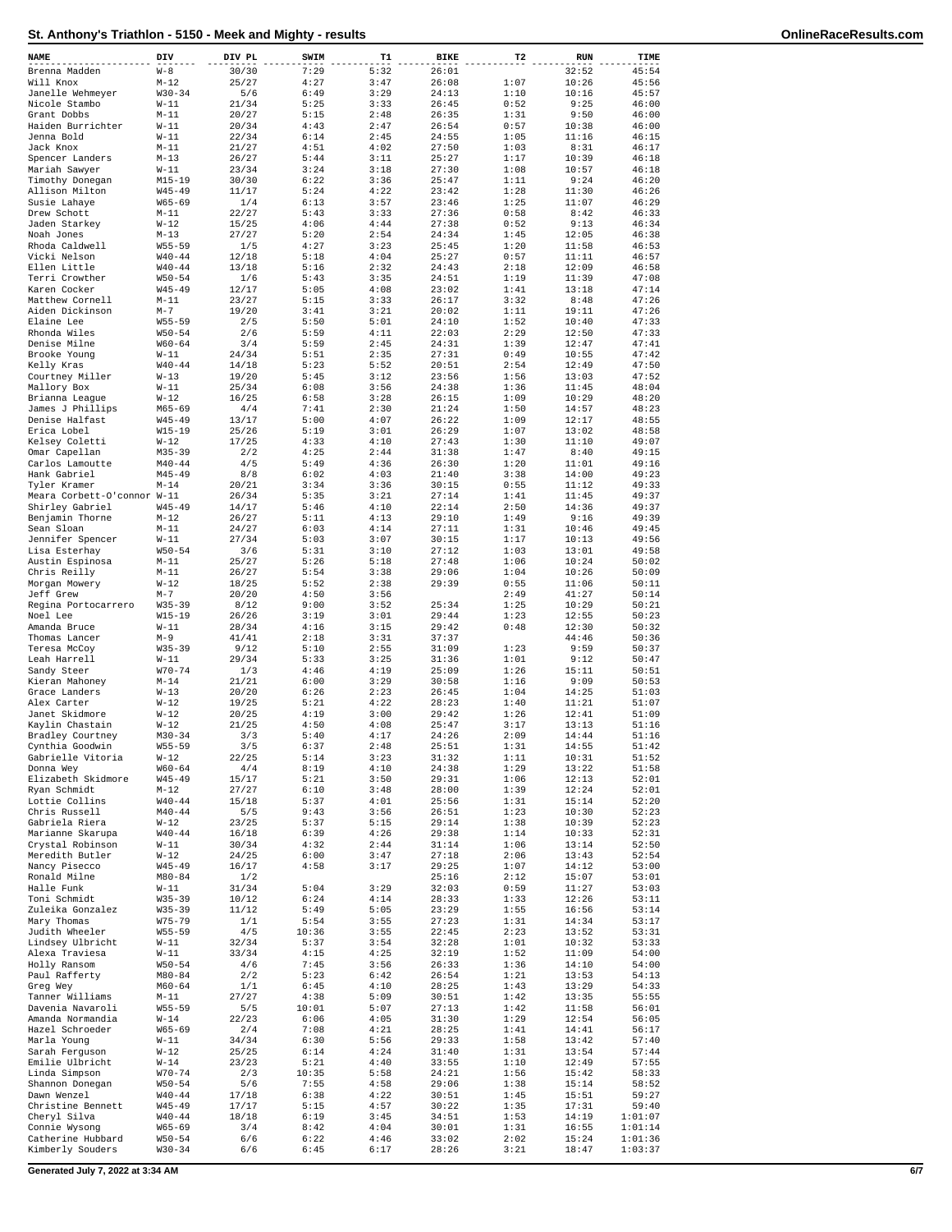| NAME                               | DIV                      | DIV PL         | SWIM         | T1           | <b>BIKE</b>    | T2           | <b>RUN</b>     | TIME               |
|------------------------------------|--------------------------|----------------|--------------|--------------|----------------|--------------|----------------|--------------------|
| Brenna Madden                      | $W - 8$                  | 30/30          | 7:29         | 5:32         | 26:01          |              | 32:52          | 45:54              |
| Will Knox                          | $M-12$                   | 25/27          | 4:27         | 3:47         | 26:08          | 1:07         | 10:26          | 45:56              |
| Janelle Wehmeyer                   | $W30 - 34$               | 5/6            | 6:49         | 3:29         | 24:13          | 1:10         | 10:16          | 45:57              |
| Nicole Stambo                      | $W-11$                   | 21/34          | 5:25         | 3:33         | 26:45          | 0:52         | 9:25           | 46:00              |
| Grant Dobbs                        | $M-11$                   | 20/27          | 5:15         | 2:48         | 26:35          | 1:31         | 9:50           | 46:00              |
| Haiden Burrichter<br>Jenna Bold    | $W-11$<br>$W-11$         | 20/34<br>22/34 | 4:43<br>6:14 | 2:47<br>2:45 | 26:54<br>24:55 | 0:57<br>1:05 | 10:38<br>11:16 | 46:00<br>46:15     |
| Jack Knox                          | $M-11$                   | 21/27          | 4:51         | 4:02         | 27:50          | 1:03         | 8:31           | 46:17              |
| Spencer Landers                    | $M - 13$                 | 26/27          | 5:44         | 3:11         | 25:27          | 1:17         | 10:39          | 46:18              |
| Mariah Sawyer                      | W-11                     | 23/34          | 3:24         | 3:18         | 27:30          | 1:08         | 10:57          | 46:18              |
| Timothy Donegan                    | $M15 - 19$               | 30/30          | 6:22         | 3:36         | 25:47          | 1:11         | 9:24           | 46:20              |
| Allison Milton                     | $W45 - 49$               | 11/17          | 5:24         | 4:22         | 23:42          | 1:28         | 11:30          | 46:26              |
| Susie Lahaye                       | $W65 - 69$               | 1/4            | 6:13         | 3:57         | 23:46          | 1:25         | 11:07          | 46:29              |
| Drew Schott<br>Jaden Starkey       | $M-11$<br>$W-12$         | 22/27<br>15/25 | 5:43<br>4:06 | 3:33<br>4:44 | 27:36<br>27:38 | 0:58<br>0:52 | 8:42<br>9:13   | 46:33<br>46:34     |
| Noah Jones                         | $M-13$                   | 27/27          | 5:20         | 2:54         | 24:34          | 1:45         | 12:05          | 46:38              |
| Rhoda Caldwell                     | $W55 - 59$               | 1/5            | 4:27         | 3:23         | 25:45          | 1:20         | 11:58          | 46:53              |
| Vicki Nelson                       | $W40 - 44$               | 12/18          | 5:18         | 4:04         | 25:27          | 0:57         | 11:11          | 46:57              |
| Ellen Little                       | $W40 - 44$               | 13/18          | 5:16         | 2:32         | 24:43          | 2:18         | 12:09          | 46:58              |
| Terri Crowther                     | $W50 - 54$               | 1/6            | 5:43         | 3:35         | 24:51          | 1:19         | 11:39          | 47:08              |
| Karen Cocker                       | $W45 - 49$               | 12/17          | 5:05         | 4:08         | 23:02          | 1:41         | 13:18          | 47:14              |
| Matthew Cornell<br>Aiden Dickinson | $M-11$<br>$M-7$          | 23/27<br>19/20 | 5:15<br>3:41 | 3:33<br>3:21 | 26:17<br>20:02 | 3:32<br>1:11 | 8:48<br>19:11  | 47:26<br>47:26     |
| Elaine Lee                         | $W55 - 59$               | 2/5            | 5:50         | 5:01         | 24:10          | 1:52         | 10:40          | 47:33              |
| Rhonda Wiles                       | $W50 - 54$               | 2/6            | 5:59         | 4:11         | 22:03          | 2:29         | 12:50          | 47:33              |
| Denise Milne                       | $W60 - 64$               | 3/4            | 5:59         | 2:45         | 24:31          | 1:39         | 12:47          | 47:41              |
| Brooke Young                       | $W-11$                   | 24/34          | 5:51         | 2:35         | 27:31          | 0:49         | 10:55          | 47:42              |
| Kelly Kras                         | $W40 - 44$               | 14/18          | 5:23         | 5:52         | 20:51          | 2:54         | 12:49          | 47:50              |
| Courtney Miller<br>Mallory Box     | $W-13$<br>$W-11$         | 19/20<br>25/34 | 5:45<br>6:08 | 3:12<br>3:56 | 23:56<br>24:38 | 1:56<br>1:36 | 13:03<br>11:45 | 47:52<br>48:04     |
| Brianna League                     | $W-12$                   | 16/25          | 6:58         | 3:28         | 26:15          | 1:09         | 10:29          | 48:20              |
| James J Phillips                   | M65-69                   | 4/4            | 7:41         | 2:30         | 21:24          | 1:50         | 14:57          | 48:23              |
| Denise Halfast                     | $W45 - 49$               | 13/17          | 5:00         | 4:07         | 26:22          | 1:09         | 12:17          | 48:55              |
| Erica Lobel                        | $W15 - 19$               | 25/26          | 5:19         | 3:01         | 26:29          | 1:07         | 13:02          | 48:58              |
| Kelsey Coletti                     | $W-12$                   | 17/25          | 4:33         | 4:10         | 27:43          | 1:30         | 11:10          | 49:07              |
| Omar Capellan                      | $M35 - 39$               | 2/2            | 4:25         | 2:44         | 31:38          | 1:47         | 8:40           | 49:15              |
| Carlos Lamoutte<br>Hank Gabriel    | $M40 - 44$<br>$M45 - 49$ | 4/5<br>8/8     | 5:49<br>6:02 | 4:36<br>4:03 | 26:30<br>21:40 | 1:20<br>3:38 | 11:01<br>14:00 | 49:16<br>49:23     |
| Tyler Kramer                       | $M - 14$                 | 20/21          | 3:34         | 3:36         | 30:15          | 0:55         | 11:12          | 49:33              |
| Meara Corbett-O'connor W-11        |                          | 26/34          | 5:35         | 3:21         | 27:14          | 1:41         | 11:45          | 49:37              |
| Shirley Gabriel                    | $W45 - 49$               | 14/17          | 5:46         | 4:10         | 22:14          | 2:50         | 14:36          | 49:37              |
| Benjamin Thorne                    | $M - 12$                 | 26/27          | 5:11         | 4:13         | 29:10          | 1:49         | 9:16           | 49:39              |
| Sean Sloan                         | $M-11$                   | 24/27          | 6:03         | 4:14         | 27:11          | 1:31         | 10:46          | 49:45              |
| Jennifer Spencer                   | $W-11$                   | 27/34          | 5:03         | 3:07         | 30:15          | 1:17         | 10:13          | 49:56              |
| Lisa Esterhay<br>Austin Espinosa   | $W50 - 54$<br>$M-11$     | 3/6<br>25/27   | 5:31<br>5:26 | 3:10<br>5:18 | 27:12<br>27:48 | 1:03<br>1:06 | 13:01<br>10:24 | 49:58<br>50:02     |
| Chris Reilly                       | $M-11$                   | 26/27          | 5:54         | 3:38         | 29:06          | 1:04         | 10:26          | 50:09              |
| Morgan Mowery                      | $W-12$                   | 18/25          | 5:52         | 2:38         | 29:39          | 0:55         | 11:06          | 50:11              |
| Jeff Grew                          | $M - 7$                  | 20/20          | 4:50         | 3:56         |                | 2:49         | 41:27          | 50:14              |
| Regina Portocarrero                | $W35 - 39$               | 8/12           | 9:00         | 3:52         | 25:34          | 1:25         | 10:29          | 50:21              |
| Noel Lee                           | $W15 - 19$               | 26/26          | 3:19         | 3:01         | 29:44          | 1:23         | 12:55          | 50:23              |
| Amanda Bruce                       | $W-11$                   | 28/34          | 4:16         | 3:15         | 29:42          | 0:48         | 12:30          | 50:32              |
| Thomas Lancer<br>Teresa McCoy      | $M-9$<br>$W35 - 39$      | 41/41<br>9/12  | 2:18<br>5:10 | 3:31<br>2:55 | 37:37<br>31:09 | 1:23         | 44:46<br>9:59  | 50:36<br>50:37     |
| Leah Harrell                       | $W-11$                   | 29/34          | 5:33         | 3:25         | 31:36          | 1:01         | 9:12           | 50:47              |
| Sandy Steer                        | $W70 - 74$               | 1/3            | 4:46         | 4:19         | 25:09          | 1:26         | 15:11          | 50:51              |
| Kieran Mahoney                     | $M - 14$                 | 21/21          | 6:00         | 3:29         | 30:58          | 1:16         | 9:09           | 50:53              |
| Grace Landers                      | $W-13$                   | 20/20          | 6:26         | 2:23         | 26:45          | 1:04         | 14:25          | 51:03              |
| Alex Carter                        | $W-12$                   | 19/25          | 5:21         | 4:22         | 28:23          | 1:40         | 11:21          | 51:07              |
| Janet Skidmore<br>Kaylin Chastain  | $W-12$                   | 20/25<br>21/25 | 4:19<br>4:50 | 3:00<br>4:08 | 29:42<br>25:47 | 1:26<br>3:17 | 12:41<br>13:13 | 51:09<br>51:16     |
| Bradley Courtney                   | $W-12$<br>$M30 - 34$     | 3/3            | 5:40         | 4:17         | 24:26          | 2:09         | 14:44          | 51:16              |
| Cynthia Goodwin                    | $W55 - 59$               | 3/5            | 6:37         | 2:48         | 25:51          | 1:31         | 14:55          | 51:42              |
| Gabrielle Vitoria                  | $W-12$                   | 22/25          | 5:14         | 3:23         | 31:32          | 1:11         | 10:31          | 51:52              |
| Donna Wey                          | $W60 - 64$               | 4/4            | 8:19         | 4:10         | 24:38          | 1:29         | 13:22          | 51:58              |
| Elizabeth Skidmore                 | $W45 - 49$               | 15/17          | 5:21         | 3:50         | 29:31          | 1:06         | 12:13          | 52:01              |
| Ryan Schmidt                       | M-12                     | 27/27          | 6:10         | 3:48         | 28:00          | 1:39         | 12:24          | 52:01              |
| Lottie Collins<br>Chris Russell    | $W40 - 44$<br>$M40 - 44$ | 15/18<br>5/5   | 5:37<br>9:43 | 4:01<br>3:56 | 25:56<br>26:51 | 1:31<br>1:23 | 15:14<br>10:30 | 52:20<br>52:23     |
| Gabriela Riera                     | $W-12$                   | 23/25          | 5:37         | 5:15         | 29:14          | 1:38         | 10:39          | 52:23              |
| Marianne Skarupa                   | $W40 - 44$               | 16/18          | 6:39         | 4:26         | 29:38          | 1:14         | 10:33          | 52:31              |
| Crystal Robinson                   | $W-11$                   | 30/34          | 4:32         | 2:44         | 31:14          | 1:06         | 13:14          | 52:50              |
| Meredith Butler                    | $W-12$                   | 24/25          | 6:00         | 3:47         | 27:18          | 2:06         | 13:43          | 52:54              |
| Nancy Pisecco                      | $W45 - 49$               | 16/17          | 4:58         | 3:17         | 29:25          | 1:07         | 14:12          | 53:00              |
| Ronald Milne<br>Halle Funk         | $M80 - 84$<br>W-11       | 1/2<br>31/34   | 5:04         | 3:29         | 25:16<br>32:03 | 2:12<br>0:59 | 15:07<br>11:27 | 53:01<br>53:03     |
| Toni Schmidt                       | $W35 - 39$               | 10/12          | 6:24         | 4:14         | 28:33          | 1:33         | 12:26          | 53:11              |
| Zuleika Gonzalez                   | $W35 - 39$               | 11/12          | 5:49         | 5:05         | 23:29          | 1:55         | 16:56          | 53:14              |
| Mary Thomas                        | $W75 - 79$               | 1/1            | 5:54         | 3:55         | 27:23          | 1:31         | 14:34          | 53:17              |
| Judith Wheeler                     | $W55 - 59$               | 4/5            | 10:36        | 3:55         | 22:45          | 2:23         | 13:52          | 53:31              |
| Lindsey Ulbricht                   | $W-11$                   | 32/34          | 5:37         | 3:54         | 32:28          | 1:01         | 10:32          | 53:33              |
| Alexa Traviesa<br>Holly Ransom     | W-11<br>$W50 - 54$       | 33/34<br>4/6   | 4:15<br>7:45 | 4:25<br>3:56 | 32:19<br>26:33 | 1:52<br>1:36 | 11:09<br>14:10 | 54:00<br>54:00     |
| Paul Rafferty                      | $M80 - 84$               | 2/2            | 5:23         | 6:42         | 26:54          | 1:21         | 13:53          | 54:13              |
| Greg Wey                           | $M60 - 64$               | 1/1            | 6:45         | 4:10         | 28:25          | 1:43         | 13:29          | 54:33              |
| Tanner Williams                    | M-11                     | 27/27          | 4:38         | 5:09         | 30:51          | 1:42         | 13:35          | 55:55              |
| Davenia Navaroli                   | $W55 - 59$               | 5/5            | 10:01        | 5:07         | 27:13          | 1:42         | 11:58          | 56:01              |
| Amanda Normandia                   | W-14                     | 22/23          | 6:06         | 4:05         | 31:30          | 1:29         | 12:54          | 56:05              |
| Hazel Schroeder<br>Marla Young     | W65-69<br>$W-11$         | 2/4<br>34/34   | 7:08<br>6:30 | 4:21<br>5:56 | 28:25<br>29:33 | 1:41<br>1:58 | 14:41<br>13:42 | 56:17<br>57:40     |
| Sarah Ferguson                     | $W-12$                   | 25/25          | 6:14         | 4:24         | 31:40          | 1:31         | 13:54          | 57:44              |
| Emilie Ulbricht                    | $W-14$                   | 23/23          | 5:21         | 4:40         | 33:55          | 1:10         | 12:49          | 57:55              |
| Linda Simpson                      | $W70 - 74$               | 2/3            | 10:35        | 5:58         | 24:21          | 1:56         | 15:42          | 58:33              |
| Shannon Donegan                    | $W50 - 54$               | 5/6            | 7:55         | 4:58         | 29:06          | 1:38         | 15:14          | 58:52              |
| Dawn Wenzel                        | $W40 - 44$               | 17/18          | 6:38         | 4:22         | 30:51          | 1:45         | 15:51          | 59:27              |
| Christine Bennett                  | $W45 - 49$               | 17/17          | 5:15         | 4:57         | 30:22          | 1:35         | 17:31          | 59:40              |
| Cheryl Silva<br>Connie Wysong      | $W40 - 44$<br>W65-69     | 18/18<br>3/4   | 6:19<br>8:42 | 3:45<br>4:04 | 34:51<br>30:01 | 1:53<br>1:31 | 14:19<br>16:55 | 1:01:07<br>1:01:14 |
| Catherine Hubbard                  | $W50 - 54$               | 6/6            | 6:22         | 4:46         | 33:02          | 2:02         | 15:24          | 1:01:36            |
| Kimberly Souders                   | $W30 - 34$               | 6/6            | 6:45         | 6:17         | 28:26          | 3:21         | 18:47          | 1:03:37            |

**Generated July 7, 2022 at 3:34 AM 6/7**